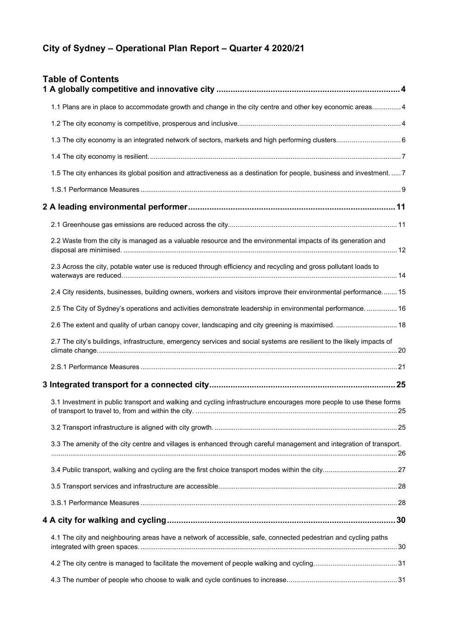# **City of Sydney – Operational Plan Report – Quarter 4 2020/21**

| <b>Table of Contents</b>                                                                                               |  |
|------------------------------------------------------------------------------------------------------------------------|--|
| 1.1 Plans are in place to accommodate growth and change in the city centre and other key economic areas 4              |  |
|                                                                                                                        |  |
|                                                                                                                        |  |
|                                                                                                                        |  |
| 1.5 The city enhances its global position and attractiveness as a destination for people, business and investment.  7  |  |
|                                                                                                                        |  |
|                                                                                                                        |  |
|                                                                                                                        |  |
| 2.2 Waste from the city is managed as a valuable resource and the environmental impacts of its generation and          |  |
| 2.3 Across the city, potable water use is reduced through efficiency and recycling and gross pollutant loads to        |  |
| 2.4 City residents, businesses, building owners, workers and visitors improve their environmental performance 15       |  |
| 2.5 The City of Sydney's operations and activities demonstrate leadership in environmental performance.  16            |  |
| 2.6 The extent and quality of urban canopy cover, landscaping and city greening is maximised.  18                      |  |
| 2.7 The city's buildings, infrastructure, emergency services and social systems are resilient to the likely impacts of |  |
|                                                                                                                        |  |
|                                                                                                                        |  |
| 3.1 Investment in public transport and walking and cycling infrastructure encourages more people to use these forms    |  |
|                                                                                                                        |  |
| 3.3 The amenity of the city centre and villages is enhanced through careful management and integration of transport.   |  |
|                                                                                                                        |  |
|                                                                                                                        |  |
|                                                                                                                        |  |
|                                                                                                                        |  |
| 4.1 The city and neighbouring areas have a network of accessible, safe, connected pedestrian and cycling paths         |  |
|                                                                                                                        |  |
|                                                                                                                        |  |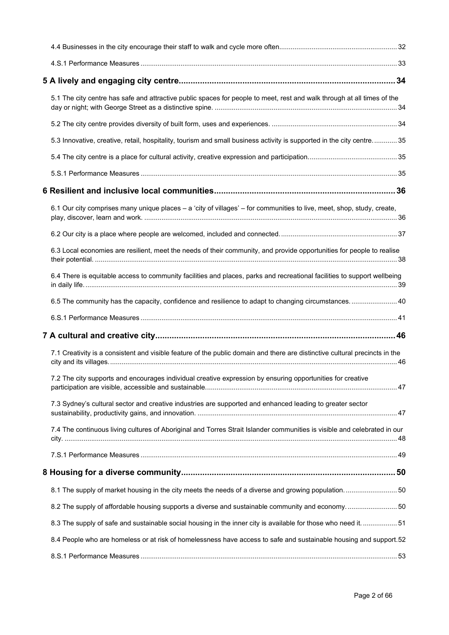| 5.1 The city centre has safe and attractive public spaces for people to meet, rest and walk through at all times of the     |  |
|-----------------------------------------------------------------------------------------------------------------------------|--|
|                                                                                                                             |  |
| 5.3 Innovative, creative, retail, hospitality, tourism and small business activity is supported in the city centre 35       |  |
|                                                                                                                             |  |
|                                                                                                                             |  |
|                                                                                                                             |  |
| 6.1 Our city comprises many unique places - a 'city of villages' - for communities to live, meet, shop, study, create,      |  |
|                                                                                                                             |  |
| 6.3 Local economies are resilient, meet the needs of their community, and provide opportunities for people to realise       |  |
| 6.4 There is equitable access to community facilities and places, parks and recreational facilities to support wellbeing    |  |
| 6.5 The community has the capacity, confidence and resilience to adapt to changing circumstances 40                         |  |
|                                                                                                                             |  |
|                                                                                                                             |  |
| 7.1 Creativity is a consistent and visible feature of the public domain and there are distinctive cultural precincts in the |  |
| 7.2 The city supports and encourages individual creative expression by ensuring opportunities for creative                  |  |
| 7.3 Sydney's cultural sector and creative industries are supported and enhanced leading to greater sector                   |  |
| 7.4 The continuous living cultures of Aboriginal and Torres Strait Islander communities is visible and celebrated in our    |  |
|                                                                                                                             |  |
|                                                                                                                             |  |
| 8.1 The supply of market housing in the city meets the needs of a diverse and growing population 50                         |  |
| 8.2 The supply of affordable housing supports a diverse and sustainable community and economy 50                            |  |
| 8.3 The supply of safe and sustainable social housing in the inner city is available for those who need it.  51             |  |
| 8.4 People who are homeless or at risk of homelessness have access to safe and sustainable housing and support.52           |  |
|                                                                                                                             |  |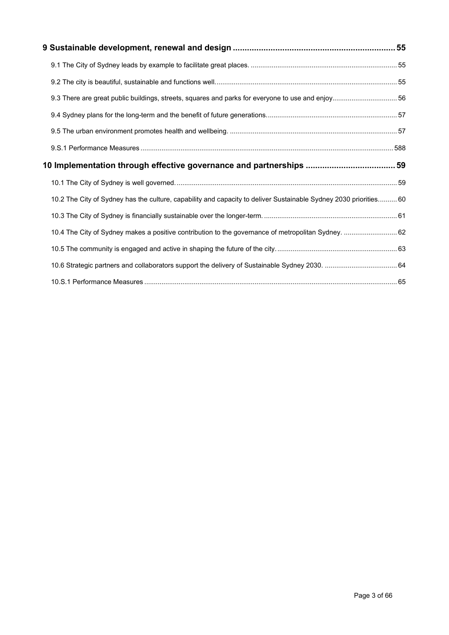| 9.3 There are great public buildings, streets, squares and parks for everyone to use and enjoy 56                 |  |
|-------------------------------------------------------------------------------------------------------------------|--|
|                                                                                                                   |  |
|                                                                                                                   |  |
|                                                                                                                   |  |
|                                                                                                                   |  |
|                                                                                                                   |  |
| 10.2 The City of Sydney has the culture, capability and capacity to deliver Sustainable Sydney 2030 priorities 60 |  |
|                                                                                                                   |  |
| 10.4 The City of Sydney makes a positive contribution to the governance of metropolitan Sydney.  62               |  |
|                                                                                                                   |  |
|                                                                                                                   |  |
|                                                                                                                   |  |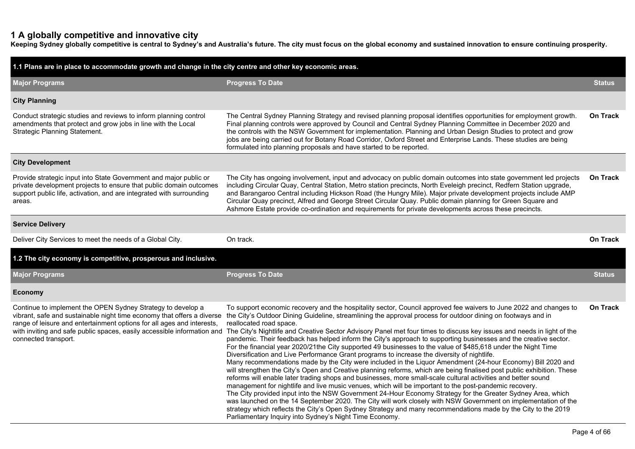# **1 A globally competitive and innovative city**

**Keeping Sydney globally competitive is central to Sydney's and Australia's future. The city must focus on the global economy and sustained innovation to ensure continuing prosperity.**

| 1.1 Plans are in place to accommodate growth and change in the city centre and other key economic areas.                                                                                                                  |                                                                                                                                                                                                                                                                                                                                                                                                                                                                                                                                                                                                                                                                                                                                                                                                                                                                                                                                                                                                                                                                                                                                                                                                                                                                                                                                                                                                                                                                                                                                                                                                                                                                                                                                                            |                 |  |  |  |  |  |  |
|---------------------------------------------------------------------------------------------------------------------------------------------------------------------------------------------------------------------------|------------------------------------------------------------------------------------------------------------------------------------------------------------------------------------------------------------------------------------------------------------------------------------------------------------------------------------------------------------------------------------------------------------------------------------------------------------------------------------------------------------------------------------------------------------------------------------------------------------------------------------------------------------------------------------------------------------------------------------------------------------------------------------------------------------------------------------------------------------------------------------------------------------------------------------------------------------------------------------------------------------------------------------------------------------------------------------------------------------------------------------------------------------------------------------------------------------------------------------------------------------------------------------------------------------------------------------------------------------------------------------------------------------------------------------------------------------------------------------------------------------------------------------------------------------------------------------------------------------------------------------------------------------------------------------------------------------------------------------------------------------|-----------------|--|--|--|--|--|--|
| <b>Major Programs</b>                                                                                                                                                                                                     | <b>Progress To Date</b>                                                                                                                                                                                                                                                                                                                                                                                                                                                                                                                                                                                                                                                                                                                                                                                                                                                                                                                                                                                                                                                                                                                                                                                                                                                                                                                                                                                                                                                                                                                                                                                                                                                                                                                                    | <b>Status</b>   |  |  |  |  |  |  |
| <b>City Planning</b>                                                                                                                                                                                                      |                                                                                                                                                                                                                                                                                                                                                                                                                                                                                                                                                                                                                                                                                                                                                                                                                                                                                                                                                                                                                                                                                                                                                                                                                                                                                                                                                                                                                                                                                                                                                                                                                                                                                                                                                            |                 |  |  |  |  |  |  |
| Conduct strategic studies and reviews to inform planning control<br>amendments that protect and grow jobs in line with the Local<br>Strategic Planning Statement.                                                         | The Central Sydney Planning Strategy and revised planning proposal identifies opportunities for employment growth.<br>Final planning controls were approved by Council and Central Sydney Planning Committee in December 2020 and<br>the controls with the NSW Government for implementation. Planning and Urban Design Studies to protect and grow<br>jobs are being carried out for Botany Road Corridor, Oxford Street and Enterprise Lands. These studies are being<br>formulated into planning proposals and have started to be reported.                                                                                                                                                                                                                                                                                                                                                                                                                                                                                                                                                                                                                                                                                                                                                                                                                                                                                                                                                                                                                                                                                                                                                                                                             | <b>On Track</b> |  |  |  |  |  |  |
| <b>City Development</b>                                                                                                                                                                                                   |                                                                                                                                                                                                                                                                                                                                                                                                                                                                                                                                                                                                                                                                                                                                                                                                                                                                                                                                                                                                                                                                                                                                                                                                                                                                                                                                                                                                                                                                                                                                                                                                                                                                                                                                                            |                 |  |  |  |  |  |  |
| Provide strategic input into State Government and major public or<br>private development projects to ensure that public domain outcomes<br>support public life, activation, and are integrated with surrounding<br>areas. | The City has ongoing involvement, input and advocacy on public domain outcomes into state government led projects<br>including Circular Quay, Central Station, Metro station precincts, North Eveleigh precinct, Redfern Station upgrade,<br>and Barangaroo Central including Hickson Road (the Hungry Mile). Major private development projects include AMP<br>Circular Quay precinct, Alfred and George Street Circular Quay. Public domain planning for Green Square and<br>Ashmore Estate provide co-ordination and requirements for private developments across these precincts.                                                                                                                                                                                                                                                                                                                                                                                                                                                                                                                                                                                                                                                                                                                                                                                                                                                                                                                                                                                                                                                                                                                                                                      | <b>On Track</b> |  |  |  |  |  |  |
| <b>Service Delivery</b>                                                                                                                                                                                                   |                                                                                                                                                                                                                                                                                                                                                                                                                                                                                                                                                                                                                                                                                                                                                                                                                                                                                                                                                                                                                                                                                                                                                                                                                                                                                                                                                                                                                                                                                                                                                                                                                                                                                                                                                            |                 |  |  |  |  |  |  |
| Deliver City Services to meet the needs of a Global City.                                                                                                                                                                 | On track.                                                                                                                                                                                                                                                                                                                                                                                                                                                                                                                                                                                                                                                                                                                                                                                                                                                                                                                                                                                                                                                                                                                                                                                                                                                                                                                                                                                                                                                                                                                                                                                                                                                                                                                                                  | <b>On Track</b> |  |  |  |  |  |  |
| 1.2 The city economy is competitive, prosperous and inclusive.                                                                                                                                                            |                                                                                                                                                                                                                                                                                                                                                                                                                                                                                                                                                                                                                                                                                                                                                                                                                                                                                                                                                                                                                                                                                                                                                                                                                                                                                                                                                                                                                                                                                                                                                                                                                                                                                                                                                            |                 |  |  |  |  |  |  |
| <b>Major Programs</b>                                                                                                                                                                                                     | <b>Progress To Date</b>                                                                                                                                                                                                                                                                                                                                                                                                                                                                                                                                                                                                                                                                                                                                                                                                                                                                                                                                                                                                                                                                                                                                                                                                                                                                                                                                                                                                                                                                                                                                                                                                                                                                                                                                    | <b>Status</b>   |  |  |  |  |  |  |
| Economy                                                                                                                                                                                                                   |                                                                                                                                                                                                                                                                                                                                                                                                                                                                                                                                                                                                                                                                                                                                                                                                                                                                                                                                                                                                                                                                                                                                                                                                                                                                                                                                                                                                                                                                                                                                                                                                                                                                                                                                                            |                 |  |  |  |  |  |  |
| Continue to implement the OPEN Sydney Strategy to develop a<br>range of leisure and entertainment options for all ages and interests,<br>connected transport.                                                             | To support economic recovery and the hospitality sector, Council approved fee waivers to June 2022 and changes to<br>vibrant, safe and sustainable night time economy that offers a diverse the City's Outdoor Dining Guideline, streamlining the approval process for outdoor dining on footways and in<br>reallocated road space.<br>with inviting and safe public spaces, easily accessible information and The City's Nightlife and Creative Sector Advisory Panel met four times to discuss key issues and needs in light of the<br>pandemic. Their feedback has helped inform the City's approach to supporting businesses and the creative sector.<br>For the financial year 2020/21the City supported 49 businesses to the value of \$485,618 under the Night Time<br>Diversification and Live Performance Grant programs to increase the diversity of nightlife.<br>Many recommendations made by the City were included in the Liquor Amendment (24-hour Economy) Bill 2020 and<br>will strengthen the City's Open and Creative planning reforms, which are being finalised post public exhibition. These<br>reforms will enable later trading shops and businesses, more small-scale cultural activities and better sound<br>management for nightlife and live music venues, which will be important to the post-pandemic recovery.<br>The City provided input into the NSW Government 24-Hour Economy Strategy for the Greater Sydney Area, which<br>was launched on the 14 September 2020. The City will work closely with NSW Government on implementation of the<br>strategy which reflects the City's Open Sydney Strategy and many recommendations made by the City to the 2019<br>Parliamentary Inquiry into Sydney's Night Time Economy. | <b>On Track</b> |  |  |  |  |  |  |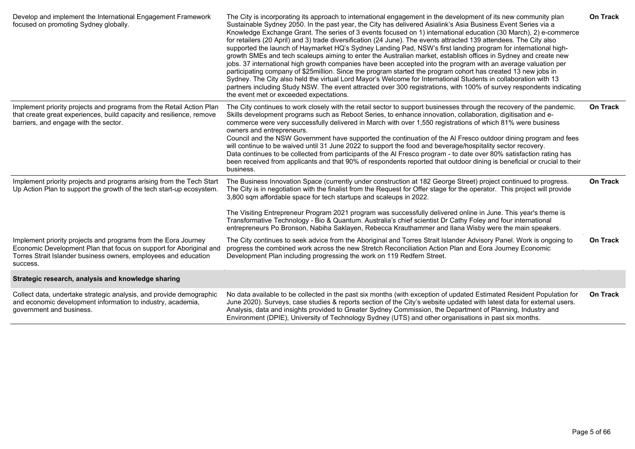| Develop and implement the International Engagement Framework<br>focused on promoting Sydney globally.                                                                                                               | The City is incorporating its approach to international engagement in the development of its new community plan<br>Sustainable Sydney 2050. In the past year, the City has delivered Asialink's Asia Business Event Series via a<br>Knowledge Exchange Grant. The series of 3 events focused on 1) international education (30 March), 2) e-commerce<br>for retailers (20 April) and 3) trade diversification (24 June). The events attracted 139 attendees. The City also<br>supported the launch of Haymarket HQ's Sydney Landing Pad, NSW's first landing program for international high-<br>growth SMEs and tech scaleups aiming to enter the Australian market, establish offices in Sydney and create new<br>jobs. 37 international high growth companies have been accepted into the program with an average valuation per<br>participating company of \$25million. Since the program started the program cohort has created 13 new jobs in<br>Sydney. The City also held the virtual Lord Mayor's Welcome for International Students in collaboration with 13<br>partners including Study NSW. The event attracted over 300 registrations, with 100% of survey respondents indicating<br>the event met or exceeded expectations. | <b>On Track</b> |
|---------------------------------------------------------------------------------------------------------------------------------------------------------------------------------------------------------------------|------------------------------------------------------------------------------------------------------------------------------------------------------------------------------------------------------------------------------------------------------------------------------------------------------------------------------------------------------------------------------------------------------------------------------------------------------------------------------------------------------------------------------------------------------------------------------------------------------------------------------------------------------------------------------------------------------------------------------------------------------------------------------------------------------------------------------------------------------------------------------------------------------------------------------------------------------------------------------------------------------------------------------------------------------------------------------------------------------------------------------------------------------------------------------------------------------------------------------------------|-----------------|
| Implement priority projects and programs from the Retail Action Plan<br>that create great experiences, build capacity and resilience, remove<br>barriers, and engage with the sector.                               | The City continues to work closely with the retail sector to support businesses through the recovery of the pandemic.<br>Skills development programs such as Reboot Series, to enhance innovation, collaboration, digitisation and e-<br>commerce were very successfully delivered in March with over 1,550 registrations of which 81% were business<br>owners and entrepreneurs.<br>Council and the NSW Government have supported the continuation of the AI Fresco outdoor dining program and fees<br>will continue to be waived until 31 June 2022 to support the food and beverage/hospitality sector recovery.<br>Data continues to be collected from participants of the AI Fresco program - to date over 80% satisfaction rating has<br>been received from applicants and that 90% of respondents reported that outdoor dining is beneficial or crucial to their<br>business.                                                                                                                                                                                                                                                                                                                                                     | On Track        |
| Implement priority projects and programs arising from the Tech Start<br>Up Action Plan to support the growth of the tech start-up ecosystem.                                                                        | The Business Innovation Space (currently under construction at 182 George Street) project continued to progress.<br>The City is in negotiation with the finalist from the Request for Offer stage for the operator. This project will provide<br>3,800 sqm affordable space for tech startups and scaleups in 2022.<br>The Visiting Entrepreneur Program 2021 program was successfully delivered online in June. This year's theme is<br>Transformative Technology - Bio & Quantum. Australia's chief scientist Dr Cathy Foley and four international<br>entrepreneurs Po Bronson, Nabiha Saklayen, Rebecca Krauthammer and Ilana Wisby were the main speakers.                                                                                                                                                                                                                                                                                                                                                                                                                                                                                                                                                                          | On Track        |
| Implement priority projects and programs from the Eora Journey<br>Economic Development Plan that focus on support for Aboriginal and<br>Torres Strait Islander business owners, employees and education<br>success. | The City continues to seek advice from the Aboriginal and Torres Strait Islander Advisory Panel. Work is ongoing to<br>progress the combined work across the new Stretch Reconciliation Action Plan and Eora Journey Economic<br>Development Plan including progressing the work on 119 Redfern Street.                                                                                                                                                                                                                                                                                                                                                                                                                                                                                                                                                                                                                                                                                                                                                                                                                                                                                                                                  | On Track        |
| Strategic research, analysis and knowledge sharing                                                                                                                                                                  |                                                                                                                                                                                                                                                                                                                                                                                                                                                                                                                                                                                                                                                                                                                                                                                                                                                                                                                                                                                                                                                                                                                                                                                                                                          |                 |
| Collect data, undertake strategic analysis, and provide demographic<br>and economic development information to industry, academia,<br>government and business.                                                      | No data available to be collected in the past six months (with exception of updated Estimated Resident Population for<br>June 2020). Surveys, case studies & reports section of the City's website updated with latest data for external users.<br>Analysis, data and insights provided to Greater Sydney Commission, the Department of Planning, Industry and<br>Environment (DPIE), University of Technology Sydney (UTS) and other organisations in past six months.                                                                                                                                                                                                                                                                                                                                                                                                                                                                                                                                                                                                                                                                                                                                                                  | <b>On Track</b> |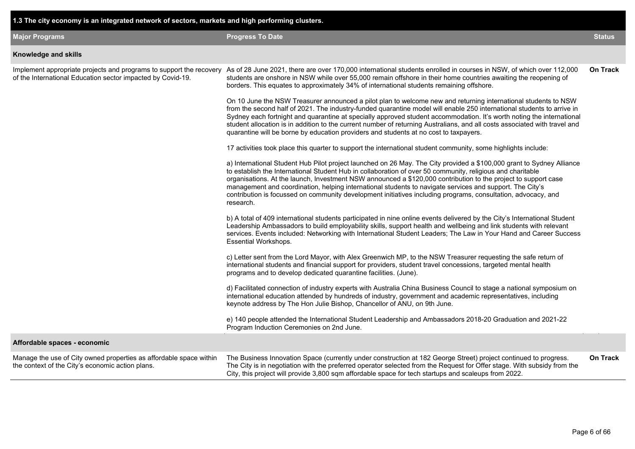| 1.3 The city economy is an integrated network of sectors, markets and high performing clusters.                                    |                                                                                                                                                                                                                                                                                                                                                                                                                                                                                                                                                                                                 |                 |
|------------------------------------------------------------------------------------------------------------------------------------|-------------------------------------------------------------------------------------------------------------------------------------------------------------------------------------------------------------------------------------------------------------------------------------------------------------------------------------------------------------------------------------------------------------------------------------------------------------------------------------------------------------------------------------------------------------------------------------------------|-----------------|
| <b>Major Programs</b>                                                                                                              | <b>Progress To Date</b>                                                                                                                                                                                                                                                                                                                                                                                                                                                                                                                                                                         | <b>Status</b>   |
| Knowledge and skills                                                                                                               |                                                                                                                                                                                                                                                                                                                                                                                                                                                                                                                                                                                                 |                 |
| Implement appropriate projects and programs to support the recovery<br>of the International Education sector impacted by Covid-19. | As of 28 June 2021, there are over 170,000 international students enrolled in courses in NSW, of which over 112,000<br>students are onshore in NSW while over 55,000 remain offshore in their home countries awaiting the reopening of<br>borders. This equates to approximately 34% of international students remaining offshore.                                                                                                                                                                                                                                                              | <b>On Track</b> |
|                                                                                                                                    | On 10 June the NSW Treasurer announced a pilot plan to welcome new and returning international students to NSW<br>from the second half of 2021. The industry-funded quarantine model will enable 250 international students to arrive in<br>Sydney each fortnight and quarantine at specially approved student accommodation. It's worth noting the international<br>student allocation is in addition to the current number of returning Australians, and all costs associated with travel and<br>quarantine will be borne by education providers and students at no cost to taxpayers.        |                 |
|                                                                                                                                    | 17 activities took place this quarter to support the international student community, some highlights include:                                                                                                                                                                                                                                                                                                                                                                                                                                                                                  |                 |
|                                                                                                                                    | a) International Student Hub Pilot project launched on 26 May. The City provided a \$100,000 grant to Sydney Alliance<br>to establish the International Student Hub in collaboration of over 50 community, religious and charitable<br>organisations. At the launch, Investment NSW announced a \$120,000 contribution to the project to support case<br>management and coordination, helping international students to navigate services and support. The City's<br>contribution is focussed on community development initiatives including programs, consultation, advocacy, and<br>research. |                 |
|                                                                                                                                    | b) A total of 409 international students participated in nine online events delivered by the City's International Student<br>Leadership Ambassadors to build employability skills, support health and wellbeing and link students with relevant<br>services. Events included: Networking with International Student Leaders; The Law in Your Hand and Career Success<br><b>Essential Workshops.</b>                                                                                                                                                                                             |                 |
|                                                                                                                                    | c) Letter sent from the Lord Mayor, with Alex Greenwich MP, to the NSW Treasurer requesting the safe return of<br>international students and financial support for providers, student travel concessions, targeted mental health<br>programs and to develop dedicated quarantine facilities. (June).                                                                                                                                                                                                                                                                                            |                 |
|                                                                                                                                    | d) Facilitated connection of industry experts with Australia China Business Council to stage a national symposium on<br>international education attended by hundreds of industry, government and academic representatives, including<br>keynote address by The Hon Julie Bishop, Chancellor of ANU, on 9th June.                                                                                                                                                                                                                                                                                |                 |
|                                                                                                                                    | e) 140 people attended the International Student Leadership and Ambassadors 2018-20 Graduation and 2021-22<br>Program Induction Ceremonies on 2nd June.                                                                                                                                                                                                                                                                                                                                                                                                                                         |                 |
| Affordable spaces - economic                                                                                                       |                                                                                                                                                                                                                                                                                                                                                                                                                                                                                                                                                                                                 |                 |
| Manage the use of City owned properties as affordable space within<br>the context of the City's economic action plans.             | The Business Innovation Space (currently under construction at 182 George Street) project continued to progress.<br>The City is in negotiation with the preferred operator selected from the Request for Offer stage. With subsidy from the<br>City, this project will provide 3,800 sqm affordable space for tech startups and scaleups from 2022.                                                                                                                                                                                                                                             | <b>On Track</b> |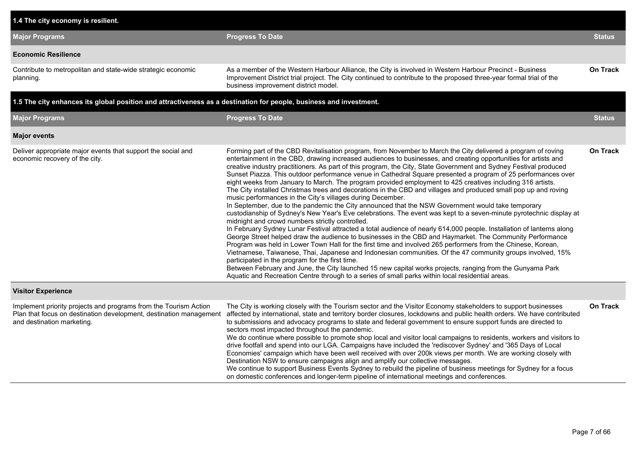| 1.4 The city economy is resilient.                                                                                                                                   |                                                                                                                                                                                                                                                                                                                                                                                                                                                                                                                                                                                                                                                                                                                                                                                                                                                                                                                                                                                                                                                                                                                                                                                                                                                                                                                                                                                                                                                                                                                                                                                                                                                                                                                                                                                            |                 |
|----------------------------------------------------------------------------------------------------------------------------------------------------------------------|--------------------------------------------------------------------------------------------------------------------------------------------------------------------------------------------------------------------------------------------------------------------------------------------------------------------------------------------------------------------------------------------------------------------------------------------------------------------------------------------------------------------------------------------------------------------------------------------------------------------------------------------------------------------------------------------------------------------------------------------------------------------------------------------------------------------------------------------------------------------------------------------------------------------------------------------------------------------------------------------------------------------------------------------------------------------------------------------------------------------------------------------------------------------------------------------------------------------------------------------------------------------------------------------------------------------------------------------------------------------------------------------------------------------------------------------------------------------------------------------------------------------------------------------------------------------------------------------------------------------------------------------------------------------------------------------------------------------------------------------------------------------------------------------|-----------------|
| <b>Major Programs</b>                                                                                                                                                | <b>Progress To Date</b>                                                                                                                                                                                                                                                                                                                                                                                                                                                                                                                                                                                                                                                                                                                                                                                                                                                                                                                                                                                                                                                                                                                                                                                                                                                                                                                                                                                                                                                                                                                                                                                                                                                                                                                                                                    | <b>Status</b>   |
| <b>Economic Resilience</b>                                                                                                                                           |                                                                                                                                                                                                                                                                                                                                                                                                                                                                                                                                                                                                                                                                                                                                                                                                                                                                                                                                                                                                                                                                                                                                                                                                                                                                                                                                                                                                                                                                                                                                                                                                                                                                                                                                                                                            |                 |
| Contribute to metropolitan and state-wide strategic economic<br>planning.                                                                                            | As a member of the Western Harbour Alliance, the City is involved in Western Harbour Precinct - Business<br>Improvement District trial project. The City continued to contribute to the proposed three-year formal trial of the<br>business improvement district model.                                                                                                                                                                                                                                                                                                                                                                                                                                                                                                                                                                                                                                                                                                                                                                                                                                                                                                                                                                                                                                                                                                                                                                                                                                                                                                                                                                                                                                                                                                                    | <b>On Track</b> |
| 1.5 The city enhances its global position and attractiveness as a destination for people, business and investment.                                                   |                                                                                                                                                                                                                                                                                                                                                                                                                                                                                                                                                                                                                                                                                                                                                                                                                                                                                                                                                                                                                                                                                                                                                                                                                                                                                                                                                                                                                                                                                                                                                                                                                                                                                                                                                                                            |                 |
| <b>Major Programs</b>                                                                                                                                                | <b>Progress To Date</b>                                                                                                                                                                                                                                                                                                                                                                                                                                                                                                                                                                                                                                                                                                                                                                                                                                                                                                                                                                                                                                                                                                                                                                                                                                                                                                                                                                                                                                                                                                                                                                                                                                                                                                                                                                    | <b>Status</b>   |
| <b>Major events</b>                                                                                                                                                  |                                                                                                                                                                                                                                                                                                                                                                                                                                                                                                                                                                                                                                                                                                                                                                                                                                                                                                                                                                                                                                                                                                                                                                                                                                                                                                                                                                                                                                                                                                                                                                                                                                                                                                                                                                                            |                 |
| Deliver appropriate major events that support the social and<br>economic recovery of the city.                                                                       | Forming part of the CBD Revitalisation program, from November to March the City delivered a program of roving<br>entertainment in the CBD, drawing increased audiences to businesses, and creating opportunities for artists and<br>creative industry practitioners. As part of this program, the City, State Government and Sydney Festival produced<br>Sunset Piazza. This outdoor performance venue in Cathedral Square presented a program of 25 performances over<br>eight weeks from January to March. The program provided employment to 425 creatives including 316 artists.<br>The City installed Christmas trees and decorations in the CBD and villages and produced small pop up and roving<br>music performances in the City's villages during December.<br>In September, due to the pandemic the City announced that the NSW Government would take temporary<br>custodianship of Sydney's New Year's Eve celebrations. The event was kept to a seven-minute pyrotechnic display at<br>midnight and crowd numbers strictly controlled.<br>In February Sydney Lunar Festival attracted a total audience of nearly 614,000 people. Installation of lanterns along<br>George Street helped draw the audience to businesses in the CBD and Haymarket. The Community Performance<br>Program was held in Lower Town Hall for the first time and involved 265 performers from the Chinese, Korean,<br>Vietnamese, Taiwanese, Thai, Japanese and Indonesian communities. Of the 47 community groups involved, 15%<br>participated in the program for the first time.<br>Between February and June, the City launched 15 new capital works projects, ranging from the Gunyama Park<br>Aquatic and Recreation Centre through to a series of small parks within local residential areas. | <b>On Track</b> |
| <b>Visitor Experience</b>                                                                                                                                            |                                                                                                                                                                                                                                                                                                                                                                                                                                                                                                                                                                                                                                                                                                                                                                                                                                                                                                                                                                                                                                                                                                                                                                                                                                                                                                                                                                                                                                                                                                                                                                                                                                                                                                                                                                                            |                 |
| Implement priority projects and programs from the Tourism Action<br>Plan that focus on destination development, destination management<br>and destination marketing. | The City is working closely with the Tourism sector and the Visitor Economy stakeholders to support businesses<br>affected by international, state and territory border closures, lockdowns and public health orders. We have contributed<br>to submissions and advocacy programs to state and federal government to ensure support funds are directed to<br>sectors most impacted throughout the pandemic.<br>We do continue where possible to promote shop local and visitor local campaigns to residents, workers and visitors to<br>drive footfall and spend into our LGA. Campaigns have included the 'rediscover Sydney' and '365 Days of Local<br>Economies' campaign which have been well received with over 200k views per month. We are working closely with<br>Destination NSW to ensure campaigns align and amplify our collective messages.<br>We continue to support Business Events Sydney to rebuild the pipeline of business meetings for Sydney for a focus<br>on domestic conferences and longer-term pipeline of international meetings and conferences.                                                                                                                                                                                                                                                                                                                                                                                                                                                                                                                                                                                                                                                                                                               | On Track        |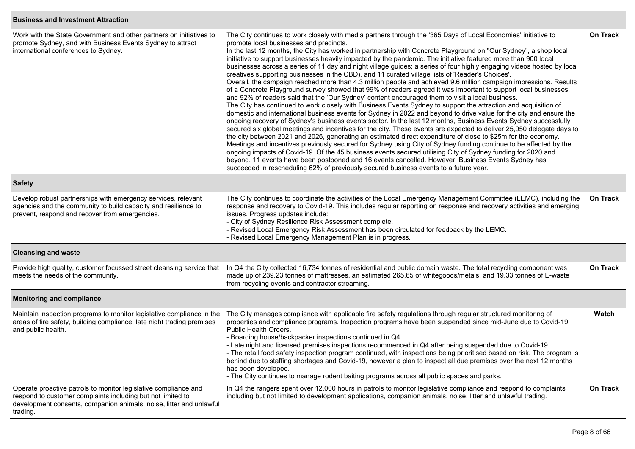## **Business and Investment Attraction**

| Work with the State Government and other partners on initiatives to<br>promote Sydney, and with Business Events Sydney to attract<br>international conferences to Sydney.                                         | The City continues to work closely with media partners through the '365 Days of Local Economies' initiative to<br>promote local businesses and precincts.<br>In the last 12 months, the City has worked in partnership with Concrete Playground on "Our Sydney", a shop local<br>initiative to support businesses heavily impacted by the pandemic. The initiative featured more than 900 local<br>businesses across a series of 11 day and night village guides; a series of four highly engaging videos hosted by local<br>creatives supporting businesses in the CBD), and 11 curated village lists of 'Reader's Choices'.<br>Overall, the campaign reached more than 4.3 million people and achieved 9.6 million campaign impressions. Results<br>of a Concrete Playground survey showed that 99% of readers agreed it was important to support local businesses,<br>and 92% of readers said that the 'Our Sydney' content encouraged them to visit a local business.<br>The City has continued to work closely with Business Events Sydney to support the attraction and acquisition of<br>domestic and international business events for Sydney in 2022 and beyond to drive value for the city and ensure the<br>ongoing recovery of Sydney's business events sector. In the last 12 months, Business Events Sydney successfully<br>secured six global meetings and incentives for the city. These events are expected to deliver 25,950 delegate days to<br>the city between 2021 and 2026, generating an estimated direct expenditure of close to \$25m for the economy.<br>Meetings and incentives previously secured for Sydney using City of Sydney funding continue to be affected by the<br>ongoing impacts of Covid-19. Of the 45 business events secured utilising City of Sydney funding for 2020 and<br>beyond, 11 events have been postponed and 16 events cancelled. However, Business Events Sydney has<br>succeeded in rescheduling 62% of previously secured business events to a future year. | On Track        |
|-------------------------------------------------------------------------------------------------------------------------------------------------------------------------------------------------------------------|----------------------------------------------------------------------------------------------------------------------------------------------------------------------------------------------------------------------------------------------------------------------------------------------------------------------------------------------------------------------------------------------------------------------------------------------------------------------------------------------------------------------------------------------------------------------------------------------------------------------------------------------------------------------------------------------------------------------------------------------------------------------------------------------------------------------------------------------------------------------------------------------------------------------------------------------------------------------------------------------------------------------------------------------------------------------------------------------------------------------------------------------------------------------------------------------------------------------------------------------------------------------------------------------------------------------------------------------------------------------------------------------------------------------------------------------------------------------------------------------------------------------------------------------------------------------------------------------------------------------------------------------------------------------------------------------------------------------------------------------------------------------------------------------------------------------------------------------------------------------------------------------------------------------------------------------------------------------------------------------------------------------|-----------------|
| <b>Safety</b>                                                                                                                                                                                                     |                                                                                                                                                                                                                                                                                                                                                                                                                                                                                                                                                                                                                                                                                                                                                                                                                                                                                                                                                                                                                                                                                                                                                                                                                                                                                                                                                                                                                                                                                                                                                                                                                                                                                                                                                                                                                                                                                                                                                                                                                      |                 |
| Develop robust partnerships with emergency services, relevant<br>agencies and the community to build capacity and resilience to<br>prevent, respond and recover from emergencies.                                 | The City continues to coordinate the activities of the Local Emergency Management Committee (LEMC), including the<br>response and recovery to Covid-19. This includes regular reporting on response and recovery activities and emerging<br>issues. Progress updates include:<br>- City of Sydney Resilience Risk Assessment complete.<br>- Revised Local Emergency Risk Assessment has been circulated for feedback by the LEMC.<br>- Revised Local Emergency Management Plan is in progress.                                                                                                                                                                                                                                                                                                                                                                                                                                                                                                                                                                                                                                                                                                                                                                                                                                                                                                                                                                                                                                                                                                                                                                                                                                                                                                                                                                                                                                                                                                                       | On Track        |
| <b>Cleansing and waste</b>                                                                                                                                                                                        |                                                                                                                                                                                                                                                                                                                                                                                                                                                                                                                                                                                                                                                                                                                                                                                                                                                                                                                                                                                                                                                                                                                                                                                                                                                                                                                                                                                                                                                                                                                                                                                                                                                                                                                                                                                                                                                                                                                                                                                                                      |                 |
| Provide high quality, customer focussed street cleansing service that<br>meets the needs of the community.                                                                                                        | In Q4 the City collected 16,734 tonnes of residential and public domain waste. The total recycling component was<br>made up of 239.23 tonnes of mattresses, an estimated 265.65 of whitegoods/metals, and 19.33 tonnes of E-waste<br>from recycling events and contractor streaming.                                                                                                                                                                                                                                                                                                                                                                                                                                                                                                                                                                                                                                                                                                                                                                                                                                                                                                                                                                                                                                                                                                                                                                                                                                                                                                                                                                                                                                                                                                                                                                                                                                                                                                                                 | <b>On Track</b> |
| <b>Monitoring and compliance</b>                                                                                                                                                                                  |                                                                                                                                                                                                                                                                                                                                                                                                                                                                                                                                                                                                                                                                                                                                                                                                                                                                                                                                                                                                                                                                                                                                                                                                                                                                                                                                                                                                                                                                                                                                                                                                                                                                                                                                                                                                                                                                                                                                                                                                                      |                 |
| Maintain inspection programs to monitor legislative compliance in the<br>areas of fire safety, building compliance, late night trading premises<br>and public health.                                             | The City manages compliance with applicable fire safety regulations through regular structured monitoring of<br>properties and compliance programs. Inspection programs have been suspended since mid-June due to Covid-19<br>Public Health Orders.<br>- Boarding house/backpacker inspections continued in Q4.<br>- Late night and licensed premises inspections recommenced in Q4 after being suspended due to Covid-19.<br>- The retail food safety inspection program continued, with inspections being prioritised based on risk. The program is<br>behind due to staffing shortages and Covid-19, however a plan to inspect all due premises over the next 12 months<br>has been developed.<br>- The City continues to manage rodent baiting programs across all public spaces and parks.                                                                                                                                                                                                                                                                                                                                                                                                                                                                                                                                                                                                                                                                                                                                                                                                                                                                                                                                                                                                                                                                                                                                                                                                                      | Watch           |
| Operate proactive patrols to monitor legislative compliance and<br>respond to customer complaints including but not limited to<br>development consents, companion animals, noise, litter and unlawful<br>trading. | In Q4 the rangers spent over 12,000 hours in patrols to monitor legislative compliance and respond to complaints<br>including but not limited to development applications, companion animals, noise, litter and unlawful trading.                                                                                                                                                                                                                                                                                                                                                                                                                                                                                                                                                                                                                                                                                                                                                                                                                                                                                                                                                                                                                                                                                                                                                                                                                                                                                                                                                                                                                                                                                                                                                                                                                                                                                                                                                                                    | <b>On Track</b> |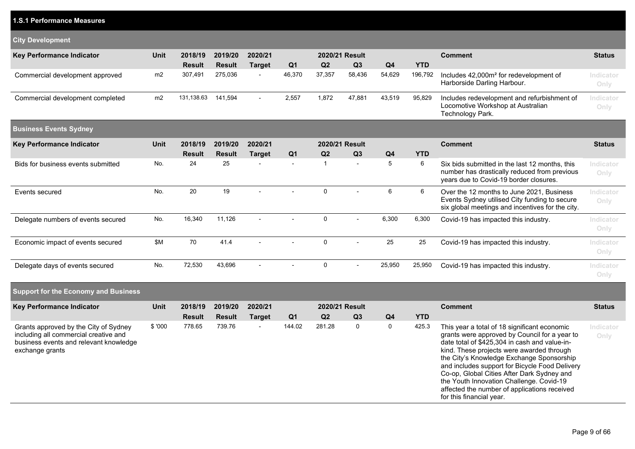| <b>1.S.1 Performance Measures</b>                                                                                                           |             |               |               |                |                |              |                |                |            |                                                                                                                                                                                                                                          |                   |
|---------------------------------------------------------------------------------------------------------------------------------------------|-------------|---------------|---------------|----------------|----------------|--------------|----------------|----------------|------------|------------------------------------------------------------------------------------------------------------------------------------------------------------------------------------------------------------------------------------------|-------------------|
| <b>City Development</b>                                                                                                                     |             |               |               |                |                |              |                |                |            |                                                                                                                                                                                                                                          |                   |
| <b>Key Performance Indicator</b>                                                                                                            | Unit        | 2018/19       | 2019/20       | 2020/21        |                |              | 2020/21 Result |                |            | <b>Comment</b>                                                                                                                                                                                                                           | <b>Status</b>     |
|                                                                                                                                             |             | <b>Result</b> | <b>Result</b> | <b>Target</b>  | Q <sub>1</sub> | Q2           | Q3             | Q <sub>4</sub> | <b>YTD</b> |                                                                                                                                                                                                                                          |                   |
| Commercial development approved                                                                                                             | m2          | 307,491       | 275,036       |                | 46,370         | 37,357       | 58,436         | 54,629         | 196,792    | Includes 42,000m <sup>2</sup> for redevelopment of<br>Harborside Darling Harbour.                                                                                                                                                        | Indicator<br>Only |
| Commercial development completed                                                                                                            | m2          | 131,138.63    | 141,594       | $\overline{a}$ | 2,557          | 1,872        | 47,881         | 43,519         | 95,829     | Includes redevelopment and refurbishment of<br>Locomotive Workshop at Australian<br>Technology Park.                                                                                                                                     | Indicator<br>Only |
| <b>Business Events Sydney</b>                                                                                                               |             |               |               |                |                |              |                |                |            |                                                                                                                                                                                                                                          |                   |
| Key Performance Indicator                                                                                                                   | Unit        | 2018/19       | 2019/20       | 2020/21        |                |              | 2020/21 Result |                |            | <b>Comment</b>                                                                                                                                                                                                                           | <b>Status</b>     |
|                                                                                                                                             |             | <b>Result</b> | <b>Result</b> | <b>Target</b>  | Q <sub>1</sub> | Q2           | Q3             | Q <sub>4</sub> | <b>YTD</b> |                                                                                                                                                                                                                                          |                   |
| Bids for business events submitted                                                                                                          | No.         | 24            | 25            |                | $\sim$         | $\mathbf{1}$ | $\blacksquare$ | 5              | 6          | Six bids submitted in the last 12 months, this<br>number has drastically reduced from previous<br>years due to Covid-19 border closures.                                                                                                 | Indicator<br>Only |
| Events secured                                                                                                                              | No.         | 20            | 19            |                |                | $\mathbf 0$  |                | 6              | 6          | Over the 12 months to June 2021, Business<br>Events Sydney utilised City funding to secure<br>six global meetings and incentives for the city.                                                                                           | Indicator<br>Only |
| Delegate numbers of events secured                                                                                                          | No.         | 16,340        | 11,126        |                |                | $\mathbf 0$  |                | 6,300          | 6,300      | Covid-19 has impacted this industry.                                                                                                                                                                                                     | Indicator<br>Only |
| Economic impact of events secured                                                                                                           | \$M         | 70            | 41.4          |                |                | $\mathbf 0$  |                | 25             | 25         | Covid-19 has impacted this industry.                                                                                                                                                                                                     | Indicator<br>Only |
| Delegate days of events secured                                                                                                             | No.         | 72,530        | 43,696        |                |                | 0            |                | 25,950         | 25,950     | Covid-19 has impacted this industry.                                                                                                                                                                                                     | Indicator<br>Only |
| <b>Support for the Economy and Business</b>                                                                                                 |             |               |               |                |                |              |                |                |            |                                                                                                                                                                                                                                          |                   |
| Key Performance Indicator                                                                                                                   | <b>Unit</b> | 2018/19       | 2019/20       | 2020/21        |                |              | 2020/21 Result |                |            | <b>Comment</b>                                                                                                                                                                                                                           | <b>Status</b>     |
|                                                                                                                                             |             | <b>Result</b> | <b>Result</b> | <b>Target</b>  | Q <sub>1</sub> | Q2           | Q3             | Q <sub>4</sub> | <b>YTD</b> |                                                                                                                                                                                                                                          |                   |
| Grants approved by the City of Sydney<br>including all commercial creative and<br>business events and relevant knowledge<br>exchange grants | \$'000      | 778.65        | 739.76        |                | 144.02         | 281.28       | $\mathbf 0$    | $\mathbf 0$    | 425.3      | This year a total of 18 significant economic<br>grants were approved by Council for a year to<br>date total of \$425,304 in cash and value-in-<br>kind. These projects were awarded through<br>the City's Knowledge Exchange Sponsorship | Indicator<br>Only |

and includes support for Bicycle Food Delivery Co-op, Global Cities After Dark Sydney and the Youth Innovation Challenge. Covid-19 affected the number of applications received

for this financial year.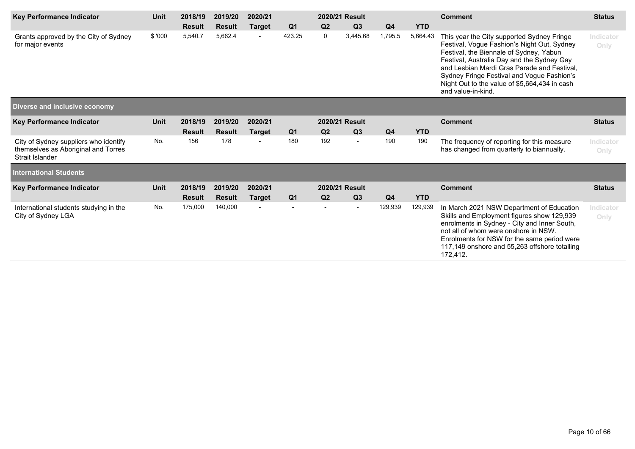| <b>Key Performance Indicator</b>                                                                | Unit        | 2018/19       | 2019/20       | 2020/21                  |                | 2020/21 Result |                | <b>Comment</b> | <b>Status</b> |                                                                                                                                                                                                                                                                                                                                                        |                   |
|-------------------------------------------------------------------------------------------------|-------------|---------------|---------------|--------------------------|----------------|----------------|----------------|----------------|---------------|--------------------------------------------------------------------------------------------------------------------------------------------------------------------------------------------------------------------------------------------------------------------------------------------------------------------------------------------------------|-------------------|
|                                                                                                 |             | <b>Result</b> | <b>Result</b> | <b>Target</b>            | Q <sub>1</sub> | Q2             | Q3             | Q <sub>4</sub> | <b>YTD</b>    |                                                                                                                                                                                                                                                                                                                                                        |                   |
| Grants approved by the City of Sydney<br>for major events                                       | \$'000      | 5,540.7       | 5,662.4       | $\overline{\phantom{a}}$ | 423.25         | 0              | 3,445.68       | 1,795.5        | 5,664.43      | This year the City supported Sydney Fringe<br>Festival, Vogue Fashion's Night Out, Sydney<br>Festival, the Biennale of Sydney, Yabun<br>Festival, Australia Day and the Sydney Gay<br>and Lesbian Mardi Gras Parade and Festival,<br>Sydney Fringe Festival and Voque Fashion's<br>Night Out to the value of \$5,664,434 in cash<br>and value-in-kind. | Indicator<br>Only |
| Diverse and inclusive economy                                                                   |             |               |               |                          |                |                |                |                |               |                                                                                                                                                                                                                                                                                                                                                        |                   |
| <b>Key Performance Indicator</b>                                                                | <b>Unit</b> | 2018/19       | 2019/20       | 2020/21                  |                |                | 2020/21 Result |                |               | <b>Comment</b>                                                                                                                                                                                                                                                                                                                                         | <b>Status</b>     |
|                                                                                                 |             | <b>Result</b> | <b>Result</b> | <b>Target</b>            | Q <sub>1</sub> | Q <sub>2</sub> | Q3             | Q <sub>4</sub> | <b>YTD</b>    |                                                                                                                                                                                                                                                                                                                                                        |                   |
| City of Sydney suppliers who identify<br>themselves as Aboriginal and Torres<br>Strait Islander | No.         | 156           | 178           |                          | 180            | 192            |                | 190            | 190           | The frequency of reporting for this measure<br>has changed from quarterly to biannually.                                                                                                                                                                                                                                                               | Indicator<br>Only |
| <b>International Students</b>                                                                   |             |               |               |                          |                |                |                |                |               |                                                                                                                                                                                                                                                                                                                                                        |                   |
| <b>Key Performance Indicator</b>                                                                | <b>Unit</b> | 2018/19       | 2019/20       | 2020/21                  |                |                | 2020/21 Result |                |               | <b>Comment</b>                                                                                                                                                                                                                                                                                                                                         | <b>Status</b>     |
|                                                                                                 |             | <b>Result</b> | <b>Result</b> | <b>Target</b>            | Q <sub>1</sub> | Q <sub>2</sub> | Q3             | Q <sub>4</sub> | <b>YTD</b>    |                                                                                                                                                                                                                                                                                                                                                        |                   |
| International students studying in the<br>City of Sydney LGA                                    | No.         | 175,000       | 140,000       |                          |                |                |                | 129,939        | 129,939       | In March 2021 NSW Department of Education<br>Skills and Employment figures show 129,939<br>enrolments in Sydney - City and Inner South,<br>not all of whom were onshore in NSW.<br>Enrolments for NSW for the same period were<br>117,149 onshore and 55,263 offshore totalling<br>172,412.                                                            | Indicator<br>Only |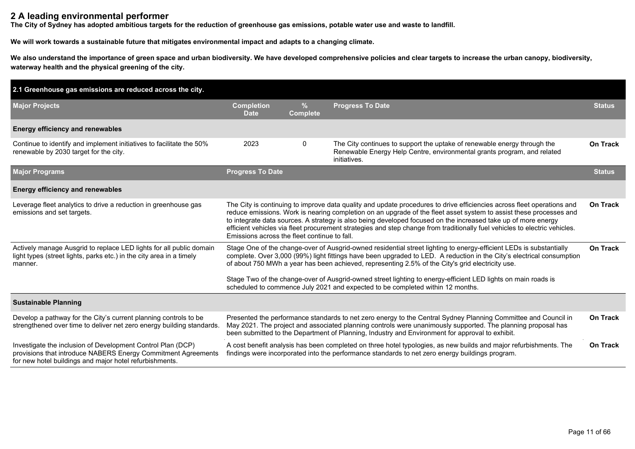## **2 A leading environmental performer**

**The City of Sydney has adopted ambitious targets for the reduction of greenhouse gas emissions, potable water use and waste to landfill.**

**We will work towards a sustainable future that mitigates environmental impact and adapts to a changing climate.**

**We also understand the importance of green space and urban biodiversity. We have developed comprehensive policies and clear targets to increase the urban canopy, biodiversity, waterway health and the physical greening of the city.**

| 2.1 Greenhouse gas emissions are reduced across the city.                                                                                                                                       |                                                                                                                                                                                                                                                                                                                                                                                                                                                                                                                                             |                                  |                                                                                                                                                                                                                                                                                                                                   |                 |  |  |  |
|-------------------------------------------------------------------------------------------------------------------------------------------------------------------------------------------------|---------------------------------------------------------------------------------------------------------------------------------------------------------------------------------------------------------------------------------------------------------------------------------------------------------------------------------------------------------------------------------------------------------------------------------------------------------------------------------------------------------------------------------------------|----------------------------------|-----------------------------------------------------------------------------------------------------------------------------------------------------------------------------------------------------------------------------------------------------------------------------------------------------------------------------------|-----------------|--|--|--|
| <b>Major Projects</b>                                                                                                                                                                           | <b>Completion</b><br><b>Date</b>                                                                                                                                                                                                                                                                                                                                                                                                                                                                                                            | $\frac{9}{6}$<br><b>Complete</b> | <b>Progress To Date</b>                                                                                                                                                                                                                                                                                                           | <b>Status</b>   |  |  |  |
| <b>Energy efficiency and renewables</b>                                                                                                                                                         |                                                                                                                                                                                                                                                                                                                                                                                                                                                                                                                                             |                                  |                                                                                                                                                                                                                                                                                                                                   |                 |  |  |  |
| Continue to identify and implement initiatives to facilitate the 50%<br>renewable by 2030 target for the city.                                                                                  | 2023                                                                                                                                                                                                                                                                                                                                                                                                                                                                                                                                        | $\mathbf 0$                      | The City continues to support the uptake of renewable energy through the<br>Renewable Energy Help Centre, environmental grants program, and related<br>initiatives.                                                                                                                                                               | On Track        |  |  |  |
| <b>Major Programs</b>                                                                                                                                                                           | <b>Progress To Date</b>                                                                                                                                                                                                                                                                                                                                                                                                                                                                                                                     |                                  |                                                                                                                                                                                                                                                                                                                                   | <b>Status</b>   |  |  |  |
| <b>Energy efficiency and renewables</b>                                                                                                                                                         |                                                                                                                                                                                                                                                                                                                                                                                                                                                                                                                                             |                                  |                                                                                                                                                                                                                                                                                                                                   |                 |  |  |  |
| Leverage fleet analytics to drive a reduction in greenhouse gas<br>emissions and set targets.                                                                                                   | The City is continuing to improve data quality and update procedures to drive efficiencies across fleet operations and<br>reduce emissions. Work is nearing completion on an upgrade of the fleet asset system to assist these processes and<br>to integrate data sources. A strategy is also being developed focused on the increased take up of more energy<br>efficient vehicles via fleet procurement strategies and step change from traditionally fuel vehicles to electric vehicles.<br>Emissions across the fleet continue to fall. |                                  |                                                                                                                                                                                                                                                                                                                                   |                 |  |  |  |
| Actively manage Ausgrid to replace LED lights for all public domain<br>light types (street lights, parks etc.) in the city area in a timely<br>manner.                                          | Stage One of the change-over of Ausgrid-owned residential street lighting to energy-efficient LEDs is substantially<br>complete. Over 3,000 (99%) light fittings have been upgraded to LED. A reduction in the City's electrical consumption<br>of about 750 MWh a year has been achieved, representing 2.5% of the City's grid electricity use.                                                                                                                                                                                            |                                  |                                                                                                                                                                                                                                                                                                                                   |                 |  |  |  |
| Stage Two of the change-over of Ausgrid-owned street lighting to energy-efficient LED lights on main roads is<br>scheduled to commence July 2021 and expected to be completed within 12 months. |                                                                                                                                                                                                                                                                                                                                                                                                                                                                                                                                             |                                  |                                                                                                                                                                                                                                                                                                                                   |                 |  |  |  |
| <b>Sustainable Planning</b>                                                                                                                                                                     |                                                                                                                                                                                                                                                                                                                                                                                                                                                                                                                                             |                                  |                                                                                                                                                                                                                                                                                                                                   |                 |  |  |  |
| Develop a pathway for the City's current planning controls to be<br>strengthened over time to deliver net zero energy building standards.                                                       |                                                                                                                                                                                                                                                                                                                                                                                                                                                                                                                                             |                                  | Presented the performance standards to net zero energy to the Central Sydney Planning Committee and Council in<br>May 2021. The project and associated planning controls were unanimously supported. The planning proposal has<br>been submitted to the Department of Planning, Industry and Environment for approval to exhibit. | On Track        |  |  |  |
| Investigate the inclusion of Development Control Plan (DCP)<br>provisions that introduce NABERS Energy Commitment Agreements<br>for new hotel buildings and major hotel refurbishments.         |                                                                                                                                                                                                                                                                                                                                                                                                                                                                                                                                             |                                  | A cost benefit analysis has been completed on three hotel typologies, as new builds and major refurbishments. The<br>findings were incorporated into the performance standards to net zero energy buildings program.                                                                                                              | <b>On Track</b> |  |  |  |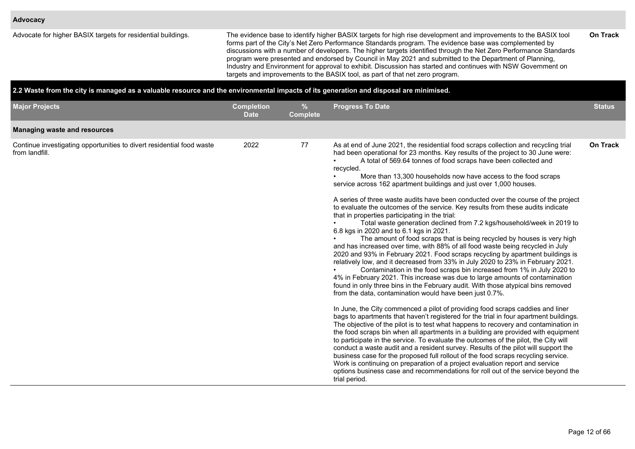Advocate for higher BASIX targets for residential buildings. The evidence base to identify higher BASIX targets for high rise development and improvements to the BASIX tool forms part of the City's Net Zero Performance Standards program. The evidence base was complemented by discussions with a number of developers. The higher targets identified through the Net Zero Performance Standards program were presented and endorsed by Council in May 2021 and submitted to the Department of Planning, Industry and Environment for approval to exhibit. Discussion has started and continues with NSW Government on targets and improvements to the BASIX tool, as part of that net zero program. **On Track**

#### **2.2 Waste from the city is managed as a valuable resource and the environmental impacts of its generation and disposal are minimised.**

| <b>Major Projects</b>                                                                   | <b>Completion</b><br><b>Date</b> | %<br><b>Complete</b> | <b>Progress To Date</b>                                                                                                                                                                                                                                                                                                                                                                                                                                                                                                                                                                                                                                                                                                                                                                                                                                                                                                                                                                                                                                                                                                                                                                                                                                                                                                                                                                                                                                                                                                                                                                                                                                                                                                                                                                                                                                                                                                                                                                                                                                                                                                                                                                               | <b>Status</b>   |
|-----------------------------------------------------------------------------------------|----------------------------------|----------------------|-------------------------------------------------------------------------------------------------------------------------------------------------------------------------------------------------------------------------------------------------------------------------------------------------------------------------------------------------------------------------------------------------------------------------------------------------------------------------------------------------------------------------------------------------------------------------------------------------------------------------------------------------------------------------------------------------------------------------------------------------------------------------------------------------------------------------------------------------------------------------------------------------------------------------------------------------------------------------------------------------------------------------------------------------------------------------------------------------------------------------------------------------------------------------------------------------------------------------------------------------------------------------------------------------------------------------------------------------------------------------------------------------------------------------------------------------------------------------------------------------------------------------------------------------------------------------------------------------------------------------------------------------------------------------------------------------------------------------------------------------------------------------------------------------------------------------------------------------------------------------------------------------------------------------------------------------------------------------------------------------------------------------------------------------------------------------------------------------------------------------------------------------------------------------------------------------------|-----------------|
| <b>Managing waste and resources</b>                                                     |                                  |                      |                                                                                                                                                                                                                                                                                                                                                                                                                                                                                                                                                                                                                                                                                                                                                                                                                                                                                                                                                                                                                                                                                                                                                                                                                                                                                                                                                                                                                                                                                                                                                                                                                                                                                                                                                                                                                                                                                                                                                                                                                                                                                                                                                                                                       |                 |
| Continue investigating opportunities to divert residential food waste<br>from landfill. | 2022                             | 77                   | As at end of June 2021, the residential food scraps collection and recycling trial<br>had been operational for 23 months. Key results of the project to 30 June were:<br>A total of 569.64 tonnes of food scraps have been collected and<br>recycled.<br>More than 13,300 households now have access to the food scraps<br>service across 162 apartment buildings and just over 1,000 houses.<br>A series of three waste audits have been conducted over the course of the project<br>to evaluate the outcomes of the service. Key results from these audits indicate<br>that in properties participating in the trial:<br>Total waste generation declined from 7.2 kgs/household/week in 2019 to<br>6.8 kgs in 2020 and to 6.1 kgs in 2021.<br>The amount of food scraps that is being recycled by houses is very high<br>and has increased over time, with 88% of all food waste being recycled in July<br>2020 and 93% in February 2021. Food scraps recycling by apartment buildings is<br>relatively low, and it decreased from 33% in July 2020 to 23% in February 2021.<br>Contamination in the food scraps bin increased from 1% in July 2020 to<br>4% in February 2021. This increase was due to large amounts of contamination<br>found in only three bins in the February audit. With those atypical bins removed<br>from the data, contamination would have been just 0.7%.<br>In June, the City commenced a pilot of providing food scraps caddies and liner<br>bags to apartments that haven't registered for the trial in four apartment buildings.<br>The objective of the pilot is to test what happens to recovery and contamination in<br>the food scraps bin when all apartments in a building are provided with equipment<br>to participate in the service. To evaluate the outcomes of the pilot, the City will<br>conduct a waste audit and a resident survey. Results of the pilot will support the<br>business case for the proposed full rollout of the food scraps recycling service.<br>Work is continuing on preparation of a project evaluation report and service<br>options business case and recommendations for roll out of the service beyond the<br>trial period. | <b>On Track</b> |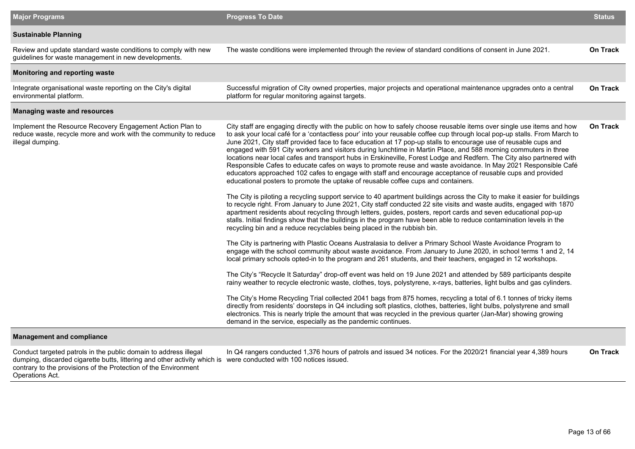| <b>Major Programs</b>                                                                                                                             | <b>Progress To Date</b>                                                                                                                                                                                                                                                                                                                                                                                                                                                                                                                                                                                                                                                                                                                                                                                                                                                                                                                                                                                                                                                                                                                                                                                                                                                                                                                                                                                                                                                                                          | <b>Status</b>   |
|---------------------------------------------------------------------------------------------------------------------------------------------------|------------------------------------------------------------------------------------------------------------------------------------------------------------------------------------------------------------------------------------------------------------------------------------------------------------------------------------------------------------------------------------------------------------------------------------------------------------------------------------------------------------------------------------------------------------------------------------------------------------------------------------------------------------------------------------------------------------------------------------------------------------------------------------------------------------------------------------------------------------------------------------------------------------------------------------------------------------------------------------------------------------------------------------------------------------------------------------------------------------------------------------------------------------------------------------------------------------------------------------------------------------------------------------------------------------------------------------------------------------------------------------------------------------------------------------------------------------------------------------------------------------------|-----------------|
| <b>Sustainable Planning</b>                                                                                                                       |                                                                                                                                                                                                                                                                                                                                                                                                                                                                                                                                                                                                                                                                                                                                                                                                                                                                                                                                                                                                                                                                                                                                                                                                                                                                                                                                                                                                                                                                                                                  |                 |
| Review and update standard waste conditions to comply with new<br>guidelines for waste management in new developments.                            | The waste conditions were implemented through the review of standard conditions of consent in June 2021.                                                                                                                                                                                                                                                                                                                                                                                                                                                                                                                                                                                                                                                                                                                                                                                                                                                                                                                                                                                                                                                                                                                                                                                                                                                                                                                                                                                                         | <b>On Track</b> |
| Monitoring and reporting waste                                                                                                                    |                                                                                                                                                                                                                                                                                                                                                                                                                                                                                                                                                                                                                                                                                                                                                                                                                                                                                                                                                                                                                                                                                                                                                                                                                                                                                                                                                                                                                                                                                                                  |                 |
| Integrate organisational waste reporting on the City's digital<br>environmental platform.                                                         | Successful migration of City owned properties, major projects and operational maintenance upgrades onto a central<br>platform for regular monitoring against targets.                                                                                                                                                                                                                                                                                                                                                                                                                                                                                                                                                                                                                                                                                                                                                                                                                                                                                                                                                                                                                                                                                                                                                                                                                                                                                                                                            | <b>On Track</b> |
| <b>Managing waste and resources</b>                                                                                                               |                                                                                                                                                                                                                                                                                                                                                                                                                                                                                                                                                                                                                                                                                                                                                                                                                                                                                                                                                                                                                                                                                                                                                                                                                                                                                                                                                                                                                                                                                                                  |                 |
| Implement the Resource Recovery Engagement Action Plan to<br>reduce waste, recycle more and work with the community to reduce<br>illegal dumping. | City staff are engaging directly with the public on how to safely choose reusable items over single use items and how<br>to ask your local café for a 'contactless pour' into your reusable coffee cup through local pop-up stalls. From March to<br>June 2021, City staff provided face to face education at 17 pop-up stalls to encourage use of reusable cups and<br>engaged with 591 City workers and visitors during lunchtime in Martin Place, and 588 morning commuters in three<br>locations near local cafes and transport hubs in Erskineville, Forest Lodge and Redfern. The City also partnered with<br>Responsible Cafes to educate cafes on ways to promote reuse and waste avoidance. In May 2021 Responsible Café<br>educators approached 102 cafes to engage with staff and encourage acceptance of reusable cups and provided<br>educational posters to promote the uptake of reusable coffee cups and containers.<br>The City is piloting a recycling support service to 40 apartment buildings across the City to make it easier for buildings<br>to recycle right. From January to June 2021, City staff conducted 22 site visits and waste audits, engaged with 1870<br>apartment residents about recycling through letters, guides, posters, report cards and seven educational pop-up<br>stalls. Initial findings show that the buildings in the program have been able to reduce contamination levels in the<br>recycling bin and a reduce recyclables being placed in the rubbish bin. | On Track        |
|                                                                                                                                                   | The City is partnering with Plastic Oceans Australasia to deliver a Primary School Waste Avoidance Program to<br>engage with the school community about waste avoidance. From January to June 2020, in school terms 1 and 2, 14<br>local primary schools opted-in to the program and 261 students, and their teachers, engaged in 12 workshops.                                                                                                                                                                                                                                                                                                                                                                                                                                                                                                                                                                                                                                                                                                                                                                                                                                                                                                                                                                                                                                                                                                                                                                  |                 |
|                                                                                                                                                   | The City's "Recycle It Saturday" drop-off event was held on 19 June 2021 and attended by 589 participants despite<br>rainy weather to recycle electronic waste, clothes, toys, polystyrene, x-rays, batteries, light bulbs and gas cylinders.                                                                                                                                                                                                                                                                                                                                                                                                                                                                                                                                                                                                                                                                                                                                                                                                                                                                                                                                                                                                                                                                                                                                                                                                                                                                    |                 |
|                                                                                                                                                   | The City's Home Recycling Trial collected 2041 bags from 875 homes, recycling a total of 6.1 tonnes of tricky items<br>directly from residents' doorsteps in Q4 including soft plastics, clothes, batteries, light bulbs, polystyrene and small<br>electronics. This is nearly triple the amount that was recycled in the previous quarter (Jan-Mar) showing growing<br>demand in the service, especially as the pandemic continues.                                                                                                                                                                                                                                                                                                                                                                                                                                                                                                                                                                                                                                                                                                                                                                                                                                                                                                                                                                                                                                                                             |                 |
| <b>Management and compliance</b>                                                                                                                  |                                                                                                                                                                                                                                                                                                                                                                                                                                                                                                                                                                                                                                                                                                                                                                                                                                                                                                                                                                                                                                                                                                                                                                                                                                                                                                                                                                                                                                                                                                                  |                 |

Conduct targeted patrols in the public domain to address illegal dumping, discarded cigarette butts, littering and other activity which is contrary to the provisions of the Protection of the Environment Operations Act. In Q4 rangers conducted 1,376 hours of patrols and issued 34 notices. For the 2020/21 financial year 4,389 hours were conducted with 100 notices issued. **On Track**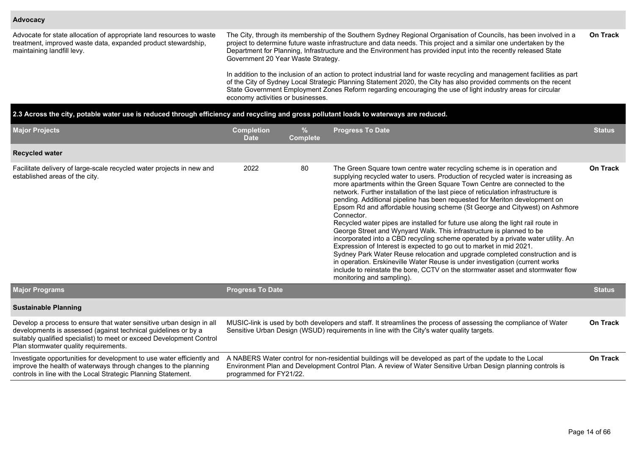#### **Advocacy**

Advocate for state allocation of appropriate land resources to waste treatment, improved waste data, expanded product stewardship, maintaining landfill levy.

The City, through its membership of the Southern Sydney Regional Organisation of Councils, has been involved in a project to determine future waste infrastructure and data needs. This project and a similar one undertaken by the Department for Planning, Infrastructure and the Environment has provided input into the recently released State Government 20 Year Waste Strategy. **On Track**

In addition to the inclusion of an action to protect industrial land for waste recycling and management facilities as part of the City of Sydney Local Strategic Planning Statement 2020, the City has also provided comments on the recent State Government Employment Zones Reform regarding encouraging the use of light industry areas for circular economy activities or businesses.

| 2.3 Across the city, potable water use is reduced through efficiency and recycling and gross pollutant loads to waterways are reduced.                                                                                                                  |                                                                                                                                                                                                                                                                         |                      |                                                                                                                                                                                                                                                                                                                                                                                                                                                                                                                                                                                                                                                                                                                                                                                                                                                                                                                                                                                                                                                                                                              |                 |  |  |  |  |
|---------------------------------------------------------------------------------------------------------------------------------------------------------------------------------------------------------------------------------------------------------|-------------------------------------------------------------------------------------------------------------------------------------------------------------------------------------------------------------------------------------------------------------------------|----------------------|--------------------------------------------------------------------------------------------------------------------------------------------------------------------------------------------------------------------------------------------------------------------------------------------------------------------------------------------------------------------------------------------------------------------------------------------------------------------------------------------------------------------------------------------------------------------------------------------------------------------------------------------------------------------------------------------------------------------------------------------------------------------------------------------------------------------------------------------------------------------------------------------------------------------------------------------------------------------------------------------------------------------------------------------------------------------------------------------------------------|-----------------|--|--|--|--|
| <b>Major Projects</b>                                                                                                                                                                                                                                   | <b>Completion</b><br><b>Date</b>                                                                                                                                                                                                                                        | %<br><b>Complete</b> | <b>Progress To Date</b>                                                                                                                                                                                                                                                                                                                                                                                                                                                                                                                                                                                                                                                                                                                                                                                                                                                                                                                                                                                                                                                                                      |                 |  |  |  |  |
| <b>Recycled water</b>                                                                                                                                                                                                                                   |                                                                                                                                                                                                                                                                         |                      |                                                                                                                                                                                                                                                                                                                                                                                                                                                                                                                                                                                                                                                                                                                                                                                                                                                                                                                                                                                                                                                                                                              |                 |  |  |  |  |
| Facilitate delivery of large-scale recycled water projects in new and<br>established areas of the city.                                                                                                                                                 | 2022                                                                                                                                                                                                                                                                    | 80                   | The Green Square town centre water recycling scheme is in operation and<br>supplying recycled water to users. Production of recycled water is increasing as<br>more apartments within the Green Square Town Centre are connected to the<br>network. Further installation of the last piece of reticulation infrastructure is<br>pending. Additional pipeline has been requested for Meriton development on<br>Epsom Rd and affordable housing scheme (St George and Citywest) on Ashmore<br>Connector.<br>Recycled water pipes are installed for future use along the light rail route in<br>George Street and Wynyard Walk. This infrastructure is planned to be<br>incorporated into a CBD recycling scheme operated by a private water utility. An<br>Expression of Interest is expected to go out to market in mid 2021.<br>Sydney Park Water Reuse relocation and upgrade completed construction and is<br>in operation. Erskineville Water Reuse is under investigation (current works<br>include to reinstate the bore, CCTV on the stormwater asset and stormwater flow<br>monitoring and sampling). | <b>On Track</b> |  |  |  |  |
| <b>Major Programs</b>                                                                                                                                                                                                                                   | <b>Progress To Date</b>                                                                                                                                                                                                                                                 |                      |                                                                                                                                                                                                                                                                                                                                                                                                                                                                                                                                                                                                                                                                                                                                                                                                                                                                                                                                                                                                                                                                                                              | <b>Status</b>   |  |  |  |  |
| <b>Sustainable Planning</b>                                                                                                                                                                                                                             |                                                                                                                                                                                                                                                                         |                      |                                                                                                                                                                                                                                                                                                                                                                                                                                                                                                                                                                                                                                                                                                                                                                                                                                                                                                                                                                                                                                                                                                              |                 |  |  |  |  |
| Develop a process to ensure that water sensitive urban design in all<br>developments is assessed (against technical guidelines or by a<br>suitably qualified specialist) to meet or exceed Development Control<br>Plan stormwater quality requirements. | MUSIC-link is used by both developers and staff. It streamlines the process of assessing the compliance of Water<br>Sensitive Urban Design (WSUD) requirements in line with the City's water quality targets.                                                           |                      |                                                                                                                                                                                                                                                                                                                                                                                                                                                                                                                                                                                                                                                                                                                                                                                                                                                                                                                                                                                                                                                                                                              |                 |  |  |  |  |
| Investigate opportunities for development to use water efficiently and<br>improve the health of waterways through changes to the planning<br>controls in line with the Local Strategic Planning Statement.                                              | A NABERS Water control for non-residential buildings will be developed as part of the update to the Local<br><b>On Track</b><br>Environment Plan and Development Control Plan. A review of Water Sensitive Urban Design planning controls is<br>programmed for FY21/22. |                      |                                                                                                                                                                                                                                                                                                                                                                                                                                                                                                                                                                                                                                                                                                                                                                                                                                                                                                                                                                                                                                                                                                              |                 |  |  |  |  |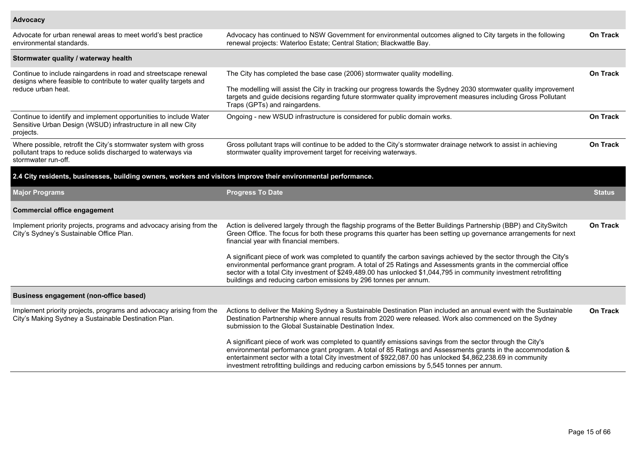## **Advocacy**

| Advocate for urban renewal areas to meet world's best practice<br>environmental standards.                                                              | Advocacy has continued to NSW Government for environmental outcomes aligned to City targets in the following<br>renewal projects: Waterloo Estate; Central Station; Blackwattle Bay.                                                                                                                                                                                                                                                   | On Track        |
|---------------------------------------------------------------------------------------------------------------------------------------------------------|----------------------------------------------------------------------------------------------------------------------------------------------------------------------------------------------------------------------------------------------------------------------------------------------------------------------------------------------------------------------------------------------------------------------------------------|-----------------|
| Stormwater quality / waterway health                                                                                                                    |                                                                                                                                                                                                                                                                                                                                                                                                                                        |                 |
| Continue to include raingardens in road and streetscape renewal<br>designs where feasible to contribute to water quality targets and                    | The City has completed the base case (2006) stormwater quality modelling.                                                                                                                                                                                                                                                                                                                                                              | <b>On Track</b> |
| reduce urban heat.                                                                                                                                      | The modelling will assist the City in tracking our progress towards the Sydney 2030 stormwater quality improvement<br>targets and guide decisions regarding future stormwater quality improvement measures including Gross Pollutant<br>Traps (GPTs) and raingardens.                                                                                                                                                                  |                 |
| Continue to identify and implement opportunities to include Water<br>Sensitive Urban Design (WSUD) infrastructure in all new City<br>projects.          | Ongoing - new WSUD infrastructure is considered for public domain works.                                                                                                                                                                                                                                                                                                                                                               | <b>On Track</b> |
| Where possible, retrofit the City's stormwater system with gross<br>pollutant traps to reduce solids discharged to waterways via<br>stormwater run-off. | Gross pollutant traps will continue to be added to the City's stormwater drainage network to assist in achieving<br>stormwater quality improvement target for receiving waterways.                                                                                                                                                                                                                                                     | <b>On Track</b> |
| 2.4 City residents, businesses, building owners, workers and visitors improve their environmental performance.                                          |                                                                                                                                                                                                                                                                                                                                                                                                                                        |                 |
| <b>Major Programs</b>                                                                                                                                   | <b>Progress To Date</b>                                                                                                                                                                                                                                                                                                                                                                                                                | <b>Status</b>   |
| <b>Commercial office engagement</b>                                                                                                                     |                                                                                                                                                                                                                                                                                                                                                                                                                                        |                 |
| Implement priority projects, programs and advocacy arising from the<br>City's Sydney's Sustainable Office Plan.                                         | Action is delivered largely through the flagship programs of the Better Buildings Partnership (BBP) and CitySwitch<br>Green Office. The focus for both these programs this quarter has been setting up governance arrangements for next<br>financial year with financial members.                                                                                                                                                      | <b>On Track</b> |
|                                                                                                                                                         | A significant piece of work was completed to quantify the carbon savings achieved by the sector through the City's<br>environmental performance grant program. A total of 25 Ratings and Assessments grants in the commercial office<br>sector with a total City investment of \$249,489.00 has unlocked \$1,044,795 in community investment retrofitting<br>buildings and reducing carbon emissions by 296 tonnes per annum.          |                 |
| Business engagement (non-office based)                                                                                                                  |                                                                                                                                                                                                                                                                                                                                                                                                                                        |                 |
| Implement priority projects, programs and advocacy arising from the<br>City's Making Sydney a Sustainable Destination Plan.                             | Actions to deliver the Making Sydney a Sustainable Destination Plan included an annual event with the Sustainable<br>Destination Partnership where annual results from 2020 were released. Work also commenced on the Sydney<br>submission to the Global Sustainable Destination Index.                                                                                                                                                | <b>On Track</b> |
|                                                                                                                                                         | A significant piece of work was completed to quantify emissions savings from the sector through the City's<br>environmental performance grant program. A total of 85 Ratings and Assessments grants in the accommodation &<br>entertainment sector with a total City investment of \$922,087.00 has unlocked \$4,862,238.69 in community<br>investment retrofitting buildings and reducing carbon emissions by 5,545 tonnes per annum. |                 |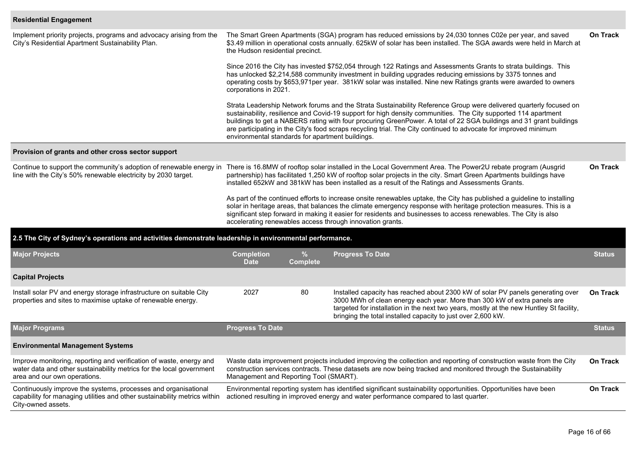## **Residential Engagement**

| Implement priority projects, programs and advocacy arising from the<br>City's Residential Apartment Sustainability Plan.                                                    | the Hudson residential precinct.                                                                                                                                                                                                                                                                                                                                                                                                                                                                                                    |                                                                                                                                                                                                                                                                                                                                                                         | The Smart Green Apartments (SGA) program has reduced emissions by 24,030 tonnes C02e per year, and saved<br>\$3.49 million in operational costs annually. 625kW of solar has been installed. The SGA awards were held in March at                                                                                                     | <b>On Track</b> |  |  |  |  |  |  |  |
|-----------------------------------------------------------------------------------------------------------------------------------------------------------------------------|-------------------------------------------------------------------------------------------------------------------------------------------------------------------------------------------------------------------------------------------------------------------------------------------------------------------------------------------------------------------------------------------------------------------------------------------------------------------------------------------------------------------------------------|-------------------------------------------------------------------------------------------------------------------------------------------------------------------------------------------------------------------------------------------------------------------------------------------------------------------------------------------------------------------------|---------------------------------------------------------------------------------------------------------------------------------------------------------------------------------------------------------------------------------------------------------------------------------------------------------------------------------------|-----------------|--|--|--|--|--|--|--|
|                                                                                                                                                                             |                                                                                                                                                                                                                                                                                                                                                                                                                                                                                                                                     | Since 2016 the City has invested \$752,054 through 122 Ratings and Assessments Grants to strata buildings. This<br>has unlocked \$2,214,588 community investment in building upgrades reducing emissions by 3375 tonnes and<br>operating costs by \$653,971per year. 381kW solar was installed. Nine new Ratings grants were awarded to owners<br>corporations in 2021. |                                                                                                                                                                                                                                                                                                                                       |                 |  |  |  |  |  |  |  |
|                                                                                                                                                                             | Strata Leadership Network forums and the Strata Sustainability Reference Group were delivered quarterly focused on<br>sustainability, resilience and Covid-19 support for high density communities. The City supported 114 apartment<br>buildings to get a NABERS rating with four procuring GreenPower. A total of 22 SGA buildings and 31 grant buildings<br>are participating in the City's food scraps recycling trial. The City continued to advocate for improved minimum<br>environmental standards for apartment buildings. |                                                                                                                                                                                                                                                                                                                                                                         |                                                                                                                                                                                                                                                                                                                                       |                 |  |  |  |  |  |  |  |
| Provision of grants and other cross sector support                                                                                                                          |                                                                                                                                                                                                                                                                                                                                                                                                                                                                                                                                     |                                                                                                                                                                                                                                                                                                                                                                         |                                                                                                                                                                                                                                                                                                                                       |                 |  |  |  |  |  |  |  |
| Continue to support the community's adoption of renewable energy in<br>line with the City's 50% renewable electricity by 2030 target.                                       |                                                                                                                                                                                                                                                                                                                                                                                                                                                                                                                                     |                                                                                                                                                                                                                                                                                                                                                                         | There is 16.8MW of rooftop solar installed in the Local Government Area. The Power2U rebate program (Ausgrid<br>partnership) has facilitated 1,250 kW of rooftop solar projects in the city. Smart Green Apartments buildings have<br>installed 652kW and 381kW has been installed as a result of the Ratings and Assessments Grants. | On Track        |  |  |  |  |  |  |  |
|                                                                                                                                                                             | As part of the continued efforts to increase onsite renewables uptake, the City has published a guideline to installing<br>solar in heritage areas, that balances the climate emergency response with heritage protection measures. This is a<br>significant step forward in making it easier for residents and businesses to access renewables. The City is also<br>accelerating renewables access through innovation grants.                                                                                                      |                                                                                                                                                                                                                                                                                                                                                                         |                                                                                                                                                                                                                                                                                                                                       |                 |  |  |  |  |  |  |  |
| 2.5 The City of Sydney's operations and activities demonstrate leadership in environmental performance.                                                                     |                                                                                                                                                                                                                                                                                                                                                                                                                                                                                                                                     |                                                                                                                                                                                                                                                                                                                                                                         |                                                                                                                                                                                                                                                                                                                                       |                 |  |  |  |  |  |  |  |
| <b>Major Projects</b>                                                                                                                                                       | <b>Completion</b><br><b>Date</b>                                                                                                                                                                                                                                                                                                                                                                                                                                                                                                    | $\frac{9}{6}$<br><b>Complete</b>                                                                                                                                                                                                                                                                                                                                        | <b>Progress To Date</b>                                                                                                                                                                                                                                                                                                               | <b>Status</b>   |  |  |  |  |  |  |  |
| <b>Capital Projects</b>                                                                                                                                                     |                                                                                                                                                                                                                                                                                                                                                                                                                                                                                                                                     |                                                                                                                                                                                                                                                                                                                                                                         |                                                                                                                                                                                                                                                                                                                                       |                 |  |  |  |  |  |  |  |
| Install solar PV and energy storage infrastructure on suitable City<br>properties and sites to maximise uptake of renewable energy.                                         | 2027                                                                                                                                                                                                                                                                                                                                                                                                                                                                                                                                | 80                                                                                                                                                                                                                                                                                                                                                                      | Installed capacity has reached about 2300 kW of solar PV panels generating over<br>3000 MWh of clean energy each year. More than 300 kW of extra panels are<br>targeted for installation in the next two years, mostly at the new Huntley St facility,<br>bringing the total installed capacity to just over 2,600 kW.                | <b>On Track</b> |  |  |  |  |  |  |  |
| <b>Major Programs</b>                                                                                                                                                       | <b>Progress To Date</b>                                                                                                                                                                                                                                                                                                                                                                                                                                                                                                             |                                                                                                                                                                                                                                                                                                                                                                         |                                                                                                                                                                                                                                                                                                                                       | <b>Status</b>   |  |  |  |  |  |  |  |
| <b>Environmental Management Systems</b>                                                                                                                                     |                                                                                                                                                                                                                                                                                                                                                                                                                                                                                                                                     |                                                                                                                                                                                                                                                                                                                                                                         |                                                                                                                                                                                                                                                                                                                                       |                 |  |  |  |  |  |  |  |
| Improve monitoring, reporting and verification of waste, energy and<br>water data and other sustainability metrics for the local government<br>area and our own operations. | Management and Reporting Tool (SMART).                                                                                                                                                                                                                                                                                                                                                                                                                                                                                              |                                                                                                                                                                                                                                                                                                                                                                         | Waste data improvement projects included improving the collection and reporting of construction waste from the City<br>construction services contracts. These datasets are now being tracked and monitored through the Sustainability                                                                                                 | <b>On Track</b> |  |  |  |  |  |  |  |
| Continuously improve the systems, processes and organisational<br>capability for managing utilities and other sustainability metrics within<br>City-owned assets.           |                                                                                                                                                                                                                                                                                                                                                                                                                                                                                                                                     |                                                                                                                                                                                                                                                                                                                                                                         | Environmental reporting system has identified significant sustainability opportunities. Opportunities have been<br>actioned resulting in improved energy and water performance compared to last quarter.                                                                                                                              | <b>On Track</b> |  |  |  |  |  |  |  |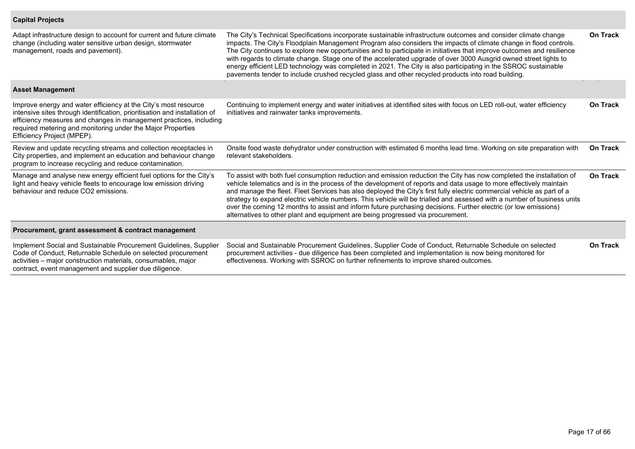## **Capital Projects**

| Adapt infrastructure design to account for current and future climate<br>change (including water sensitive urban design, stormwater<br>management, roads and pavement).                                                                                                                                          | The City's Technical Specifications incorporate sustainable infrastructure outcomes and consider climate change<br>impacts. The City's Floodplain Management Program also considers the impacts of climate change in flood controls.<br>The City continues to explore new opportunities and to participate in initiatives that improve outcomes and resilience<br>with regards to climate change. Stage one of the accelerated upgrade of over 3000 Ausgrid owned street lights to<br>energy efficient LED technology was completed in 2021. The City is also participating in the SSROC sustainable<br>pavements tender to include crushed recycled glass and other recycled products into road building. | On Track        |
|------------------------------------------------------------------------------------------------------------------------------------------------------------------------------------------------------------------------------------------------------------------------------------------------------------------|------------------------------------------------------------------------------------------------------------------------------------------------------------------------------------------------------------------------------------------------------------------------------------------------------------------------------------------------------------------------------------------------------------------------------------------------------------------------------------------------------------------------------------------------------------------------------------------------------------------------------------------------------------------------------------------------------------|-----------------|
| <b>Asset Management</b>                                                                                                                                                                                                                                                                                          |                                                                                                                                                                                                                                                                                                                                                                                                                                                                                                                                                                                                                                                                                                            |                 |
| Improve energy and water efficiency at the City's most resource<br>intensive sites through identification, prioritisation and installation of<br>efficiency measures and changes in management practices, including<br>required metering and monitoring under the Major Properties<br>Efficiency Project (MPEP). | Continuing to implement energy and water initiatives at identified sites with focus on LED roll-out, water efficiency<br>initiatives and rainwater tanks improvements.                                                                                                                                                                                                                                                                                                                                                                                                                                                                                                                                     | <b>On Track</b> |
| Review and update recycling streams and collection receptacles in<br>City properties, and implement an education and behaviour change<br>program to increase recycling and reduce contamination.                                                                                                                 | Onsite food waste dehydrator under construction with estimated 6 months lead time. Working on site preparation with<br>relevant stakeholders.                                                                                                                                                                                                                                                                                                                                                                                                                                                                                                                                                              | <b>On Track</b> |
| Manage and analyse new energy efficient fuel options for the City's<br>light and heavy vehicle fleets to encourage low emission driving<br>behaviour and reduce CO2 emissions.                                                                                                                                   | To assist with both fuel consumption reduction and emission reduction the City has now completed the installation of<br>vehicle telematics and is in the process of the development of reports and data usage to more effectively maintain<br>and manage the fleet. Fleet Services has also deployed the City's first fully electric commercial vehicle as part of a<br>strategy to expand electric vehicle numbers. This vehicle will be trialled and assessed with a number of business units<br>over the coming 12 months to assist and inform future purchasing decisions. Further electric (or low emissions)<br>alternatives to other plant and equipment are being progressed via procurement.      | <b>On Track</b> |
| Procurement, grant assessment & contract management                                                                                                                                                                                                                                                              |                                                                                                                                                                                                                                                                                                                                                                                                                                                                                                                                                                                                                                                                                                            |                 |
| Implement Social and Sustainable Procurement Guidelines, Supplier<br>Code of Conduct, Returnable Schedule on selected procurement<br>activities - major construction materials, consumables, major<br>contract, event management and supplier due diligence.                                                     | Social and Sustainable Procurement Guidelines, Supplier Code of Conduct, Returnable Schedule on selected<br>procurement activities - due diligence has been completed and implementation is now being monitored for<br>effectiveness. Working with SSROC on further refinements to improve shared outcomes.                                                                                                                                                                                                                                                                                                                                                                                                | <b>On Track</b> |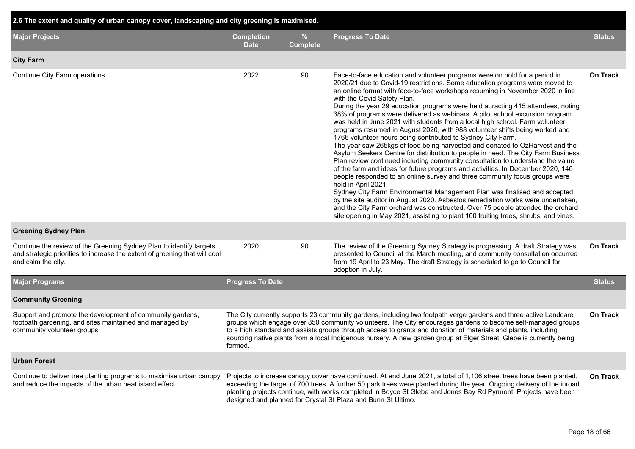| 2.6 The extent and quality of urban canopy cover, landscaping and city greening is maximised.                                                                           |                                  |                      |                                                                                                                                                                                                                                                                                                                                                                                                                                                                                                                                                                                                                                                                                                                                                                                                                                                                                                                                                                                                                                                                                                                                                                                                                                                                                                                                                                                                                                                                     |                 |  |  |  |  |  |  |
|-------------------------------------------------------------------------------------------------------------------------------------------------------------------------|----------------------------------|----------------------|---------------------------------------------------------------------------------------------------------------------------------------------------------------------------------------------------------------------------------------------------------------------------------------------------------------------------------------------------------------------------------------------------------------------------------------------------------------------------------------------------------------------------------------------------------------------------------------------------------------------------------------------------------------------------------------------------------------------------------------------------------------------------------------------------------------------------------------------------------------------------------------------------------------------------------------------------------------------------------------------------------------------------------------------------------------------------------------------------------------------------------------------------------------------------------------------------------------------------------------------------------------------------------------------------------------------------------------------------------------------------------------------------------------------------------------------------------------------|-----------------|--|--|--|--|--|--|
| <b>Major Projects</b>                                                                                                                                                   | <b>Completion</b><br><b>Date</b> | %<br><b>Complete</b> | <b>Progress To Date</b>                                                                                                                                                                                                                                                                                                                                                                                                                                                                                                                                                                                                                                                                                                                                                                                                                                                                                                                                                                                                                                                                                                                                                                                                                                                                                                                                                                                                                                             | <b>Status</b>   |  |  |  |  |  |  |
| <b>City Farm</b>                                                                                                                                                        |                                  |                      |                                                                                                                                                                                                                                                                                                                                                                                                                                                                                                                                                                                                                                                                                                                                                                                                                                                                                                                                                                                                                                                                                                                                                                                                                                                                                                                                                                                                                                                                     |                 |  |  |  |  |  |  |
| Continue City Farm operations.                                                                                                                                          | 2022                             | 90                   | Face-to-face education and volunteer programs were on hold for a period in<br>2020/21 due to Covid-19 restrictions. Some education programs were moved to<br>an online format with face-to-face workshops resuming in November 2020 in line<br>with the Covid Safety Plan.<br>During the year 29 education programs were held attracting 415 attendees, noting<br>38% of programs were delivered as webinars. A pilot school excursion program<br>was held in June 2021 with students from a local high school. Farm volunteer<br>programs resumed in August 2020, with 988 volunteer shifts being worked and<br>1766 volunteer hours being contributed to Sydney City Farm.<br>The year saw 265kgs of food being harvested and donated to OzHarvest and the<br>Asylum Seekers Centre for distribution to people in need. The City Farm Business<br>Plan review continued including community consultation to understand the value<br>of the farm and ideas for future programs and activities. In December 2020, 146<br>people responded to an online survey and three community focus groups were<br>held in April 2021.<br>Sydney City Farm Environmental Management Plan was finalised and accepted<br>by the site auditor in August 2020. Asbestos remediation works were undertaken,<br>and the City Farm orchard was constructed. Over 75 people attended the orchard<br>site opening in May 2021, assisting to plant 100 fruiting trees, shrubs, and vines. | On Track        |  |  |  |  |  |  |
| <b>Greening Sydney Plan</b>                                                                                                                                             |                                  |                      |                                                                                                                                                                                                                                                                                                                                                                                                                                                                                                                                                                                                                                                                                                                                                                                                                                                                                                                                                                                                                                                                                                                                                                                                                                                                                                                                                                                                                                                                     |                 |  |  |  |  |  |  |
| Continue the review of the Greening Sydney Plan to identify targets<br>and strategic priorities to increase the extent of greening that will cool<br>and calm the city. | 2020                             | 90                   | The review of the Greening Sydney Strategy is progressing. A draft Strategy was<br>presented to Council at the March meeting, and community consultation occurred<br>from 19 April to 23 May. The draft Strategy is scheduled to go to Council for<br>adoption in July.                                                                                                                                                                                                                                                                                                                                                                                                                                                                                                                                                                                                                                                                                                                                                                                                                                                                                                                                                                                                                                                                                                                                                                                             | <b>On Track</b> |  |  |  |  |  |  |
| <b>Major Programs</b>                                                                                                                                                   | <b>Progress To Date</b>          |                      |                                                                                                                                                                                                                                                                                                                                                                                                                                                                                                                                                                                                                                                                                                                                                                                                                                                                                                                                                                                                                                                                                                                                                                                                                                                                                                                                                                                                                                                                     | <b>Status</b>   |  |  |  |  |  |  |
| <b>Community Greening</b>                                                                                                                                               |                                  |                      |                                                                                                                                                                                                                                                                                                                                                                                                                                                                                                                                                                                                                                                                                                                                                                                                                                                                                                                                                                                                                                                                                                                                                                                                                                                                                                                                                                                                                                                                     |                 |  |  |  |  |  |  |
| Support and promote the development of community gardens,<br>footpath gardening, and sites maintained and managed by<br>community volunteer groups.                     | formed.                          |                      | The City currently supports 23 community gardens, including two footpath verge gardens and three active Landcare<br>groups which engage over 850 community volunteers. The City encourages gardens to become self-managed groups<br>to a high standard and assists groups through access to grants and donation of materials and plants, including<br>sourcing native plants from a local Indigenous nursery. A new garden group at Elger Street, Glebe is currently being                                                                                                                                                                                                                                                                                                                                                                                                                                                                                                                                                                                                                                                                                                                                                                                                                                                                                                                                                                                          | <b>On Track</b> |  |  |  |  |  |  |
| <b>Urban Forest</b>                                                                                                                                                     |                                  |                      |                                                                                                                                                                                                                                                                                                                                                                                                                                                                                                                                                                                                                                                                                                                                                                                                                                                                                                                                                                                                                                                                                                                                                                                                                                                                                                                                                                                                                                                                     |                 |  |  |  |  |  |  |
| Continue to deliver tree planting programs to maximise urban canopy<br>and reduce the impacts of the urban heat island effect.                                          |                                  |                      | Projects to increase canopy cover have continued. At end June 2021, a total of 1,106 street trees have been planted,<br>exceeding the target of 700 trees. A further 50 park trees were planted during the year. Ongoing delivery of the inroad<br>planting projects continue, with works completed in Boyce St Glebe and Jones Bay Rd Pyrmont. Projects have been<br>designed and planned for Crystal St Plaza and Bunn St Ultimo.                                                                                                                                                                                                                                                                                                                                                                                                                                                                                                                                                                                                                                                                                                                                                                                                                                                                                                                                                                                                                                 | <b>On Track</b> |  |  |  |  |  |  |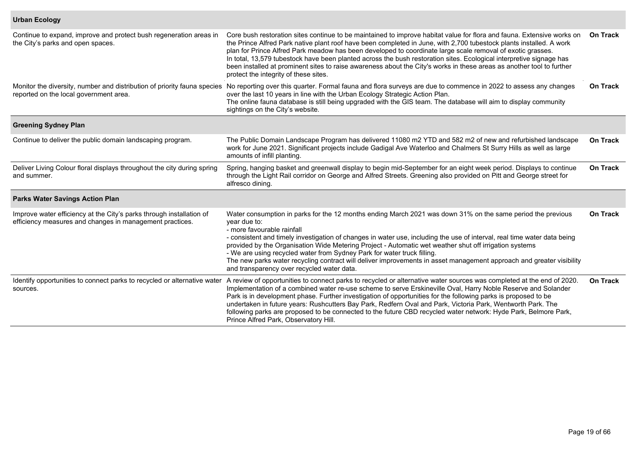## **Urban Ecology**

| Continue to expand, improve and protect bush regeneration areas in<br>the City's parks and open spaces.                          | Core bush restoration sites continue to be maintained to improve habitat value for flora and fauna. Extensive works on<br>the Prince Alfred Park native plant roof have been completed in June, with 2,700 tubestock plants installed. A work<br>plan for Prince Alfred Park meadow has been developed to coordinate large scale removal of exotic grasses.<br>In total, 13,579 tubestock have been planted across the bush restoration sites. Ecological interpretive signage has<br>been installed at prominent sites to raise awareness about the City's works in these areas as another tool to further<br>protect the integrity of these sites. | <b>On Track</b> |
|----------------------------------------------------------------------------------------------------------------------------------|------------------------------------------------------------------------------------------------------------------------------------------------------------------------------------------------------------------------------------------------------------------------------------------------------------------------------------------------------------------------------------------------------------------------------------------------------------------------------------------------------------------------------------------------------------------------------------------------------------------------------------------------------|-----------------|
| reported on the local government area.                                                                                           | Monitor the diversity, number and distribution of priority fauna species No reporting over this quarter. Formal fauna and flora surveys are due to commence in 2022 to assess any changes<br>over the last 10 years in line with the Urban Ecology Strategic Action Plan.<br>The online fauna database is still being upgraded with the GIS team. The database will aim to display community<br>sightings on the City's website.                                                                                                                                                                                                                     | <b>On Track</b> |
| <b>Greening Sydney Plan</b>                                                                                                      |                                                                                                                                                                                                                                                                                                                                                                                                                                                                                                                                                                                                                                                      |                 |
| Continue to deliver the public domain landscaping program.                                                                       | The Public Domain Landscape Program has delivered 11080 m2 YTD and 582 m2 of new and refurbished landscape<br>work for June 2021. Significant projects include Gadigal Ave Waterloo and Chalmers St Surry Hills as well as large<br>amounts of infill planting.                                                                                                                                                                                                                                                                                                                                                                                      | <b>On Track</b> |
| Deliver Living Colour floral displays throughout the city during spring<br>and summer.                                           | Spring, hanging basket and greenwall display to begin mid-September for an eight week period. Displays to continue<br>through the Light Rail corridor on George and Alfred Streets. Greening also provided on Pitt and George street for<br>alfresco dining.                                                                                                                                                                                                                                                                                                                                                                                         | <b>On Track</b> |
| <b>Parks Water Savings Action Plan</b>                                                                                           |                                                                                                                                                                                                                                                                                                                                                                                                                                                                                                                                                                                                                                                      |                 |
| Improve water efficiency at the City's parks through installation of<br>efficiency measures and changes in management practices. | Water consumption in parks for the 12 months ending March 2021 was down 31% on the same period the previous<br>year due to:<br>- more favourable rainfall<br>- consistent and timely investigation of changes in water use, including the use of interval, real time water data being<br>provided by the Organisation Wide Metering Project - Automatic wet weather shut off irrigation systems<br>- We are using recycled water from Sydney Park for water truck filling.<br>The new parks water recycling contract will deliver improvements in asset management approach and greater visibility<br>and transparency over recycled water data.     | <b>On Track</b> |
| Identify opportunities to connect parks to recycled or alternative water<br>sources.                                             | A review of opportunities to connect parks to recycled or alternative water sources was completed at the end of 2020.<br>Implementation of a combined water re-use scheme to serve Erskineville Oval, Harry Noble Reserve and Solander<br>Park is in development phase. Further investigation of opportunities for the following parks is proposed to be<br>undertaken in future years: Rushcutters Bay Park, Redfern Oval and Park, Victoria Park, Wentworth Park. The<br>following parks are proposed to be connected to the future CBD recycled water network: Hyde Park, Belmore Park,<br>Prince Alfred Park, Observatory Hill.                  | <b>On Track</b> |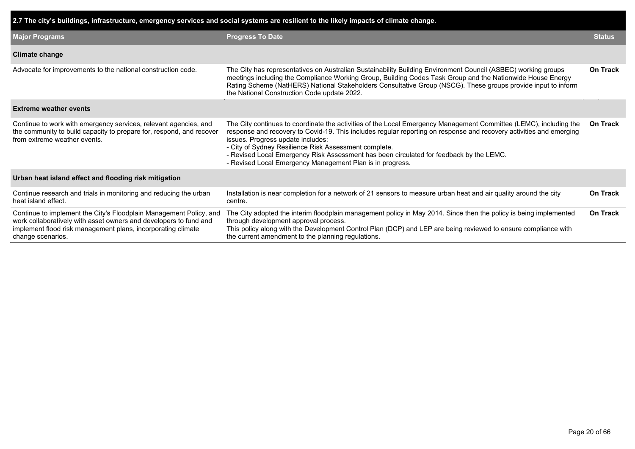| 2.7 The city's buildings, infrastructure, emergency services and social systems are resilient to the likely impacts of climate change.                                                                                       |                                                                                                                                                                                                                                                                                                                                                                                                                                                                                                |                 |  |  |  |  |  |
|------------------------------------------------------------------------------------------------------------------------------------------------------------------------------------------------------------------------------|------------------------------------------------------------------------------------------------------------------------------------------------------------------------------------------------------------------------------------------------------------------------------------------------------------------------------------------------------------------------------------------------------------------------------------------------------------------------------------------------|-----------------|--|--|--|--|--|
| <b>Major Programs</b>                                                                                                                                                                                                        | <b>Progress To Date</b>                                                                                                                                                                                                                                                                                                                                                                                                                                                                        |                 |  |  |  |  |  |
| <b>Climate change</b>                                                                                                                                                                                                        |                                                                                                                                                                                                                                                                                                                                                                                                                                                                                                |                 |  |  |  |  |  |
| Advocate for improvements to the national construction code.                                                                                                                                                                 | The City has representatives on Australian Sustainability Building Environment Council (ASBEC) working groups<br>meetings including the Compliance Working Group, Building Codes Task Group and the Nationwide House Energy<br>Rating Scheme (NatHERS) National Stakeholders Consultative Group (NSCG). These groups provide input to inform<br>the National Construction Code update 2022.                                                                                                    | <b>On Track</b> |  |  |  |  |  |
| <b>Extreme weather events</b>                                                                                                                                                                                                |                                                                                                                                                                                                                                                                                                                                                                                                                                                                                                |                 |  |  |  |  |  |
| Continue to work with emergency services, relevant agencies, and<br>the community to build capacity to prepare for, respond, and recover<br>from extreme weather events.                                                     | The City continues to coordinate the activities of the Local Emergency Management Committee (LEMC), including the<br>response and recovery to Covid-19. This includes regular reporting on response and recovery activities and emerging<br>issues. Progress update includes:<br>- City of Sydney Resilience Risk Assessment complete.<br>- Revised Local Emergency Risk Assessment has been circulated for feedback by the LEMC.<br>- Revised Local Emergency Management Plan is in progress. | On Track        |  |  |  |  |  |
| Urban heat island effect and flooding risk mitigation                                                                                                                                                                        |                                                                                                                                                                                                                                                                                                                                                                                                                                                                                                |                 |  |  |  |  |  |
| Continue research and trials in monitoring and reducing the urban<br>heat island effect.                                                                                                                                     | Installation is near completion for a network of 21 sensors to measure urban heat and air quality around the city<br>centre.                                                                                                                                                                                                                                                                                                                                                                   | On Track        |  |  |  |  |  |
| Continue to implement the City's Floodplain Management Policy, and<br>work collaboratively with asset owners and developers to fund and<br>implement flood risk management plans, incorporating climate<br>change scenarios. | The City adopted the interim floodplain management policy in May 2014. Since then the policy is being implemented<br>through development approval process.<br>This policy along with the Development Control Plan (DCP) and LEP are being reviewed to ensure compliance with<br>the current amendment to the planning regulations.                                                                                                                                                             | <b>On Track</b> |  |  |  |  |  |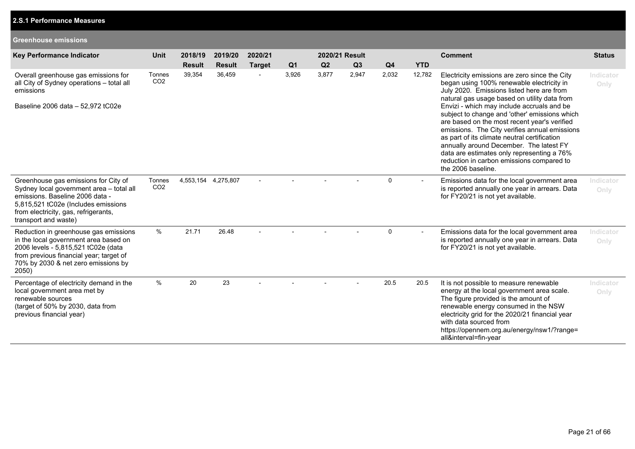## **2.S.1 Performance Measures**

#### **Greenhouse emissions**

| <b>Key Performance Indicator</b>                                                                                                                                                                                           | <b>Unit</b>               | 2018/19             | 2019/20       | 2020/21        |                | 2020/21 Result |       |                |                          | <b>Comment</b>                                                                                                                                                                                                                                                                                                                                                                                                                                                                                                                                                                                      | <b>Status</b>     |
|----------------------------------------------------------------------------------------------------------------------------------------------------------------------------------------------------------------------------|---------------------------|---------------------|---------------|----------------|----------------|----------------|-------|----------------|--------------------------|-----------------------------------------------------------------------------------------------------------------------------------------------------------------------------------------------------------------------------------------------------------------------------------------------------------------------------------------------------------------------------------------------------------------------------------------------------------------------------------------------------------------------------------------------------------------------------------------------------|-------------------|
|                                                                                                                                                                                                                            |                           | <b>Result</b>       | <b>Result</b> | <b>Target</b>  | Q <sub>1</sub> | Q2             | Q3    | Q <sub>4</sub> | <b>YTD</b>               |                                                                                                                                                                                                                                                                                                                                                                                                                                                                                                                                                                                                     |                   |
| Overall greenhouse gas emissions for<br>all City of Sydney operations - total all<br>emissions<br>Baseline 2006 data - 52,972 tC02e                                                                                        | Tonnes<br>CO <sub>2</sub> | 39,354              | 36,459        | $\blacksquare$ | 3,926          | 3,877          | 2,947 | 2,032          | 12,782                   | Electricity emissions are zero since the City<br>began using 100% renewable electricity in<br>July 2020. Emissions listed here are from<br>natural gas usage based on utility data from<br>Envizi - which may include accruals and be<br>subject to change and 'other' emissions which<br>are based on the most recent year's verified<br>emissions. The City verifies annual emissions<br>as part of its climate neutral certification<br>annually around December. The latest FY<br>data are estimates only representing a 76%<br>reduction in carbon emissions compared to<br>the 2006 baseline. | Indicator<br>Only |
| Greenhouse gas emissions for City of<br>Sydney local government area - total all<br>emissions. Baseline 2006 data -<br>5,815,521 tC02e (Includes emissions<br>from electricity, gas, refrigerants,<br>transport and waste) | Tonnes<br>CO <sub>2</sub> | 4,553,154 4,275,807 |               |                |                |                |       | 0              | $\overline{\phantom{0}}$ | Emissions data for the local government area<br>is reported annually one year in arrears. Data<br>for FY20/21 is not yet available.                                                                                                                                                                                                                                                                                                                                                                                                                                                                 | Indicator<br>Only |
| Reduction in greenhouse gas emissions<br>in the local government area based on<br>2006 levels - 5,815,521 tC02e (data<br>from previous financial year; target of<br>70% by 2030 & net zero emissions by<br>2050)           | $\%$                      | 21.71               | 26.48         |                |                |                |       | $\Omega$       |                          | Emissions data for the local government area<br>is reported annually one year in arrears. Data<br>for FY20/21 is not yet available.                                                                                                                                                                                                                                                                                                                                                                                                                                                                 | Indicator<br>Only |
| Percentage of electricity demand in the<br>local government area met by<br>renewable sources<br>(target of 50% by 2030, data from<br>previous financial year)                                                              | $\%$                      | 20                  | 23            |                |                |                |       | 20.5           | 20.5                     | It is not possible to measure renewable<br>energy at the local government area scale.<br>The figure provided is the amount of<br>renewable energy consumed in the NSW<br>electricity grid for the 2020/21 financial year<br>with data sourced from<br>https://opennem.org.au/energy/nsw1/?range=<br>all&interval=fin-year                                                                                                                                                                                                                                                                           | Indicator<br>Only |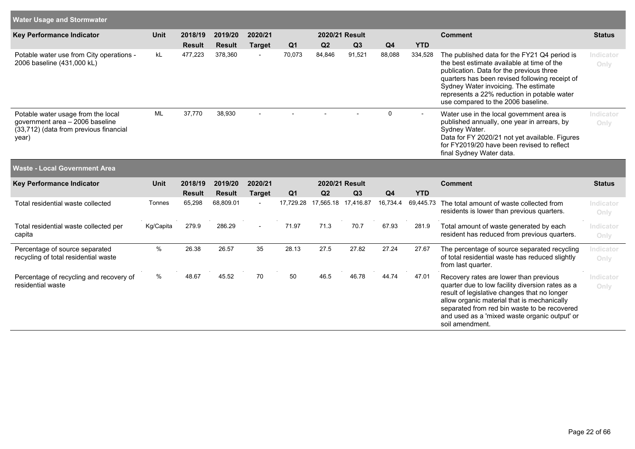| Water Usage and Stormwater                                                                                               |           |               |               |                |                |        |                     |                |            |                                                                                                                                                                                                                                                                                                                       |                   |
|--------------------------------------------------------------------------------------------------------------------------|-----------|---------------|---------------|----------------|----------------|--------|---------------------|----------------|------------|-----------------------------------------------------------------------------------------------------------------------------------------------------------------------------------------------------------------------------------------------------------------------------------------------------------------------|-------------------|
| <b>Key Performance Indicator</b>                                                                                         | Unit      | 2018/19       | 2019/20       | 2020/21        |                |        | 2020/21 Result      |                |            | <b>Comment</b>                                                                                                                                                                                                                                                                                                        | <b>Status</b>     |
|                                                                                                                          |           | <b>Result</b> | <b>Result</b> | <b>Target</b>  | Q <sub>1</sub> | Q2     | Q3                  | Q <sub>4</sub> | <b>YTD</b> |                                                                                                                                                                                                                                                                                                                       |                   |
| Potable water use from City operations -<br>2006 baseline (431,000 kL)                                                   | kL        | 477,223       | 378,360       | $\blacksquare$ | 70,073         | 84,846 | 91,521              | 88,088         | 334,528    | The published data for the FY21 Q4 period is<br>the best estimate available at time of the<br>publication. Data for the previous three<br>quarters has been revised following receipt of<br>Sydney Water invoicing. The estimate<br>represents a 22% reduction in potable water<br>use compared to the 2006 baseline. | Indicator<br>Only |
| Potable water usage from the local<br>government area - 2006 baseline<br>(33,712) (data from previous financial<br>year) | ML        | 37,770        | 38,930        |                |                |        |                     | $\mathbf 0$    |            | Water use in the local government area is<br>published annually, one year in arrears, by<br>Sydney Water.<br>Data for FY 2020/21 not yet available. Figures<br>for FY2019/20 have been revised to reflect<br>final Sydney Water data.                                                                                 | Indicator<br>Only |
| <b>Waste - Local Government Area</b>                                                                                     |           |               |               |                |                |        |                     |                |            |                                                                                                                                                                                                                                                                                                                       |                   |
| <b>Key Performance Indicator</b>                                                                                         | Unit      | 2018/19       | 2019/20       | 2020/21        |                |        | 2020/21 Result      |                |            | <b>Comment</b>                                                                                                                                                                                                                                                                                                        | <b>Status</b>     |
|                                                                                                                          |           | <b>Result</b> | <b>Result</b> | <b>Target</b>  | Q <sub>1</sub> | Q2     | Q3                  | Q <sub>4</sub> | <b>YTD</b> |                                                                                                                                                                                                                                                                                                                       |                   |
| Total residential waste collected                                                                                        | Tonnes    | 65,298        | 68,809.01     | $\blacksquare$ | 17,729.28      |        | 17,565.18 17,416.87 | 16,734.4       | 69,445.73  | The total amount of waste collected from<br>residents is lower than previous quarters.                                                                                                                                                                                                                                | Indicator<br>Only |
| Total residential waste collected per<br>capita                                                                          | Kg/Capita | 279.9         | 286.29        | $\blacksquare$ | 71.97          | 71.3   | 70.7                | 67.93          | 281.9      | Total amount of waste generated by each<br>resident has reduced from previous quarters.                                                                                                                                                                                                                               | Indicator<br>Only |
| Percentage of source separated<br>recycling of total residential waste                                                   | $\%$      | 26.38         | 26.57         | 35             | 28.13          | 27.5   | 27.82               | 27.24          | 27.67      | The percentage of source separated recycling<br>of total residential waste has reduced slightly<br>from last quarter.                                                                                                                                                                                                 | Indicator<br>Only |
| Percentage of recycling and recovery of<br>residential waste                                                             | %         | 48.67         | 45.52         | 70             | 50             | 46.5   | 46.78               | 44.74          | 47.01      | Recovery rates are lower than previous<br>quarter due to low facility diversion rates as a<br>result of legislative changes that no longer<br>allow organic material that is mechanically<br>separated from red bin waste to be recovered<br>and used as a 'mixed waste organic output' or<br>soil amendment.         | Indicator<br>Only |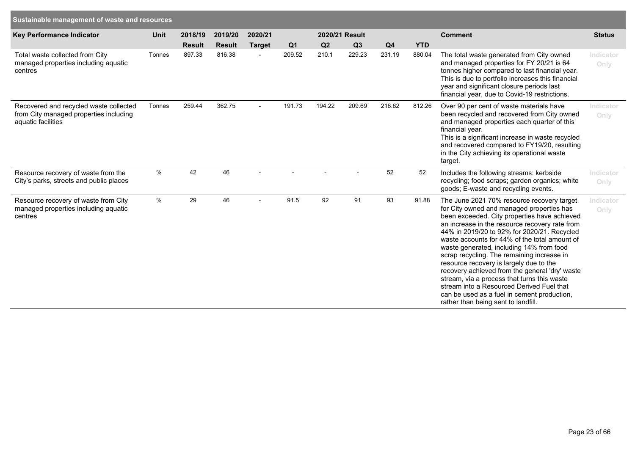| Key Performance Indicator                                                                              | <b>Unit</b> | 2018/19       | 2019/20       | 2020/21        |                | 2020/21 Result |        |                |            | <b>Comment</b>                                                                                                                                                                                                                                                                                                                                                                                                                                                                                                                                                                                                                                                     | <b>Status</b>     |
|--------------------------------------------------------------------------------------------------------|-------------|---------------|---------------|----------------|----------------|----------------|--------|----------------|------------|--------------------------------------------------------------------------------------------------------------------------------------------------------------------------------------------------------------------------------------------------------------------------------------------------------------------------------------------------------------------------------------------------------------------------------------------------------------------------------------------------------------------------------------------------------------------------------------------------------------------------------------------------------------------|-------------------|
|                                                                                                        |             | <b>Result</b> | <b>Result</b> | <b>Target</b>  | Q <sub>1</sub> | Q2             | Q3     | Q <sub>4</sub> | <b>YTD</b> |                                                                                                                                                                                                                                                                                                                                                                                                                                                                                                                                                                                                                                                                    |                   |
| Total waste collected from City<br>managed properties including aquatic<br>centres                     | Tonnes      | 897.33        | 816.38        |                | 209.52         | 210.1          | 229.23 | 231.19         | 880.04     | The total waste generated from City owned<br>and managed properties for FY 20/21 is 64<br>tonnes higher compared to last financial year.<br>This is due to portfolio increases this financial<br>year and significant closure periods last<br>financial year, due to Covid-19 restrictions.                                                                                                                                                                                                                                                                                                                                                                        | Indicator<br>Only |
| Recovered and recycled waste collected<br>from City managed properties including<br>aquatic facilities | Tonnes      | 259.44        | 362.75        |                | 191.73         | 194.22         | 209.69 | 216.62         | 812.26     | Over 90 per cent of waste materials have<br>been recycled and recovered from City owned<br>and managed properties each quarter of this<br>financial year.<br>This is a significant increase in waste recycled<br>and recovered compared to FY19/20, resulting<br>in the City achieving its operational waste<br>target.                                                                                                                                                                                                                                                                                                                                            | Indicator<br>Only |
| Resource recovery of waste from the<br>City's parks, streets and public places                         | $\%$        | 42            | 46            |                |                |                |        | 52             | 52         | Includes the following streams: kerbside<br>recycling; food scraps; garden organics; white<br>goods; E-waste and recycling events.                                                                                                                                                                                                                                                                                                                                                                                                                                                                                                                                 | Indicator<br>Only |
| Resource recovery of waste from City<br>managed properties including aquatic<br>centres                | $\%$        | 29            | 46            | $\overline{a}$ | 91.5           | 92             | 91     | 93             | 91.88      | The June 2021 70% resource recovery target<br>for City owned and managed properties has<br>been exceeded. City properties have achieved<br>an increase in the resource recovery rate from<br>44% in 2019/20 to 92% for 2020/21. Recycled<br>waste accounts for 44% of the total amount of<br>waste generated, including 14% from food<br>scrap recycling. The remaining increase in<br>resource recovery is largely due to the<br>recovery achieved from the general 'dry' waste<br>stream, via a process that turns this waste<br>stream into a Resourced Derived Fuel that<br>can be used as a fuel in cement production,<br>rather than being sent to landfill. | Indicator<br>Only |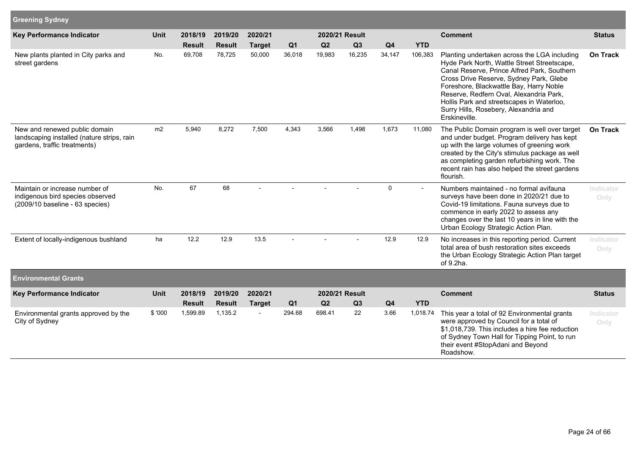| <b>Greening Sydney</b>                                                                                      |                |               |               |                |                |        |                |                |                |                                                                                                                                                                                                                                                                                                                                                                                    |                   |
|-------------------------------------------------------------------------------------------------------------|----------------|---------------|---------------|----------------|----------------|--------|----------------|----------------|----------------|------------------------------------------------------------------------------------------------------------------------------------------------------------------------------------------------------------------------------------------------------------------------------------------------------------------------------------------------------------------------------------|-------------------|
| <b>Key Performance Indicator</b>                                                                            | Unit           | 2018/19       | 2019/20       | 2020/21        |                |        | 2020/21 Result |                |                | <b>Comment</b>                                                                                                                                                                                                                                                                                                                                                                     | <b>Status</b>     |
|                                                                                                             |                | <b>Result</b> | <b>Result</b> | <b>Target</b>  | Q <sub>1</sub> | Q2     | Q3             | Q <sub>4</sub> | <b>YTD</b>     |                                                                                                                                                                                                                                                                                                                                                                                    |                   |
| New plants planted in City parks and<br>street gardens                                                      | No.            | 69,708        | 78,725        | 50,000         | 36,018         | 19,983 | 16,235         | 34,147         | 106,383        | Planting undertaken across the LGA including<br>Hyde Park North, Wattle Street Streetscape,<br>Canal Reserve, Prince Alfred Park, Southern<br>Cross Drive Reserve, Sydney Park, Glebe<br>Foreshore, Blackwattle Bay, Harry Noble<br>Reserve, Redfern Oval, Alexandria Park,<br>Hollis Park and streetscapes in Waterloo,<br>Surry Hills, Rosebery, Alexandria and<br>Erskineville. | <b>On Track</b>   |
| New and renewed public domain<br>landscaping installed (nature strips, rain<br>gardens, traffic treatments) | m <sub>2</sub> | 5,940         | 8,272         | 7,500          | 4,343          | 3,566  | 1,498          | 1,673          | 11,080         | The Public Domain program is well over target<br>and under budget. Program delivery has kept<br>up with the large volumes of greening work<br>created by the City's stimulus package as well<br>as completing garden refurbishing work. The<br>recent rain has also helped the street gardens<br>flourish.                                                                         | <b>On Track</b>   |
| Maintain or increase number of<br>indigenous bird species observed<br>(2009/10 baseline - 63 species)       | No.            | 67            | 68            |                |                |        |                | $\mathbf 0$    | $\blacksquare$ | Numbers maintained - no formal avifauna<br>surveys have been done in 2020/21 due to<br>Covid-19 limitations. Fauna surveys due to<br>commence in early 2022 to assess any<br>changes over the last 10 years in line with the<br>Urban Ecology Strategic Action Plan.                                                                                                               | Indicator<br>Only |
| Extent of locally-indigenous bushland                                                                       | ha             | 12.2          | 12.9          | 13.5           |                |        |                | 12.9           | 12.9           | No increases in this reporting period. Current<br>total area of bush restoration sites exceeds<br>the Urban Ecology Strategic Action Plan target<br>of 9.2ha.                                                                                                                                                                                                                      | Indicator<br>Only |
| <b>Environmental Grants</b>                                                                                 |                |               |               |                |                |        |                |                |                |                                                                                                                                                                                                                                                                                                                                                                                    |                   |
| <b>Key Performance Indicator</b>                                                                            | <b>Unit</b>    | 2018/19       | 2019/20       | 2020/21        |                |        | 2020/21 Result |                |                | <b>Comment</b>                                                                                                                                                                                                                                                                                                                                                                     | <b>Status</b>     |
|                                                                                                             |                | <b>Result</b> | <b>Result</b> | <b>Target</b>  | Q <sub>1</sub> | Q2     | Q3             | Q <sub>4</sub> | <b>YTD</b>     |                                                                                                                                                                                                                                                                                                                                                                                    |                   |
| Environmental grants approved by the<br>City of Sydney                                                      | \$ '000        | 1,599.89      | 1,135.2       | $\blacksquare$ | 294.68         | 698.41 | 22             | 3.66           | 1,018.74       | This year a total of 92 Environmental grants<br>were approved by Council for a total of<br>\$1,018,739. This includes a hire fee reduction<br>of Sydney Town Hall for Tipping Point, to run<br>their event #StopAdani and Beyond<br>Roadshow.                                                                                                                                      | Indicator<br>Only |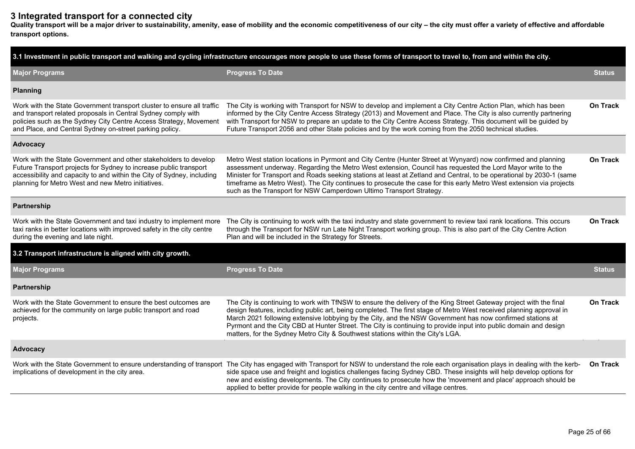# **3 Integrated transport for a connected city**

**Quality transport will be a major driver to sustainability, amenity, ease of mobility and the economic competitiveness of our city – the city must offer a variety of effective and affordable transport options.**

| 3.1 Investment in public transport and walking and cycling infrastructure encourages more people to use these forms of transport to travel to, from and within the city.                                                                                                |                                                                                                                                                                                                                                                                                                                                                                                                                                                                                                                                                              |                 |  |  |  |  |  |  |  |  |
|-------------------------------------------------------------------------------------------------------------------------------------------------------------------------------------------------------------------------------------------------------------------------|--------------------------------------------------------------------------------------------------------------------------------------------------------------------------------------------------------------------------------------------------------------------------------------------------------------------------------------------------------------------------------------------------------------------------------------------------------------------------------------------------------------------------------------------------------------|-----------------|--|--|--|--|--|--|--|--|
| <b>Major Programs</b>                                                                                                                                                                                                                                                   | <b>Progress To Date</b>                                                                                                                                                                                                                                                                                                                                                                                                                                                                                                                                      | <b>Status</b>   |  |  |  |  |  |  |  |  |
| <b>Planning</b>                                                                                                                                                                                                                                                         |                                                                                                                                                                                                                                                                                                                                                                                                                                                                                                                                                              |                 |  |  |  |  |  |  |  |  |
| Work with the State Government transport cluster to ensure all traffic<br>and transport related proposals in Central Sydney comply with<br>policies such as the Sydney City Centre Access Strategy, Movement<br>and Place, and Central Sydney on-street parking policy. | The City is working with Transport for NSW to develop and implement a City Centre Action Plan, which has been<br>informed by the City Centre Access Strategy (2013) and Movement and Place. The City is also currently partnering<br>with Transport for NSW to prepare an update to the City Centre Access Strategy. This document will be guided by<br>Future Transport 2056 and other State policies and by the work coming from the 2050 technical studies.                                                                                               | <b>On Track</b> |  |  |  |  |  |  |  |  |
| Advocacy                                                                                                                                                                                                                                                                |                                                                                                                                                                                                                                                                                                                                                                                                                                                                                                                                                              |                 |  |  |  |  |  |  |  |  |
| Work with the State Government and other stakeholders to develop<br>Future Transport projects for Sydney to increase public transport<br>accessibility and capacity to and within the City of Sydney, including<br>planning for Metro West and new Metro initiatives.   | Metro West station locations in Pyrmont and City Centre (Hunter Street at Wynyard) now confirmed and planning<br>assessment underway. Regarding the Metro West extension, Council has requested the Lord Mayor write to the<br>Minister for Transport and Roads seeking stations at least at Zetland and Central, to be operational by 2030-1 (same<br>timeframe as Metro West). The City continues to prosecute the case for this early Metro West extension via projects<br>such as the Transport for NSW Camperdown Ultimo Transport Strategy.            | <b>On Track</b> |  |  |  |  |  |  |  |  |
| Partnership                                                                                                                                                                                                                                                             |                                                                                                                                                                                                                                                                                                                                                                                                                                                                                                                                                              |                 |  |  |  |  |  |  |  |  |
| Work with the State Government and taxi industry to implement more<br>taxi ranks in better locations with improved safety in the city centre<br>during the evening and late night.                                                                                      | The City is continuing to work with the taxi industry and state government to review taxi rank locations. This occurs<br>through the Transport for NSW run Late Night Transport working group. This is also part of the City Centre Action<br>Plan and will be included in the Strategy for Streets.                                                                                                                                                                                                                                                         | <b>On Track</b> |  |  |  |  |  |  |  |  |
| 3.2 Transport infrastructure is aligned with city growth.                                                                                                                                                                                                               |                                                                                                                                                                                                                                                                                                                                                                                                                                                                                                                                                              |                 |  |  |  |  |  |  |  |  |
| <b>Major Programs</b>                                                                                                                                                                                                                                                   | <b>Progress To Date</b>                                                                                                                                                                                                                                                                                                                                                                                                                                                                                                                                      | <b>Status</b>   |  |  |  |  |  |  |  |  |
| Partnership                                                                                                                                                                                                                                                             |                                                                                                                                                                                                                                                                                                                                                                                                                                                                                                                                                              |                 |  |  |  |  |  |  |  |  |
| Work with the State Government to ensure the best outcomes are<br>achieved for the community on large public transport and road<br>projects.                                                                                                                            | The City is continuing to work with TfNSW to ensure the delivery of the King Street Gateway project with the final<br>design features, including public art, being completed. The first stage of Metro West received planning approval in<br>March 2021 following extensive lobbying by the City, and the NSW Government has now confirmed stations at<br>Pyrmont and the City CBD at Hunter Street. The City is continuing to provide input into public domain and design<br>matters, for the Sydney Metro City & Southwest stations within the City's LGA. | On Track        |  |  |  |  |  |  |  |  |
| <b>Advocacy</b>                                                                                                                                                                                                                                                         |                                                                                                                                                                                                                                                                                                                                                                                                                                                                                                                                                              |                 |  |  |  |  |  |  |  |  |
| implications of development in the city area.                                                                                                                                                                                                                           | Work with the State Government to ensure understanding of transport The City has engaged with Transport for NSW to understand the role each organisation plays in dealing with the kerb-<br>side space use and freight and logistics challenges facing Sydney CBD. These insights will help develop options for<br>new and existing developments. The City continues to prosecute how the 'movement and place' approach should be<br>applied to better provide for people walking in the city centre and village centres.                                    | On Track        |  |  |  |  |  |  |  |  |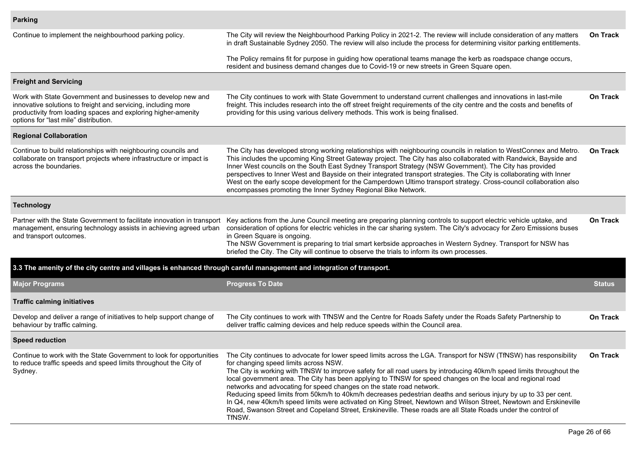| Continue to implement the neighbourhood parking policy.                                                                                                                                                                                 | The City will review the Neighbourhood Parking Policy in 2021-2. The review will include consideration of any matters<br>in draft Sustainable Sydney 2050. The review will also include the process for determining visitor parking entitlements.                                                                                                                                                                                                                                                                                                                                                                                                                                                                                                                                                                                              | On Track        |
|-----------------------------------------------------------------------------------------------------------------------------------------------------------------------------------------------------------------------------------------|------------------------------------------------------------------------------------------------------------------------------------------------------------------------------------------------------------------------------------------------------------------------------------------------------------------------------------------------------------------------------------------------------------------------------------------------------------------------------------------------------------------------------------------------------------------------------------------------------------------------------------------------------------------------------------------------------------------------------------------------------------------------------------------------------------------------------------------------|-----------------|
|                                                                                                                                                                                                                                         | The Policy remains fit for purpose in guiding how operational teams manage the kerb as roadspace change occurs,<br>resident and business demand changes due to Covid-19 or new streets in Green Square open.                                                                                                                                                                                                                                                                                                                                                                                                                                                                                                                                                                                                                                   |                 |
| <b>Freight and Servicing</b>                                                                                                                                                                                                            |                                                                                                                                                                                                                                                                                                                                                                                                                                                                                                                                                                                                                                                                                                                                                                                                                                                |                 |
| Work with State Government and businesses to develop new and<br>innovative solutions to freight and servicing, including more<br>productivity from loading spaces and exploring higher-amenity<br>options for "last mile" distribution. | The City continues to work with State Government to understand current challenges and innovations in last-mile<br>freight. This includes research into the off street freight requirements of the city centre and the costs and benefits of<br>providing for this using various delivery methods. This work is being finalised.                                                                                                                                                                                                                                                                                                                                                                                                                                                                                                                | On Track        |
| <b>Regional Collaboration</b>                                                                                                                                                                                                           |                                                                                                                                                                                                                                                                                                                                                                                                                                                                                                                                                                                                                                                                                                                                                                                                                                                |                 |
| Continue to build relationships with neighbouring councils and<br>collaborate on transport projects where infrastructure or impact is<br>across the boundaries.                                                                         | The City has developed strong working relationships with neighbouring councils in relation to WestConnex and Metro.<br>This includes the upcoming King Street Gateway project. The City has also collaborated with Randwick, Bayside and<br>Inner West councils on the South East Sydney Transport Strategy (NSW Government). The City has provided<br>perspectives to Inner West and Bayside on their integrated transport strategies. The City is collaborating with Inner<br>West on the early scope development for the Camperdown Ultimo transport strategy. Cross-council collaboration also<br>encompasses promoting the Inner Sydney Regional Bike Network.                                                                                                                                                                            | On Track        |
| <b>Technology</b>                                                                                                                                                                                                                       |                                                                                                                                                                                                                                                                                                                                                                                                                                                                                                                                                                                                                                                                                                                                                                                                                                                |                 |
| Partner with the State Government to facilitate innovation in transport<br>management, ensuring technology assists in achieving agreed urban<br>and transport outcomes.                                                                 | Key actions from the June Council meeting are preparing planning controls to support electric vehicle uptake, and<br>consideration of options for electric vehicles in the car sharing system. The City's advocacy for Zero Emissions buses<br>in Green Square is ongoing.<br>The NSW Government is preparing to trial smart kerbside approaches in Western Sydney. Transport for NSW has<br>briefed the City. The City will continue to observe the trials to inform its own processes.                                                                                                                                                                                                                                                                                                                                                       | On Track        |
| 3.3 The amenity of the city centre and villages is enhanced through careful management and integration of transport.                                                                                                                    |                                                                                                                                                                                                                                                                                                                                                                                                                                                                                                                                                                                                                                                                                                                                                                                                                                                |                 |
| <b>Major Programs</b>                                                                                                                                                                                                                   | <b>Progress To Date</b>                                                                                                                                                                                                                                                                                                                                                                                                                                                                                                                                                                                                                                                                                                                                                                                                                        | <b>Status</b>   |
| <b>Traffic calming initiatives</b>                                                                                                                                                                                                      |                                                                                                                                                                                                                                                                                                                                                                                                                                                                                                                                                                                                                                                                                                                                                                                                                                                |                 |
| Develop and deliver a range of initiatives to help support change of<br>behaviour by traffic calming.                                                                                                                                   | The City continues to work with TfNSW and the Centre for Roads Safety under the Roads Safety Partnership to<br>deliver traffic calming devices and help reduce speeds within the Council area.                                                                                                                                                                                                                                                                                                                                                                                                                                                                                                                                                                                                                                                 | <b>On Track</b> |
| <b>Speed reduction</b>                                                                                                                                                                                                                  |                                                                                                                                                                                                                                                                                                                                                                                                                                                                                                                                                                                                                                                                                                                                                                                                                                                |                 |
| Continue to work with the State Government to look for opportunities<br>to reduce traffic speeds and speed limits throughout the City of<br>Sydney.                                                                                     | The City continues to advocate for lower speed limits across the LGA. Transport for NSW (TfNSW) has responsibility<br>for changing speed limits across NSW.<br>The City is working with TfNSW to improve safety for all road users by introducing 40km/h speed limits throughout the<br>local government area. The City has been applying to TfNSW for speed changes on the local and regional road<br>networks and advocating for speed changes on the state road network.<br>Reducing speed limits from 50km/h to 40km/h decreases pedestrian deaths and serious injury by up to 33 per cent.<br>In Q4, new 40km/h speed limits were activated on King Street, Newtown and Wilson Street, Newtown and Erskineville<br>Road, Swanson Street and Copeland Street, Erskineville. These roads are all State Roads under the control of<br>TfNSW. | <b>On Track</b> |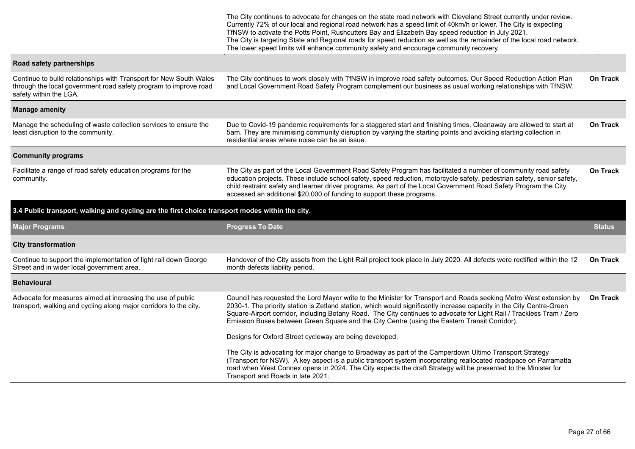|                                                                                                                                                                  | The City continues to advocate for changes on the state road network with Cleveland Street currently under review.<br>Currently 72% of our local and regional road network has a speed limit of 40km/h or lower. The City is expecting<br>TfNSW to activate the Potts Point, Rushcutters Bay and Elizabeth Bay speed reduction in July 2021.<br>The City is targeting State and Regional roads for speed reduction as well as the remainder of the local road network.<br>The lower speed limits will enhance community safety and encourage community recovery. |                 |
|------------------------------------------------------------------------------------------------------------------------------------------------------------------|------------------------------------------------------------------------------------------------------------------------------------------------------------------------------------------------------------------------------------------------------------------------------------------------------------------------------------------------------------------------------------------------------------------------------------------------------------------------------------------------------------------------------------------------------------------|-----------------|
| Road safety partnerships                                                                                                                                         |                                                                                                                                                                                                                                                                                                                                                                                                                                                                                                                                                                  |                 |
| Continue to build relationships with Transport for New South Wales<br>through the local government road safety program to improve road<br>safety within the LGA. | The City continues to work closely with TfNSW in improve road safety outcomes. Our Speed Reduction Action Plan<br>and Local Government Road Safety Program complement our business as usual working relationships with TfNSW.                                                                                                                                                                                                                                                                                                                                    | <b>On Track</b> |
| <b>Manage amenity</b>                                                                                                                                            |                                                                                                                                                                                                                                                                                                                                                                                                                                                                                                                                                                  |                 |
| Manage the scheduling of waste collection services to ensure the<br>least disruption to the community.                                                           | Due to Covid-19 pandemic requirements for a staggered start and finishing times, Cleanaway are allowed to start at<br>5am. They are minimising community disruption by varying the starting points and avoiding starting collection in<br>residential areas where noise can be an issue.                                                                                                                                                                                                                                                                         | On Track        |
| <b>Community programs</b>                                                                                                                                        |                                                                                                                                                                                                                                                                                                                                                                                                                                                                                                                                                                  |                 |
| Facilitate a range of road safety education programs for the<br>community.                                                                                       | The City as part of the Local Government Road Safety Program has facilitated a number of community road safety<br>education projects. These include school safety, speed reduction, motorcycle safety, pedestrian safety, senior safety,<br>child restraint safety and learner driver programs. As part of the Local Government Road Safety Program the City<br>accessed an additional \$20,000 of funding to support these programs.                                                                                                                            | On Track        |
| 3.4 Public transport, walking and cycling are the first choice transport modes within the city.                                                                  |                                                                                                                                                                                                                                                                                                                                                                                                                                                                                                                                                                  |                 |
| <b>Major Programs</b>                                                                                                                                            | <b>Progress To Date</b>                                                                                                                                                                                                                                                                                                                                                                                                                                                                                                                                          | <b>Status</b>   |
| <b>City transformation</b>                                                                                                                                       |                                                                                                                                                                                                                                                                                                                                                                                                                                                                                                                                                                  |                 |
|                                                                                                                                                                  |                                                                                                                                                                                                                                                                                                                                                                                                                                                                                                                                                                  |                 |
| Continue to support the implementation of light rail down George<br>Street and in wider local government area.                                                   | Handover of the City assets from the Light Rail project took place in July 2020. All defects were rectified within the 12<br>month defects liability period.                                                                                                                                                                                                                                                                                                                                                                                                     | On Track        |
| <b>Behavioural</b>                                                                                                                                               |                                                                                                                                                                                                                                                                                                                                                                                                                                                                                                                                                                  |                 |
| Advocate for measures aimed at increasing the use of public<br>transport, walking and cycling along major corridors to the city.                                 | Council has requested the Lord Mayor write to the Minister for Transport and Roads seeking Metro West extension by<br>2030-1. The priority station is Zetland station, which would significantly increase capacity in the City Centre-Green<br>Square-Airport corridor, including Botany Road. The City continues to advocate for Light Rail / Trackless Tram / Zero<br>Emission Buses between Green Square and the City Centre (using the Eastern Transit Corridor).                                                                                            | <b>On Track</b> |
|                                                                                                                                                                  | Designs for Oxford Street cycleway are being developed.                                                                                                                                                                                                                                                                                                                                                                                                                                                                                                          |                 |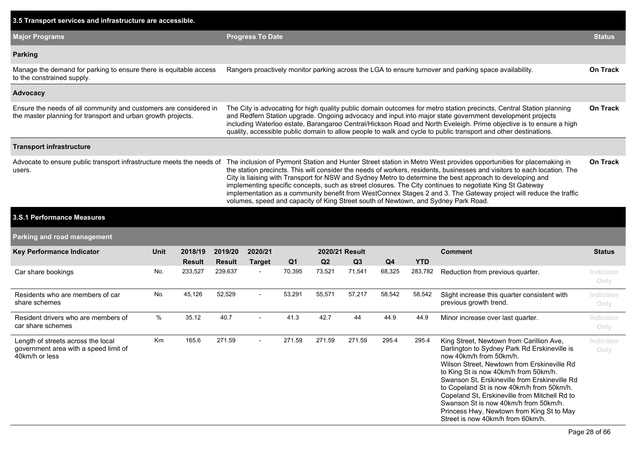| 3.5 Transport services and infrastructure are accessible.                                                                         |      |                                                                                                                                                                                                                                                                                                                                                                                                                                                                           |                          |                                                                                                       |                |        |                      |                |                 |                                                                                                                                                                                                                                                                                                                                                                                                                                                                                                                                                                                                                                                                                    |                   |  |
|-----------------------------------------------------------------------------------------------------------------------------------|------|---------------------------------------------------------------------------------------------------------------------------------------------------------------------------------------------------------------------------------------------------------------------------------------------------------------------------------------------------------------------------------------------------------------------------------------------------------------------------|--------------------------|-------------------------------------------------------------------------------------------------------|----------------|--------|----------------------|----------------|-----------------|------------------------------------------------------------------------------------------------------------------------------------------------------------------------------------------------------------------------------------------------------------------------------------------------------------------------------------------------------------------------------------------------------------------------------------------------------------------------------------------------------------------------------------------------------------------------------------------------------------------------------------------------------------------------------------|-------------------|--|
| <b>Major Programs</b>                                                                                                             |      |                                                                                                                                                                                                                                                                                                                                                                                                                                                                           |                          | <b>Progress To Date</b>                                                                               |                |        |                      |                |                 |                                                                                                                                                                                                                                                                                                                                                                                                                                                                                                                                                                                                                                                                                    |                   |  |
| <b>Parking</b>                                                                                                                    |      |                                                                                                                                                                                                                                                                                                                                                                                                                                                                           |                          |                                                                                                       |                |        |                      |                |                 |                                                                                                                                                                                                                                                                                                                                                                                                                                                                                                                                                                                                                                                                                    |                   |  |
| Manage the demand for parking to ensure there is equitable access<br>to the constrained supply.                                   |      |                                                                                                                                                                                                                                                                                                                                                                                                                                                                           |                          | Rangers proactively monitor parking across the LGA to ensure turnover and parking space availability. |                |        |                      |                |                 |                                                                                                                                                                                                                                                                                                                                                                                                                                                                                                                                                                                                                                                                                    |                   |  |
| Advocacy                                                                                                                          |      |                                                                                                                                                                                                                                                                                                                                                                                                                                                                           |                          |                                                                                                       |                |        |                      |                |                 |                                                                                                                                                                                                                                                                                                                                                                                                                                                                                                                                                                                                                                                                                    |                   |  |
| Ensure the needs of all community and customers are considered in<br>the master planning for transport and urban growth projects. |      | The City is advocating for high quality public domain outcomes for metro station precincts, Central Station planning<br>and Redfern Station upgrade. Ongoing advocacy and input into major state government development projects<br>including Waterloo estate, Barangaroo Central/Hickson Road and North Eveleigh. Prime objective is to ensure a high<br>quality, accessible public domain to allow people to walk and cycle to public transport and other destinations. |                          |                                                                                                       |                |        |                      |                | <b>On Track</b> |                                                                                                                                                                                                                                                                                                                                                                                                                                                                                                                                                                                                                                                                                    |                   |  |
| <b>Transport infrastructure</b>                                                                                                   |      |                                                                                                                                                                                                                                                                                                                                                                                                                                                                           |                          |                                                                                                       |                |        |                      |                |                 |                                                                                                                                                                                                                                                                                                                                                                                                                                                                                                                                                                                                                                                                                    |                   |  |
| Advocate to ensure public transport infrastructure meets the needs of<br>users.<br>3.S.1 Performance Measures                     |      |                                                                                                                                                                                                                                                                                                                                                                                                                                                                           |                          |                                                                                                       |                |        |                      |                |                 | The inclusion of Pyrmont Station and Hunter Street station in Metro West provides opportunities for placemaking in<br>the station precincts. This will consider the needs of workers, residents, businesses and visitors to each location. The<br>City is liaising with Transport for NSW and Sydney Metro to determine the best approach to developing and<br>implementing specific concepts, such as street closures. The City continues to negotiate King St Gateway<br>implementation as a community benefit from WestConnex Stages 2 and 3. The Gateway project will reduce the traffic<br>volumes, speed and capacity of King Street south of Newtown, and Sydney Park Road. | <b>On Track</b>   |  |
| Parking and road management                                                                                                       |      |                                                                                                                                                                                                                                                                                                                                                                                                                                                                           |                          |                                                                                                       |                |        |                      |                |                 |                                                                                                                                                                                                                                                                                                                                                                                                                                                                                                                                                                                                                                                                                    |                   |  |
|                                                                                                                                   |      |                                                                                                                                                                                                                                                                                                                                                                                                                                                                           |                          |                                                                                                       |                |        |                      |                |                 |                                                                                                                                                                                                                                                                                                                                                                                                                                                                                                                                                                                                                                                                                    |                   |  |
| <b>Key Performance Indicator</b>                                                                                                  | Unit | 2018/19<br><b>Result</b>                                                                                                                                                                                                                                                                                                                                                                                                                                                  | 2019/20<br><b>Result</b> | 2020/21<br><b>Target</b>                                                                              | Q <sub>1</sub> | Q2     | 2020/21 Result<br>Q3 | Q <sub>4</sub> | <b>YTD</b>      | <b>Comment</b>                                                                                                                                                                                                                                                                                                                                                                                                                                                                                                                                                                                                                                                                     | <b>Status</b>     |  |
| Car share bookings                                                                                                                | No.  | 233,527                                                                                                                                                                                                                                                                                                                                                                                                                                                                   | 239,637                  |                                                                                                       | 70,395         | 73,521 | 71,541               | 68,325         | 283,782         | Reduction from previous quarter.                                                                                                                                                                                                                                                                                                                                                                                                                                                                                                                                                                                                                                                   | Indicator<br>Only |  |
| Residents who are members of car<br>share schemes                                                                                 | No.  | 45,126                                                                                                                                                                                                                                                                                                                                                                                                                                                                    | 52,529                   | $\blacksquare$                                                                                        | 53,291         | 55,571 | 57,217               | 58,542         | 58,542          | Slight increase this quarter consistent with<br>previous growth trend.                                                                                                                                                                                                                                                                                                                                                                                                                                                                                                                                                                                                             | Indicator<br>Only |  |
| Resident drivers who are members of<br>car share schemes                                                                          | %    | 35.12                                                                                                                                                                                                                                                                                                                                                                                                                                                                     | 40.7                     |                                                                                                       | 41.3           | 42.7   | 44                   | 44.9           | 44.9            | Minor increase over last quarter.                                                                                                                                                                                                                                                                                                                                                                                                                                                                                                                                                                                                                                                  | Indicator<br>Only |  |
| Length of streets across the local<br>government area with a speed limit of<br>40km/h or less                                     | Km   | 165.6                                                                                                                                                                                                                                                                                                                                                                                                                                                                     | 271.59                   | $\overline{\phantom{a}}$                                                                              | 271.59         | 271.59 | 271.59               | 295.4          | 295.4           | King Street, Newtown from Carillion Ave,<br>Darlington to Sydney Park Rd Erskineville is<br>now 40km/h from 50km/h.<br>Wilson Street, Newtown from Erskineville Rd                                                                                                                                                                                                                                                                                                                                                                                                                                                                                                                 | Indicator<br>Only |  |

to King St is now 40km/h from 50km/h. Swanson St, Erskineville from Erskineville Rd to Copeland St is now 40km/h from 50km/h. Copeland St, Erskineville from Mitchell Rd to Swanson St is now 40km/h from 50km/h. Princess Hwy, Newtown from King St to May

Street is now 40km/h from 60km/h.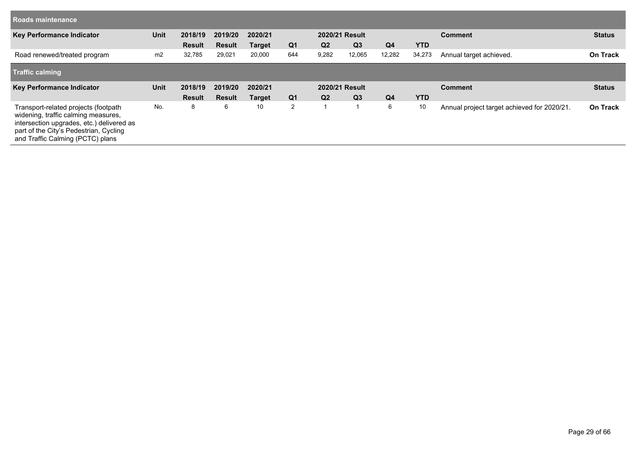| <b>Roads maintenance</b>     |             |               |               |               |                |                |                |                |            |                         |                 |
|------------------------------|-------------|---------------|---------------|---------------|----------------|----------------|----------------|----------------|------------|-------------------------|-----------------|
| Key Performance Indicator    | <b>Unit</b> | 2018/19       | 2019/20       | 2020/21       |                |                | 2020/21 Result |                |            | <b>Comment</b>          | <b>Status</b>   |
|                              |             | <b>Result</b> | <b>Result</b> | <b>Target</b> | Q <sub>1</sub> | Q <sub>2</sub> | Q <sub>3</sub> | Q <sub>4</sub> | <b>YTD</b> |                         |                 |
| Road renewed/treated program | m2          | 32,785        | 29,021        | 20,000        | 644            | 9,282          | 12,065         | 12,282         | 34,273     | Annual target achieved. | <b>On Track</b> |
| <b>Traffic calming</b>       |             |               |               |               |                |                |                |                |            |                         |                 |
|                              |             |               |               |               |                |                |                |                |            |                         |                 |
| Key Performance Indicator    | <b>Unit</b> | 2018/19       | 2019/20       | 2020/21       |                |                | 2020/21 Result |                |            | <b>Comment</b>          | <b>Status</b>   |
|                              |             | <b>Result</b> | <b>Result</b> | <b>Target</b> | Q <sub>1</sub> | Q <sub>2</sub> | Q <sub>3</sub> | Q <sub>4</sub> | <b>YTD</b> |                         |                 |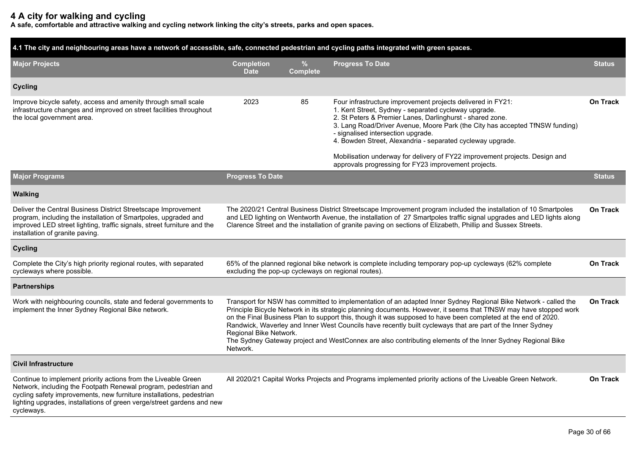# **4 A city for walking and cycling**

**A safe, comfortable and attractive walking and cycling network linking the city's streets, parks and open spaces.**

| 4.1 The city and neighbouring areas have a network of accessible, safe, connected pedestrian and cycling paths integrated with green spaces.                                                                                                                                                      |                                                                                                                                                                                                                                                                                                                                                                                                                                                                                                                                                                                                                         |                         |                                                                                                                                                                                                                                                                                                                                                                      |                 |  |  |  |  |
|---------------------------------------------------------------------------------------------------------------------------------------------------------------------------------------------------------------------------------------------------------------------------------------------------|-------------------------------------------------------------------------------------------------------------------------------------------------------------------------------------------------------------------------------------------------------------------------------------------------------------------------------------------------------------------------------------------------------------------------------------------------------------------------------------------------------------------------------------------------------------------------------------------------------------------------|-------------------------|----------------------------------------------------------------------------------------------------------------------------------------------------------------------------------------------------------------------------------------------------------------------------------------------------------------------------------------------------------------------|-----------------|--|--|--|--|
| <b>Major Projects</b>                                                                                                                                                                                                                                                                             | <b>Completion</b><br><b>Date</b>                                                                                                                                                                                                                                                                                                                                                                                                                                                                                                                                                                                        | $\%$<br><b>Complete</b> | <b>Progress To Date</b>                                                                                                                                                                                                                                                                                                                                              | <b>Status</b>   |  |  |  |  |
| <b>Cycling</b>                                                                                                                                                                                                                                                                                    |                                                                                                                                                                                                                                                                                                                                                                                                                                                                                                                                                                                                                         |                         |                                                                                                                                                                                                                                                                                                                                                                      |                 |  |  |  |  |
| Improve bicycle safety, access and amenity through small scale<br>infrastructure changes and improved on street facilities throughout<br>the local government area.                                                                                                                               | 2023                                                                                                                                                                                                                                                                                                                                                                                                                                                                                                                                                                                                                    | 85                      | Four infrastructure improvement projects delivered in FY21:<br>1. Kent Street, Sydney - separated cycleway upgrade.<br>2. St Peters & Premier Lanes, Darlinghurst - shared zone.<br>3. Lang Road/Driver Avenue, Moore Park (the City has accepted TfNSW funding)<br>- signalised intersection upgrade.<br>4. Bowden Street, Alexandria - separated cycleway upgrade. | <b>On Track</b> |  |  |  |  |
|                                                                                                                                                                                                                                                                                                   |                                                                                                                                                                                                                                                                                                                                                                                                                                                                                                                                                                                                                         |                         | Mobilisation underway for delivery of FY22 improvement projects. Design and<br>approvals progressing for FY23 improvement projects.                                                                                                                                                                                                                                  |                 |  |  |  |  |
| <b>Major Programs</b>                                                                                                                                                                                                                                                                             | <b>Progress To Date</b>                                                                                                                                                                                                                                                                                                                                                                                                                                                                                                                                                                                                 |                         |                                                                                                                                                                                                                                                                                                                                                                      | <b>Status</b>   |  |  |  |  |
| <b>Walking</b>                                                                                                                                                                                                                                                                                    |                                                                                                                                                                                                                                                                                                                                                                                                                                                                                                                                                                                                                         |                         |                                                                                                                                                                                                                                                                                                                                                                      |                 |  |  |  |  |
| Deliver the Central Business District Streetscape Improvement<br>program, including the installation of Smartpoles, upgraded and<br>improved LED street lighting, traffic signals, street furniture and the<br>installation of granite paving.                                                    | The 2020/21 Central Business District Streetscape Improvement program included the installation of 10 Smartpoles<br>and LED lighting on Wentworth Avenue, the installation of 27 Smartpoles traffic signal upgrades and LED lights along<br>Clarence Street and the installation of granite paving on sections of Elizabeth, Phillip and Sussex Streets.                                                                                                                                                                                                                                                                |                         |                                                                                                                                                                                                                                                                                                                                                                      |                 |  |  |  |  |
| <b>Cycling</b>                                                                                                                                                                                                                                                                                    |                                                                                                                                                                                                                                                                                                                                                                                                                                                                                                                                                                                                                         |                         |                                                                                                                                                                                                                                                                                                                                                                      |                 |  |  |  |  |
| Complete the City's high priority regional routes, with separated<br>cycleways where possible.                                                                                                                                                                                                    | excluding the pop-up cycleways on regional routes).                                                                                                                                                                                                                                                                                                                                                                                                                                                                                                                                                                     |                         | 65% of the planned regional bike network is complete including temporary pop-up cycleways (62% complete                                                                                                                                                                                                                                                              | <b>On Track</b> |  |  |  |  |
| <b>Partnerships</b>                                                                                                                                                                                                                                                                               |                                                                                                                                                                                                                                                                                                                                                                                                                                                                                                                                                                                                                         |                         |                                                                                                                                                                                                                                                                                                                                                                      |                 |  |  |  |  |
| Work with neighbouring councils, state and federal governments to<br>implement the Inner Sydney Regional Bike network.                                                                                                                                                                            | Transport for NSW has committed to implementation of an adapted Inner Sydney Regional Bike Network - called the<br>Principle Bicycle Network in its strategic planning documents. However, it seems that TfNSW may have stopped work<br>on the Final Business Plan to support this, though it was supposed to have been completed at the end of 2020.<br>Randwick, Waverley and Inner West Councils have recently built cycleways that are part of the Inner Sydney<br>Regional Bike Network.<br>The Sydney Gateway project and WestConnex are also contributing elements of the Inner Sydney Regional Bike<br>Network. |                         |                                                                                                                                                                                                                                                                                                                                                                      |                 |  |  |  |  |
| <b>Civil Infrastructure</b>                                                                                                                                                                                                                                                                       |                                                                                                                                                                                                                                                                                                                                                                                                                                                                                                                                                                                                                         |                         |                                                                                                                                                                                                                                                                                                                                                                      |                 |  |  |  |  |
| Continue to implement priority actions from the Liveable Green<br>Network, including the Footpath Renewal program, pedestrian and<br>cycling safety improvements, new furniture installations, pedestrian<br>lighting upgrades, installations of green verge/street gardens and new<br>cycleways. | All 2020/21 Capital Works Projects and Programs implemented priority actions of the Liveable Green Network.                                                                                                                                                                                                                                                                                                                                                                                                                                                                                                             |                         |                                                                                                                                                                                                                                                                                                                                                                      |                 |  |  |  |  |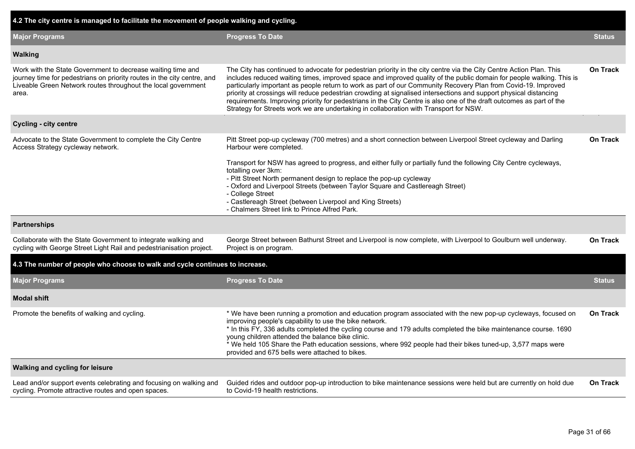| 4.2 The city centre is managed to facilitate the movement of people walking and cycling.                                                                                                                                                                                                                                                                                                                                                                                                                                                                                                                                                                                                            |                                                           |
|-----------------------------------------------------------------------------------------------------------------------------------------------------------------------------------------------------------------------------------------------------------------------------------------------------------------------------------------------------------------------------------------------------------------------------------------------------------------------------------------------------------------------------------------------------------------------------------------------------------------------------------------------------------------------------------------------------|-----------------------------------------------------------|
| <b>Progress To Date</b>                                                                                                                                                                                                                                                                                                                                                                                                                                                                                                                                                                                                                                                                             | <b>Status</b>                                             |
|                                                                                                                                                                                                                                                                                                                                                                                                                                                                                                                                                                                                                                                                                                     |                                                           |
| The City has continued to advocate for pedestrian priority in the city centre via the City Centre Action Plan. This<br>includes reduced waiting times, improved space and improved quality of the public domain for people walking. This is<br>particularly important as people return to work as part of our Community Recovery Plan from Covid-19. Improved<br>priority at crossings will reduce pedestrian crowding at signalised intersections and support physical distancing<br>requirements. Improving priority for pedestrians in the City Centre is also one of the draft outcomes as part of the<br>Strategy for Streets work we are undertaking in collaboration with Transport for NSW. | On Track                                                  |
|                                                                                                                                                                                                                                                                                                                                                                                                                                                                                                                                                                                                                                                                                                     |                                                           |
| Pitt Street pop-up cycleway (700 metres) and a short connection between Liverpool Street cycleway and Darling<br>Harbour were completed.<br>Transport for NSW has agreed to progress, and either fully or partially fund the following City Centre cycleways,<br>totalling over 3km:<br>- Pitt Street North permanent design to replace the pop-up cycleway<br>- Oxford and Liverpool Streets (between Taylor Square and Castlereagh Street)<br>- College Street                                                                                                                                                                                                                                    | <b>On Track</b>                                           |
| - Chalmers Street link to Prince Alfred Park.                                                                                                                                                                                                                                                                                                                                                                                                                                                                                                                                                                                                                                                       |                                                           |
|                                                                                                                                                                                                                                                                                                                                                                                                                                                                                                                                                                                                                                                                                                     |                                                           |
| George Street between Bathurst Street and Liverpool is now complete, with Liverpool to Goulburn well underway.<br>Project is on program.                                                                                                                                                                                                                                                                                                                                                                                                                                                                                                                                                            | <b>On Track</b>                                           |
| 4.3 The number of people who choose to walk and cycle continues to increase.                                                                                                                                                                                                                                                                                                                                                                                                                                                                                                                                                                                                                        |                                                           |
| <b>Progress To Date</b>                                                                                                                                                                                                                                                                                                                                                                                                                                                                                                                                                                                                                                                                             | <b>Status</b>                                             |
|                                                                                                                                                                                                                                                                                                                                                                                                                                                                                                                                                                                                                                                                                                     |                                                           |
| * We have been running a promotion and education program associated with the new pop-up cycleways, focused on<br>improving people's capability to use the bike network.<br>* In this FY, 336 adults completed the cycling course and 179 adults completed the bike maintenance course. 1690<br>young children attended the balance bike clinic.<br>* We held 105 Share the Path education sessions, where 992 people had their bikes tuned-up, 3,577 maps were<br>provided and 675 bells were attached to bikes.                                                                                                                                                                                    | <b>On Track</b>                                           |
|                                                                                                                                                                                                                                                                                                                                                                                                                                                                                                                                                                                                                                                                                                     |                                                           |
| Guided rides and outdoor pop-up introduction to bike maintenance sessions were held but are currently on hold due<br>to Covid-19 health restrictions.                                                                                                                                                                                                                                                                                                                                                                                                                                                                                                                                               | <b>On Track</b>                                           |
|                                                                                                                                                                                                                                                                                                                                                                                                                                                                                                                                                                                                                                                                                                     | - Castlereagh Street (between Liverpool and King Streets) |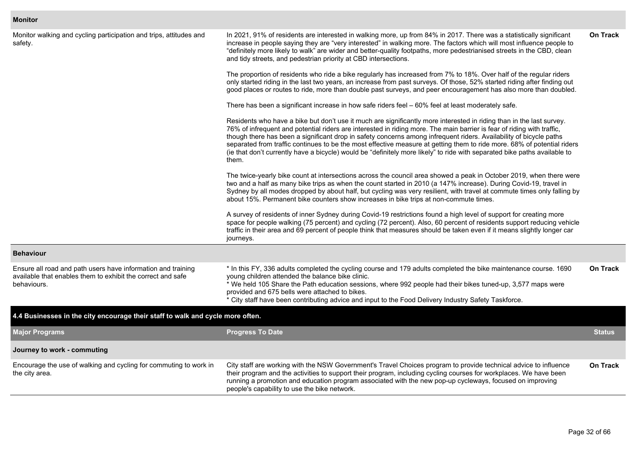#### **Monitor**

| Monitor walking and cycling participation and trips, attitudes and<br>safety.                                                              | In 2021, 91% of residents are interested in walking more, up from 84% in 2017. There was a statistically significant<br>increase in people saying they are "very interested" in walking more. The factors which will most influence people to<br>"definitely more likely to walk" are wider and better-quality footpaths, more pedestrianised streets in the CBD, clean<br>and tidy streets, and pedestrian priority at CBD intersections.                                                                                                                                                                                            |                 |  |  |  |  |  |
|--------------------------------------------------------------------------------------------------------------------------------------------|---------------------------------------------------------------------------------------------------------------------------------------------------------------------------------------------------------------------------------------------------------------------------------------------------------------------------------------------------------------------------------------------------------------------------------------------------------------------------------------------------------------------------------------------------------------------------------------------------------------------------------------|-----------------|--|--|--|--|--|
|                                                                                                                                            | The proportion of residents who ride a bike regularly has increased from 7% to 18%. Over half of the regular riders<br>only started riding in the last two years, an increase from past surveys. Of those, 52% started riding after finding out<br>good places or routes to ride, more than double past surveys, and peer encouragement has also more than doubled.                                                                                                                                                                                                                                                                   |                 |  |  |  |  |  |
|                                                                                                                                            | There has been a significant increase in how safe riders feel - 60% feel at least moderately safe.                                                                                                                                                                                                                                                                                                                                                                                                                                                                                                                                    |                 |  |  |  |  |  |
|                                                                                                                                            | Residents who have a bike but don't use it much are significantly more interested in riding than in the last survey.<br>76% of infrequent and potential riders are interested in riding more. The main barrier is fear of riding with traffic,<br>though there has been a significant drop in safety concerns among infrequent riders. Availability of bicycle paths<br>separated from traffic continues to be the most effective measure at getting them to ride more. 68% of potential riders<br>(ie that don't currently have a bicycle) would be "definitely more likely" to ride with separated bike paths available to<br>them. |                 |  |  |  |  |  |
|                                                                                                                                            | The twice-yearly bike count at intersections across the council area showed a peak in October 2019, when there were<br>two and a half as many bike trips as when the count started in 2010 (a 147% increase). During Covid-19, travel in<br>Sydney by all modes dropped by about half, but cycling was very resilient, with travel at commute times only falling by<br>about 15%. Permanent bike counters show increases in bike trips at non-commute times.                                                                                                                                                                          |                 |  |  |  |  |  |
|                                                                                                                                            | A survey of residents of inner Sydney during Covid-19 restrictions found a high level of support for creating more<br>space for people walking (75 percent) and cycling (72 percent). Also, 60 percent of residents support reducing vehicle<br>traffic in their area and 69 percent of people think that measures should be taken even if it means slightly longer car<br>journeys.                                                                                                                                                                                                                                                  |                 |  |  |  |  |  |
| <b>Behaviour</b>                                                                                                                           |                                                                                                                                                                                                                                                                                                                                                                                                                                                                                                                                                                                                                                       |                 |  |  |  |  |  |
| Ensure all road and path users have information and training<br>available that enables them to exhibit the correct and safe<br>behaviours. | * In this FY, 336 adults completed the cycling course and 179 adults completed the bike maintenance course. 1690<br>young children attended the balance bike clinic.<br>* We held 105 Share the Path education sessions, where 992 people had their bikes tuned-up, 3,577 maps were<br>provided and 675 bells were attached to bikes.<br>* City staff have been contributing advice and input to the Food Delivery Industry Safety Taskforce.                                                                                                                                                                                         | <b>On Track</b> |  |  |  |  |  |
| 4.4 Businesses in the city encourage their staff to walk and cycle more often.                                                             |                                                                                                                                                                                                                                                                                                                                                                                                                                                                                                                                                                                                                                       |                 |  |  |  |  |  |
| <b>Major Programs</b>                                                                                                                      | <b>Progress To Date</b>                                                                                                                                                                                                                                                                                                                                                                                                                                                                                                                                                                                                               | <b>Status</b>   |  |  |  |  |  |
| Journey to work - commuting                                                                                                                |                                                                                                                                                                                                                                                                                                                                                                                                                                                                                                                                                                                                                                       |                 |  |  |  |  |  |
| Encourage the use of walking and cycling for commuting to work in<br>the city area.                                                        | City staff are working with the NSW Government's Travel Choices program to provide technical advice to influence<br>their program and the activities to support their program, including cycling courses for workplaces. We have been<br>running a promotion and education program associated with the new pop-up cycleways, focused on improving<br>people's capability to use the bike network.                                                                                                                                                                                                                                     | <b>On Track</b> |  |  |  |  |  |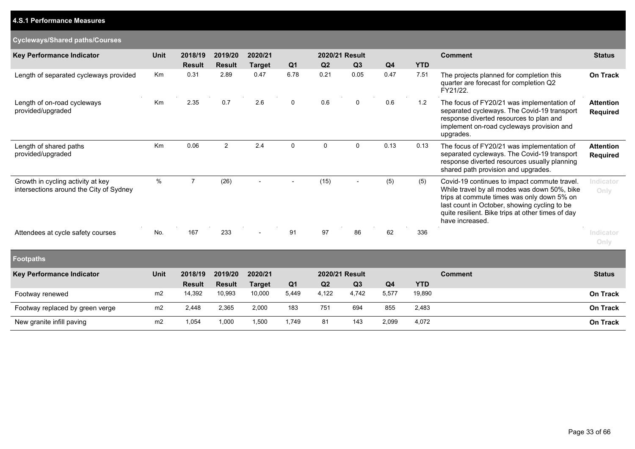# **4.S.1 Performance Measures**

## **Cycleways/Shared paths/Courses**

| Key Performance Indicator                                                    | <b>Unit</b> | 2018/19        | 2019/20        | 2020/21                  |                          |                | 2020/21 Result |                |            | <b>Comment</b>                                                                                                                                                                                                                                                     |                                     |  |
|------------------------------------------------------------------------------|-------------|----------------|----------------|--------------------------|--------------------------|----------------|----------------|----------------|------------|--------------------------------------------------------------------------------------------------------------------------------------------------------------------------------------------------------------------------------------------------------------------|-------------------------------------|--|
|                                                                              |             | <b>Result</b>  | <b>Result</b>  | <b>Target</b>            | Q <sub>1</sub>           | Q <sub>2</sub> | Q <sub>3</sub> | Q <sub>4</sub> | <b>YTD</b> |                                                                                                                                                                                                                                                                    |                                     |  |
| Length of separated cycleways provided                                       | <b>Km</b>   | 0.31           | 2.89           | 0.47                     | 6.78                     | 0.21           | 0.05           | 0.47           | 7.51       | The projects planned for completion this<br>quarter are forecast for completion Q2<br>FY21/22.                                                                                                                                                                     | On Track                            |  |
| Length of on-road cycleways<br>provided/upgraded                             | Km          | 2.35           | 0.7            | 2.6                      | 0                        | 0.6            | 0              | 0.6            | 1.2        | The focus of FY20/21 was implementation of<br>separated cycleways. The Covid-19 transport<br>response diverted resources to plan and<br>implement on-road cycleways provision and<br>upgrades.                                                                     | <b>Attention</b><br><b>Required</b> |  |
| Length of shared paths<br>provided/upgraded                                  | Km          | 0.06           | $\overline{2}$ | 2.4                      | 0                        | $\mathbf 0$    | $\mathbf 0$    | 0.13           | 0.13       | The focus of FY20/21 was implementation of<br>separated cycleways. The Covid-19 transport<br>response diverted resources usually planning<br>shared path provision and upgrades.                                                                                   | <b>Attention</b><br><b>Required</b> |  |
| Growth in cycling activity at key<br>intersections around the City of Sydney | $\%$        | $\overline{7}$ | (26)           | $\overline{\phantom{0}}$ | $\overline{\phantom{a}}$ | (15)           |                | (5)            | (5)        | Covid-19 continues to impact commute travel.<br>While travel by all modes was down 50%, bike<br>trips at commute times was only down 5% on<br>last count in October, showing cycling to be<br>quite resilient. Bike trips at other times of day<br>have increased. | Indicator<br>Only                   |  |
| Attendees at cycle safety courses                                            | No.         | 167            | 233            | $\overline{\phantom{0}}$ | 91                       | 97             | 86             | 62             | 336        |                                                                                                                                                                                                                                                                    | Indicator<br>Only                   |  |
| <b>Footpaths</b>                                                             |             |                |                |                          |                          |                |                |                |            |                                                                                                                                                                                                                                                                    |                                     |  |
| <b>Key Performance Indicator</b>                                             | Unit        | 2018/19        | 2019/20        | 2020/21                  |                          |                | 2020/21 Result |                |            | <b>Comment</b>                                                                                                                                                                                                                                                     | <b>Status</b>                       |  |

| <b>Key Performance Indicator</b> | Unit | 2018/19       | 2019/20       | 2020/21       |                |                | 2020/21 Result |                |            | Comment | Status          |
|----------------------------------|------|---------------|---------------|---------------|----------------|----------------|----------------|----------------|------------|---------|-----------------|
|                                  |      | <b>Result</b> | <b>Result</b> | <b>Target</b> | Q <sub>1</sub> | Q <sub>2</sub> | Q <sub>3</sub> | Q <sub>4</sub> | <b>YTD</b> |         |                 |
| Footway renewed                  | m2   | 14.392        | 10.993        | 10,000        | 5.449          | 4.122          | 4.742          | 5.577          | 19,890     |         | <b>On Track</b> |
| Footway replaced by green verge  | m2   | 2,448         | 2,365         | 2,000         | 183            | 751            | 694            | 855            | 2,483      |         | <b>On Track</b> |
| New granite infill paving        | m2   | 054. ا        | 000.          | 1,500         | 1,749          | 81             | 143            | 2,099          | 4,072      |         | <b>On Track</b> |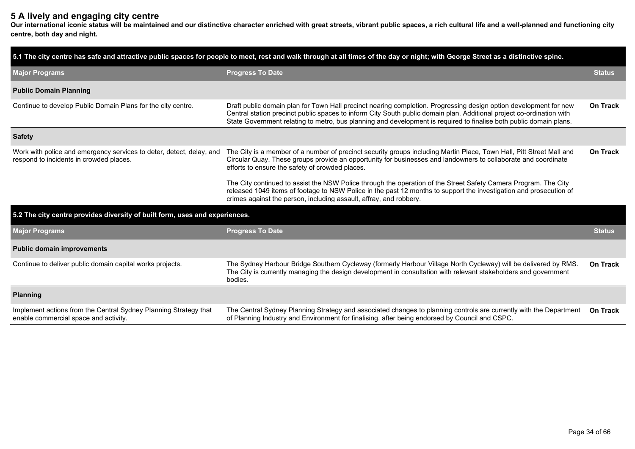# **5 A lively and engaging city centre**

**Our international iconic status will be maintained and our distinctive character enriched with great streets, vibrant public spaces, a rich cultural life and a well-planned and functioning city centre, both day and night.**

|                                                                                                                 | 5.1 The city centre has safe and attractive public spaces for people to meet, rest and walk through at all times of the day or night; with George Street as a distinctive spine.                                                                                                                                                                                 |                 |  |  |  |  |
|-----------------------------------------------------------------------------------------------------------------|------------------------------------------------------------------------------------------------------------------------------------------------------------------------------------------------------------------------------------------------------------------------------------------------------------------------------------------------------------------|-----------------|--|--|--|--|
| <b>Major Programs</b>                                                                                           | <b>Progress To Date</b>                                                                                                                                                                                                                                                                                                                                          |                 |  |  |  |  |
| <b>Public Domain Planning</b>                                                                                   |                                                                                                                                                                                                                                                                                                                                                                  |                 |  |  |  |  |
| Continue to develop Public Domain Plans for the city centre.                                                    | Draft public domain plan for Town Hall precinct nearing completion. Progressing design option development for new<br>Central station precinct public spaces to inform City South public domain plan. Additional project co-ordination with<br>State Government relating to metro, bus planning and development is required to finalise both public domain plans. | On Track        |  |  |  |  |
| <b>Safety</b>                                                                                                   |                                                                                                                                                                                                                                                                                                                                                                  |                 |  |  |  |  |
| Work with police and emergency services to deter, detect, delay, and<br>respond to incidents in crowded places. | The City is a member of a number of precinct security groups including Martin Place, Town Hall, Pitt Street Mall and<br>Circular Quay. These groups provide an opportunity for businesses and landowners to collaborate and coordinate<br>efforts to ensure the safety of crowded places.                                                                        |                 |  |  |  |  |
|                                                                                                                 | The City continued to assist the NSW Police through the operation of the Street Safety Camera Program. The City<br>released 1049 items of footage to NSW Police in the past 12 months to support the investigation and prosecution of<br>crimes against the person, including assault, affray, and robbery.                                                      |                 |  |  |  |  |
| 5.2 The city centre provides diversity of built form, uses and experiences.                                     |                                                                                                                                                                                                                                                                                                                                                                  |                 |  |  |  |  |
| <b>Major Programs</b>                                                                                           | <b>Progress To Date</b>                                                                                                                                                                                                                                                                                                                                          | <b>Status</b>   |  |  |  |  |
| <b>Public domain improvements</b>                                                                               |                                                                                                                                                                                                                                                                                                                                                                  |                 |  |  |  |  |
| Continue to deliver public domain capital works projects.                                                       | The Sydney Harbour Bridge Southern Cycleway (formerly Harbour Village North Cycleway) will be delivered by RMS.<br>The City is currently managing the design development in consultation with relevant stakeholders and government<br>bodies.                                                                                                                    | <b>On Track</b> |  |  |  |  |
| <b>Planning</b>                                                                                                 |                                                                                                                                                                                                                                                                                                                                                                  |                 |  |  |  |  |
| Implement actions from the Central Sydney Planning Strategy that<br>enable commercial space and activity.       | The Central Sydney Planning Strategy and associated changes to planning controls are currently with the Department<br>of Planning Industry and Environment for finalising, after being endorsed by Council and CSPC.                                                                                                                                             | <b>On Track</b> |  |  |  |  |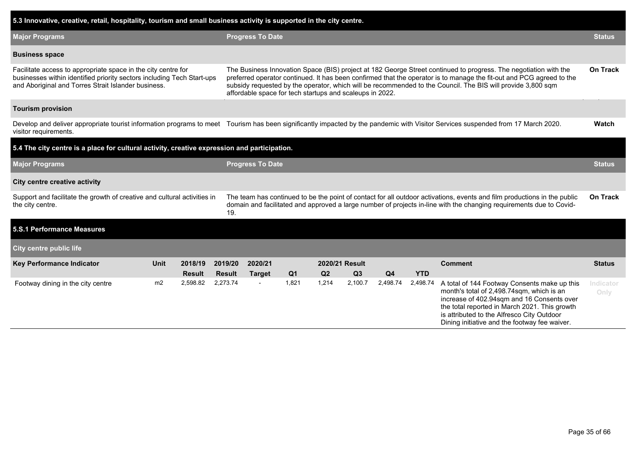| 5.3 Innovative, creative, retail, hospitality, tourism and small business activity is supported in the city centre.                                                                            |      |                                                                                                                                                                                                                                                                                                                                                                                                                     |               |                          |                |                |                |                |            |                                                                                                                                                                                                                                                                                         |                   |
|------------------------------------------------------------------------------------------------------------------------------------------------------------------------------------------------|------|---------------------------------------------------------------------------------------------------------------------------------------------------------------------------------------------------------------------------------------------------------------------------------------------------------------------------------------------------------------------------------------------------------------------|---------------|--------------------------|----------------|----------------|----------------|----------------|------------|-----------------------------------------------------------------------------------------------------------------------------------------------------------------------------------------------------------------------------------------------------------------------------------------|-------------------|
| <b>Major Programs</b>                                                                                                                                                                          |      |                                                                                                                                                                                                                                                                                                                                                                                                                     |               | <b>Progress To Date</b>  |                |                |                |                |            |                                                                                                                                                                                                                                                                                         | <b>Status</b>     |
| <b>Business space</b>                                                                                                                                                                          |      |                                                                                                                                                                                                                                                                                                                                                                                                                     |               |                          |                |                |                |                |            |                                                                                                                                                                                                                                                                                         |                   |
| Facilitate access to appropriate space in the city centre for<br>businesses within identified priority sectors including Tech Start-ups<br>and Aboriginal and Torres Strait Islander business. |      | The Business Innovation Space (BIS) project at 182 George Street continued to progress. The negotiation with the<br>preferred operator continued. It has been confirmed that the operator is to manage the fit-out and PCG agreed to the<br>subsidy requested by the operator, which will be recommended to the Council. The BIS will provide 3,800 sqm<br>affordable space for tech startups and scaleups in 2022. |               |                          |                |                |                |                |            |                                                                                                                                                                                                                                                                                         |                   |
| <b>Tourism provision</b>                                                                                                                                                                       |      |                                                                                                                                                                                                                                                                                                                                                                                                                     |               |                          |                |                |                |                |            |                                                                                                                                                                                                                                                                                         |                   |
| visitor requirements.                                                                                                                                                                          |      |                                                                                                                                                                                                                                                                                                                                                                                                                     |               |                          |                |                |                |                |            | Develop and deliver appropriate tourist information programs to meet Tourism has been significantly impacted by the pandemic with Visitor Services suspended from 17 March 2020.                                                                                                        | Watch             |
| 5.4 The city centre is a place for cultural activity, creative expression and participation.                                                                                                   |      |                                                                                                                                                                                                                                                                                                                                                                                                                     |               |                          |                |                |                |                |            |                                                                                                                                                                                                                                                                                         |                   |
| <b>Major Programs</b>                                                                                                                                                                          |      |                                                                                                                                                                                                                                                                                                                                                                                                                     |               | <b>Progress To Date</b>  |                |                |                |                |            |                                                                                                                                                                                                                                                                                         |                   |
| <b>City centre creative activity</b>                                                                                                                                                           |      |                                                                                                                                                                                                                                                                                                                                                                                                                     |               |                          |                |                |                |                |            |                                                                                                                                                                                                                                                                                         |                   |
| Support and facilitate the growth of creative and cultural activities in<br>the city centre.                                                                                                   |      |                                                                                                                                                                                                                                                                                                                                                                                                                     | 19.           |                          |                |                |                |                |            | The team has continued to be the point of contact for all outdoor activations, events and film productions in the public<br>domain and facilitated and approved a large number of projects in-line with the changing requirements due to Covid-                                         | <b>On Track</b>   |
| 5.S.1 Performance Measures                                                                                                                                                                     |      |                                                                                                                                                                                                                                                                                                                                                                                                                     |               |                          |                |                |                |                |            |                                                                                                                                                                                                                                                                                         |                   |
| <b>City centre public life</b>                                                                                                                                                                 |      |                                                                                                                                                                                                                                                                                                                                                                                                                     |               |                          |                |                |                |                |            |                                                                                                                                                                                                                                                                                         |                   |
| Key Performance Indicator                                                                                                                                                                      | Unit | 2018/19                                                                                                                                                                                                                                                                                                                                                                                                             | 2019/20       | 2020/21                  |                |                | 2020/21 Result |                |            | <b>Comment</b>                                                                                                                                                                                                                                                                          | <b>Status</b>     |
|                                                                                                                                                                                                |      | <b>Result</b>                                                                                                                                                                                                                                                                                                                                                                                                       | <b>Result</b> | <b>Target</b>            | Q <sub>1</sub> | Q <sub>2</sub> | Q3             | Q <sub>4</sub> | <b>YTD</b> |                                                                                                                                                                                                                                                                                         |                   |
| Footway dining in the city centre                                                                                                                                                              | m2   | 2,598.82                                                                                                                                                                                                                                                                                                                                                                                                            | 2,273.74      | $\overline{\phantom{a}}$ | 1,821          | 1,214          | 2,100.7        | 2,498.74       | 2,498.74   | A total of 144 Footway Consents make up this<br>month's total of 2,498.74sqm, which is an<br>increase of 402.94sqm and 16 Consents over<br>the total reported in March 2021. This growth<br>is attributed to the Alfresco City Outdoor<br>Dining initiative and the footway fee waiver. | Indicator<br>Only |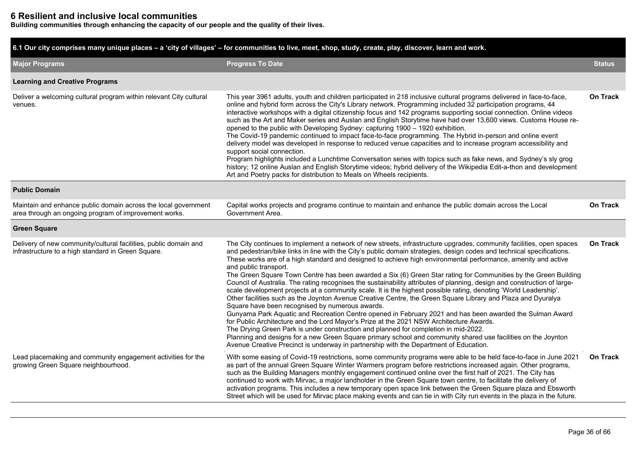# **6 Resilient and inclusive local communities**

**Building communities through enhancing the capacity of our people and the quality of their lives.**

| 6.1 Our city comprises many unique places – a 'city of villages' – for communities to live, meet, shop, study, create, play, discover, learn and work. |                                                                                                                                                                                                                                                                                                                                                                                                                                                                                                                                                                                                                                                                                                                                                                                                                                                                                                                                                                                                                                                                                                                                                                                                                                                                                                                                                                                                                                        |                 |  |  |  |  |  |  |  |
|--------------------------------------------------------------------------------------------------------------------------------------------------------|----------------------------------------------------------------------------------------------------------------------------------------------------------------------------------------------------------------------------------------------------------------------------------------------------------------------------------------------------------------------------------------------------------------------------------------------------------------------------------------------------------------------------------------------------------------------------------------------------------------------------------------------------------------------------------------------------------------------------------------------------------------------------------------------------------------------------------------------------------------------------------------------------------------------------------------------------------------------------------------------------------------------------------------------------------------------------------------------------------------------------------------------------------------------------------------------------------------------------------------------------------------------------------------------------------------------------------------------------------------------------------------------------------------------------------------|-----------------|--|--|--|--|--|--|--|
| <b>Major Programs</b>                                                                                                                                  | <b>Progress To Date</b>                                                                                                                                                                                                                                                                                                                                                                                                                                                                                                                                                                                                                                                                                                                                                                                                                                                                                                                                                                                                                                                                                                                                                                                                                                                                                                                                                                                                                | <b>Status</b>   |  |  |  |  |  |  |  |
| <b>Learning and Creative Programs</b>                                                                                                                  |                                                                                                                                                                                                                                                                                                                                                                                                                                                                                                                                                                                                                                                                                                                                                                                                                                                                                                                                                                                                                                                                                                                                                                                                                                                                                                                                                                                                                                        |                 |  |  |  |  |  |  |  |
| Deliver a welcoming cultural program within relevant City cultural<br>venues.                                                                          | This year 3961 adults, youth and children participated in 218 inclusive cultural programs delivered in face-to-face,<br>online and hybrid form across the City's Library network. Programming included 32 participation programs, 44<br>interactive workshops with a digital citizenship focus and 142 programs supporting social connection. Online videos<br>such as the Art and Maker series and Auslan and English Storytime have had over 13,600 views. Customs House re-<br>opened to the public with Developing Sydney: capturing 1900 - 1920 exhibition.<br>The Covid-19 pandemic continued to impact face-to-face programming. The Hybrid in-person and online event<br>delivery model was developed in response to reduced venue capacities and to increase program accessibility and<br>support social connection.<br>Program highlights included a Lunchtime Conversation series with topics such as fake news, and Sydney's sly grog<br>history; 12 online Auslan and English Storytime videos; hybrid delivery of the Wikipedia Edit-a-thon and development<br>Art and Poetry packs for distribution to Meals on Wheels recipients.                                                                                                                                                                                                                                                                                      | <b>On Track</b> |  |  |  |  |  |  |  |
| <b>Public Domain</b>                                                                                                                                   |                                                                                                                                                                                                                                                                                                                                                                                                                                                                                                                                                                                                                                                                                                                                                                                                                                                                                                                                                                                                                                                                                                                                                                                                                                                                                                                                                                                                                                        |                 |  |  |  |  |  |  |  |
| Maintain and enhance public domain across the local government<br>area through an ongoing program of improvement works.                                | Capital works projects and programs continue to maintain and enhance the public domain across the Local<br>Government Area.                                                                                                                                                                                                                                                                                                                                                                                                                                                                                                                                                                                                                                                                                                                                                                                                                                                                                                                                                                                                                                                                                                                                                                                                                                                                                                            | <b>On Track</b> |  |  |  |  |  |  |  |
| <b>Green Square</b>                                                                                                                                    |                                                                                                                                                                                                                                                                                                                                                                                                                                                                                                                                                                                                                                                                                                                                                                                                                                                                                                                                                                                                                                                                                                                                                                                                                                                                                                                                                                                                                                        |                 |  |  |  |  |  |  |  |
| Delivery of new community/cultural facilities, public domain and<br>infrastructure to a high standard in Green Square.                                 | The City continues to implement a network of new streets, infrastructure upgrades, community facilities, open spaces<br>and pedestrian/bike links in line with the City's public domain strategies, design codes and technical specifications.<br>These works are of a high standard and designed to achieve high environmental performance, amenity and active<br>and public transport.<br>The Green Square Town Centre has been awarded a Six (6) Green Star rating for Communities by the Green Building<br>Council of Australia. The rating recognises the sustainability attributes of planning, design and construction of large-<br>scale development projects at a community scale. It is the highest possible rating, denoting 'World Leadership'.<br>Other facilities such as the Joynton Avenue Creative Centre, the Green Square Library and Plaza and Dyuralya<br>Square have been recognised by numerous awards.<br>Gunyama Park Aquatic and Recreation Centre opened in February 2021 and has been awarded the Sulman Award<br>for Public Architecture and the Lord Mayor's Prize at the 2021 NSW Architecture Awards.<br>The Drying Green Park is under construction and planned for completion in mid-2022.<br>Planning and designs for a new Green Square primary school and community shared use facilities on the Joynton<br>Avenue Creative Precinct is underway in partnership with the Department of Education. | <b>On Track</b> |  |  |  |  |  |  |  |
| Lead placemaking and community engagement activities for the<br>growing Green Square neighbourhood.                                                    | With some easing of Covid-19 restrictions, some community programs were able to be held face-to-face in June 2021<br>as part of the annual Green Square Winter Warmers program before restrictions increased again. Other programs,<br>such as the Building Managers monthly engagement continued online over the first half of 2021. The City has<br>continued to work with Mirvac, a major landholder in the Green Square town centre, to facilitate the delivery of<br>activation programs. This includes a new temporary open space link between the Green Square plaza and Ebsworth<br>Street which will be used for Mirvac place making events and can tie in with City run events in the plaza in the future.                                                                                                                                                                                                                                                                                                                                                                                                                                                                                                                                                                                                                                                                                                                   | <b>On Track</b> |  |  |  |  |  |  |  |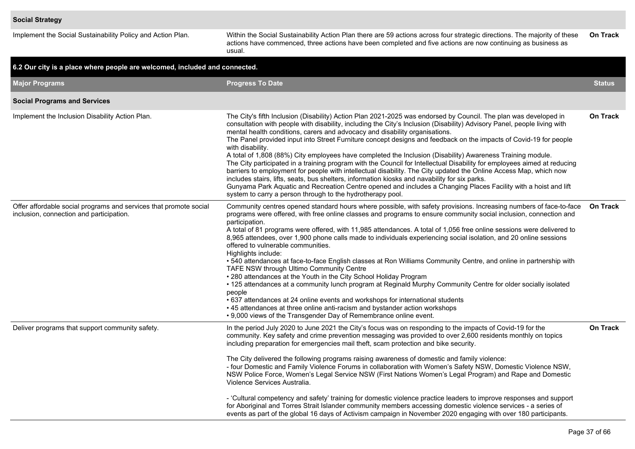Implement the Social Sustainability Policy and Action Plan. Within the Social Sustainability Action Plan there are 59 actions across four strategic directions. The majority of these actions have commenced, three actions have been completed and five actions are now continuing as business as usual. **On Track**

| 6.2 Our city is a place where people are welcomed, included and connected.                                    |                                                                                                                                                                                                                                                                                                                                                                                                                                                                                                                                                                                                                                                                                                                                                                                                                                                                                                                                                                                                                                                                                                                                                                               |                 |  |  |  |  |  |  |  |  |  |
|---------------------------------------------------------------------------------------------------------------|-------------------------------------------------------------------------------------------------------------------------------------------------------------------------------------------------------------------------------------------------------------------------------------------------------------------------------------------------------------------------------------------------------------------------------------------------------------------------------------------------------------------------------------------------------------------------------------------------------------------------------------------------------------------------------------------------------------------------------------------------------------------------------------------------------------------------------------------------------------------------------------------------------------------------------------------------------------------------------------------------------------------------------------------------------------------------------------------------------------------------------------------------------------------------------|-----------------|--|--|--|--|--|--|--|--|--|
| <b>Major Programs</b>                                                                                         | <b>Progress To Date</b>                                                                                                                                                                                                                                                                                                                                                                                                                                                                                                                                                                                                                                                                                                                                                                                                                                                                                                                                                                                                                                                                                                                                                       | <b>Status</b>   |  |  |  |  |  |  |  |  |  |
| <b>Social Programs and Services</b>                                                                           |                                                                                                                                                                                                                                                                                                                                                                                                                                                                                                                                                                                                                                                                                                                                                                                                                                                                                                                                                                                                                                                                                                                                                                               |                 |  |  |  |  |  |  |  |  |  |
| Implement the Inclusion Disability Action Plan.                                                               | The City's fifth Inclusion (Disability) Action Plan 2021-2025 was endorsed by Council. The plan was developed in<br>consultation with people with disability, including the City's Inclusion (Disability) Advisory Panel, people living with<br>mental health conditions, carers and advocacy and disability organisations.<br>The Panel provided input into Street Furniture concept designs and feedback on the impacts of Covid-19 for people<br>with disability.<br>A total of 1,808 (88%) City employees have completed the Inclusion (Disability) Awareness Training module.<br>The City participated in a training program with the Council for Intellectual Disability for employees aimed at reducing<br>barriers to employment for people with intellectual disability. The City updated the Online Access Map, which now<br>includes stairs, lifts, seats, bus shelters, information kiosks and navability for six parks.<br>Gunyama Park Aquatic and Recreation Centre opened and includes a Changing Places Facility with a hoist and lift<br>system to carry a person through to the hydrotherapy pool.                                                         | On Track        |  |  |  |  |  |  |  |  |  |
| Offer affordable social programs and services that promote social<br>inclusion, connection and participation. | Community centres opened standard hours where possible, with safety provisions. Increasing numbers of face-to-face<br>programs were offered, with free online classes and programs to ensure community social inclusion, connection and<br>participation.<br>A total of 81 programs were offered, with 11,985 attendances. A total of 1,056 free online sessions were delivered to<br>8,965 attendees, over 1,900 phone calls made to individuals experiencing social isolation, and 20 online sessions<br>offered to vulnerable communities.<br>Highlights include:<br>• 540 attendances at face-to-face English classes at Ron Williams Community Centre, and online in partnership with<br>TAFE NSW through Ultimo Community Centre<br>• 280 attendances at the Youth in the City School Holiday Program<br>. 125 attendances at a community lunch program at Reginald Murphy Community Centre for older socially isolated<br>people<br>• 637 attendances at 24 online events and workshops for international students<br>• 45 attendances at three online anti-racism and bystander action workshops<br>• 9,000 views of the Transgender Day of Remembrance online event. | <b>On Track</b> |  |  |  |  |  |  |  |  |  |
| Deliver programs that support community safety.                                                               | In the period July 2020 to June 2021 the City's focus was on responding to the impacts of Covid-19 for the<br>community. Key safety and crime prevention messaging was provided to over 2,600 residents monthly on topics<br>including preparation for emergencies mail theft, scam protection and bike security.<br>The City delivered the following programs raising awareness of domestic and family violence:<br>- four Domestic and Family Violence Forums in collaboration with Women's Safety NSW, Domestic Violence NSW,<br>NSW Police Force, Women's Legal Service NSW (First Nations Women's Legal Program) and Rape and Domestic<br>Violence Services Australia.<br>- 'Cultural competency and safety' training for domestic violence practice leaders to improve responses and support<br>for Aboriginal and Torres Strait Islander community members accessing domestic violence services - a series of<br>events as part of the global 16 days of Activism campaign in November 2020 engaging with over 180 participants.                                                                                                                                       | <b>On Track</b> |  |  |  |  |  |  |  |  |  |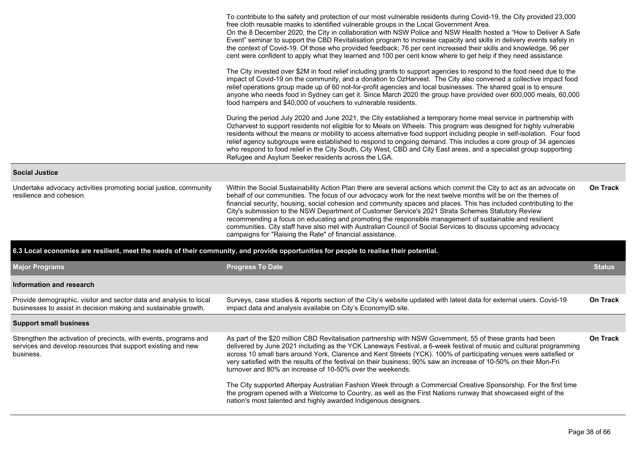|                                                                                                                                                | To contribute to the safety and protection of our most vulnerable residents during Covid-19, the City provided 23,000<br>free cloth reusable masks to identified vulnerable groups in the Local Government Area.<br>On the 8 December 2020, the City in collaboration with NSW Police and NSW Health hosted a "How to Deliver A Safe<br>Event" seminar to support the CBD Revitalisation program to increase capacity and skills in delivery events safely in<br>the context of Covid-19. Of those who provided feedback; 76 per cent increased their skills and knowledge, 96 per<br>cent were confident to apply what they learned and 100 per cent know where to get help if they need assistance.<br>The City invested over \$2M in food relief including grants to support agencies to respond to the food need due to the |                 |
|------------------------------------------------------------------------------------------------------------------------------------------------|---------------------------------------------------------------------------------------------------------------------------------------------------------------------------------------------------------------------------------------------------------------------------------------------------------------------------------------------------------------------------------------------------------------------------------------------------------------------------------------------------------------------------------------------------------------------------------------------------------------------------------------------------------------------------------------------------------------------------------------------------------------------------------------------------------------------------------|-----------------|
|                                                                                                                                                | impact of Covid-19 on the community, and a donation to OzHarvest. The City also convened a collective impact food<br>relief operations group made up of 60 not-for-profit agencies and local businesses. The shared goal is to ensure<br>anyone who needs food in Sydney can get it. Since March 2020 the group have provided over 600,000 meals, 60,000<br>food hampers and \$40,000 of vouchers to vulnerable residents.                                                                                                                                                                                                                                                                                                                                                                                                      |                 |
|                                                                                                                                                | During the period July 2020 and June 2021, the City established a temporary home meal service in partnership with<br>Ozharvest to support residents not eligible for to Meals on Wheels. This program was designed for highly vulnerable<br>residents without the means or mobility to access alternative food support including people in self-isolation. Four food<br>relief agency subgroups were established to respond to ongoing demand. This includes a core group of 34 agencies<br>who respond to food relief in the City South, City West, CBD and City East areas, and a specialist group supporting<br>Refugee and Asylum Seeker residents across the LGA.                                                                                                                                                          |                 |
| <b>Social Justice</b>                                                                                                                          |                                                                                                                                                                                                                                                                                                                                                                                                                                                                                                                                                                                                                                                                                                                                                                                                                                 |                 |
| Undertake advocacy activities promoting social justice, community<br>resilience and cohesion.                                                  | Within the Social Sustainability Action Plan there are several actions which commit the City to act as an advocate on<br>behalf of our communities. The focus of our advocacy work for the next twelve months will be on the themes of<br>financial security, housing, social cohesion and community spaces and places. This has included contributing to the<br>City's submission to the NSW Department of Customer Service's 2021 Strata Schemes Statutory Review<br>recommending a focus on educating and promoting the responsible management of sustainable and resilient<br>communities. City staff have also met with Australian Council of Social Services to discuss upcoming advocacy<br>campaigns for "Raising the Rate" of financial assistance.                                                                    | <b>On Track</b> |
|                                                                                                                                                | 6.3 Local economies are resilient, meet the needs of their community, and provide opportunities for people to realise their potential.                                                                                                                                                                                                                                                                                                                                                                                                                                                                                                                                                                                                                                                                                          |                 |
| <b>Major Programs</b>                                                                                                                          | <b>Progress To Date</b>                                                                                                                                                                                                                                                                                                                                                                                                                                                                                                                                                                                                                                                                                                                                                                                                         | <b>Status</b>   |
| Information and research                                                                                                                       |                                                                                                                                                                                                                                                                                                                                                                                                                                                                                                                                                                                                                                                                                                                                                                                                                                 |                 |
| Provide demographic, visitor and sector data and analysis to local<br>businesses to assist in decision making and sustainable growth.          | Surveys, case studies & reports section of the City's website updated with latest data for external users. Covid-19<br>impact data and analysis available on City's EconomyID site.                                                                                                                                                                                                                                                                                                                                                                                                                                                                                                                                                                                                                                             | On Track        |
| <b>Support small business</b>                                                                                                                  |                                                                                                                                                                                                                                                                                                                                                                                                                                                                                                                                                                                                                                                                                                                                                                                                                                 |                 |
| Strengthen the activation of precincts, with events, programs and<br>services and develop resources that support existing and new<br>business. | As part of the \$20 million CBD Revitalisation partnership with NSW Government, 55 of these grants had been<br>delivered by June 2021 including as the YCK Laneways Festival, a 6-week festival of music and cultural programming<br>across 10 small bars around York, Clarence and Kent Streets (YCK). 100% of participating venues were satisfied or<br>very satisfied with the results of the festival on their business; 90% saw an increase of 10-50% on their Mon-Fri<br>turnover and 80% an increase of 10-50% over the weekends.                                                                                                                                                                                                                                                                                        | On Track        |
|                                                                                                                                                | The City supported Afterpay Australian Fashion Week through a Commercial Creative Sponsorship. For the first time<br>the program opened with a Welcome to Country, as well as the First Nations runway that showcased eight of the<br>nation's most talented and highly awarded Indigenous designers.                                                                                                                                                                                                                                                                                                                                                                                                                                                                                                                           |                 |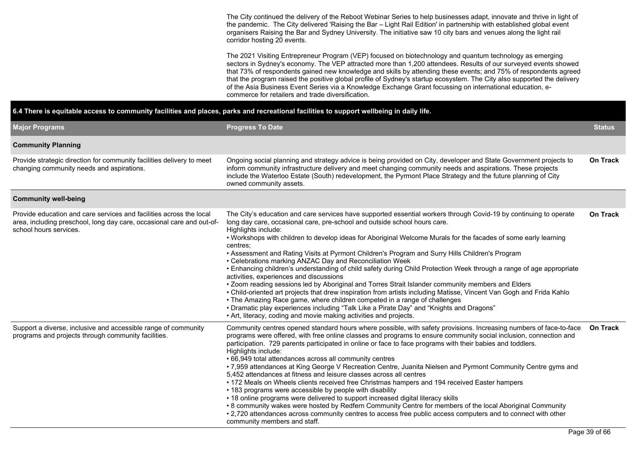The City continued the delivery of the Reboot Webinar Series to help businesses adapt, innovate and thrive in light of the pandemic. The City delivered 'Raising the Bar – Light Rail Edition' in partnership with established global event organisers Raising the Bar and Sydney University. The initiative saw 10 city bars and venues along the light rail corridor hosting 20 events.

The 2021 Visiting Entrepreneur Program (VEP) focused on biotechnology and quantum technology as emerging sectors in Sydney's economy. The VEP attracted more than 1,200 attendees. Results of our surveyed events showed that 73% of respondents gained new knowledge and skills by attending these events; and 75% of respondents agreed that the program raised the positive global profile of Sydney's startup ecosystem. The City also supported the delivery of the Asia Business Event Series via a Knowledge Exchange Grant focussing on international education, ecommerce for retailers and trade diversification.

| 6.4 There is equitable access to community facilities and places, parks and recreational facilities to support wellbeing in daily life.                                                                                                                                                                                                                                                                                                                                                           |                                                                                                                                                                                                                                                                                                                                                                                                                                                                                                                                                                                                                                                                                                                                                                                                                                                                                                                                                                                                                                                                                                                                                                   |                 |  |  |  |  |  |  |  |
|---------------------------------------------------------------------------------------------------------------------------------------------------------------------------------------------------------------------------------------------------------------------------------------------------------------------------------------------------------------------------------------------------------------------------------------------------------------------------------------------------|-------------------------------------------------------------------------------------------------------------------------------------------------------------------------------------------------------------------------------------------------------------------------------------------------------------------------------------------------------------------------------------------------------------------------------------------------------------------------------------------------------------------------------------------------------------------------------------------------------------------------------------------------------------------------------------------------------------------------------------------------------------------------------------------------------------------------------------------------------------------------------------------------------------------------------------------------------------------------------------------------------------------------------------------------------------------------------------------------------------------------------------------------------------------|-----------------|--|--|--|--|--|--|--|
| <b>Major Programs</b>                                                                                                                                                                                                                                                                                                                                                                                                                                                                             | <b>Progress To Date</b>                                                                                                                                                                                                                                                                                                                                                                                                                                                                                                                                                                                                                                                                                                                                                                                                                                                                                                                                                                                                                                                                                                                                           | <b>Status</b>   |  |  |  |  |  |  |  |
| <b>Community Planning</b>                                                                                                                                                                                                                                                                                                                                                                                                                                                                         |                                                                                                                                                                                                                                                                                                                                                                                                                                                                                                                                                                                                                                                                                                                                                                                                                                                                                                                                                                                                                                                                                                                                                                   |                 |  |  |  |  |  |  |  |
| Provide strategic direction for community facilities delivery to meet<br>Ongoing social planning and strategy advice is being provided on City, developer and State Government projects to<br>inform community infrastructure delivery and meet changing community needs and aspirations. These projects<br>changing community needs and aspirations.<br>include the Waterloo Estate (South) redevelopment, the Pyrmont Place Strategy and the future planning of City<br>owned community assets. |                                                                                                                                                                                                                                                                                                                                                                                                                                                                                                                                                                                                                                                                                                                                                                                                                                                                                                                                                                                                                                                                                                                                                                   |                 |  |  |  |  |  |  |  |
| <b>Community well-being</b>                                                                                                                                                                                                                                                                                                                                                                                                                                                                       |                                                                                                                                                                                                                                                                                                                                                                                                                                                                                                                                                                                                                                                                                                                                                                                                                                                                                                                                                                                                                                                                                                                                                                   |                 |  |  |  |  |  |  |  |
| Provide education and care services and facilities across the local<br>area, including preschool, long day care, occasional care and out-of-<br>school hours services.                                                                                                                                                                                                                                                                                                                            | The City's education and care services have supported essential workers through Covid-19 by continuing to operate<br>long day care, occasional care, pre-school and outside school hours care.<br>Highlights include:<br>. Workshops with children to develop ideas for Aboriginal Welcome Murals for the facades of some early learning<br>centres:<br>• Assessment and Rating Visits at Pyrmont Children's Program and Surry Hills Children's Program<br>• Celebrations marking ANZAC Day and Reconciliation Week<br>• Enhancing children's understanding of child safety during Child Protection Week through a range of age appropriate<br>activities, experiences and discussions<br>. Zoom reading sessions led by Aboriginal and Torres Strait Islander community members and Elders<br>. Child-oriented art projects that drew inspiration from artists including Matisse, Vincent Van Gogh and Frida Kahlo<br>• The Amazing Race game, where children competed in a range of challenges<br>• Dramatic play experiences including "Talk Like a Pirate Day" and "Knights and Dragons"<br>• Art, literacy, coding and movie making activities and projects. | <b>On Track</b> |  |  |  |  |  |  |  |
| Support a diverse, inclusive and accessible range of community<br>programs and projects through community facilities.                                                                                                                                                                                                                                                                                                                                                                             | Community centres opened standard hours where possible, with safety provisions. Increasing numbers of face-to-face<br>programs were offered, with free online classes and programs to ensure community social inclusion, connection and<br>participation. 729 parents participated in online or face to face programs with their babies and toddlers.<br>Highlights include:<br>• 66,949 total attendances across all community centres<br>• 7,959 attendances at King George V Recreation Centre, Juanita Nielsen and Pyrmont Community Centre gyms and<br>5,452 attendances at fitness and leisure classes across all centres<br>• 172 Meals on Wheels clients received free Christmas hampers and 194 received Easter hampers<br>• 183 programs were accessible by people with disability<br>• 18 online programs were delivered to support increased digital literacy skills<br>• 8 community wakes were hosted by Redfern Community Centre for members of the local Aboriginal Community<br>• 2,720 attendances across community centres to access free public access computers and to connect with other<br>community members and staff.                    | <b>On Track</b> |  |  |  |  |  |  |  |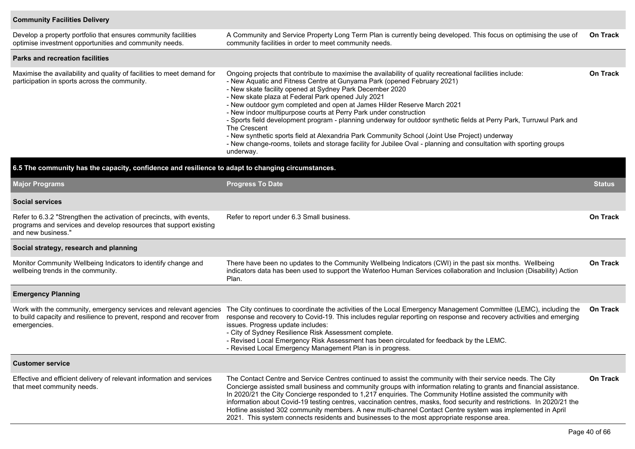## **Community Facilities Delivery**

| Develop a property portfolio that ensures community facilities<br>optimise investment opportunities and community needs.                                        | A Community and Service Property Long Term Plan is currently being developed. This focus on optimising the use of<br>community facilities in order to meet community needs.                                                                                                                                                                                                                                                                                                                                                                                                                                                                                                                                                                                                                                                        |                 |  |  |  |  |  |
|-----------------------------------------------------------------------------------------------------------------------------------------------------------------|------------------------------------------------------------------------------------------------------------------------------------------------------------------------------------------------------------------------------------------------------------------------------------------------------------------------------------------------------------------------------------------------------------------------------------------------------------------------------------------------------------------------------------------------------------------------------------------------------------------------------------------------------------------------------------------------------------------------------------------------------------------------------------------------------------------------------------|-----------------|--|--|--|--|--|
| <b>Parks and recreation facilities</b>                                                                                                                          |                                                                                                                                                                                                                                                                                                                                                                                                                                                                                                                                                                                                                                                                                                                                                                                                                                    |                 |  |  |  |  |  |
| Maximise the availability and quality of facilities to meet demand for<br>participation in sports across the community.                                         | Ongoing projects that contribute to maximise the availability of quality recreational facilities include:<br>- New Aquatic and Fitness Centre at Gunyama Park (opened February 2021)<br>- New skate facility opened at Sydney Park December 2020<br>- New skate plaza at Federal Park opened July 2021<br>- New outdoor gym completed and open at James Hilder Reserve March 2021<br>- New indoor multipurpose courts at Perry Park under construction<br>- Sports field development program - planning underway for outdoor synthetic fields at Perry Park, Turruwul Park and<br>The Crescent<br>- New synthetic sports field at Alexandria Park Community School (Joint Use Project) underway<br>- New change-rooms, toilets and storage facility for Jubilee Oval - planning and consultation with sporting groups<br>underway. | <b>On Track</b> |  |  |  |  |  |
| 6.5 The community has the capacity, confidence and resilience to adapt to changing circumstances.                                                               |                                                                                                                                                                                                                                                                                                                                                                                                                                                                                                                                                                                                                                                                                                                                                                                                                                    |                 |  |  |  |  |  |
| <b>Major Programs</b>                                                                                                                                           | <b>Progress To Date</b>                                                                                                                                                                                                                                                                                                                                                                                                                                                                                                                                                                                                                                                                                                                                                                                                            | <b>Status</b>   |  |  |  |  |  |
| <b>Social services</b>                                                                                                                                          |                                                                                                                                                                                                                                                                                                                                                                                                                                                                                                                                                                                                                                                                                                                                                                                                                                    |                 |  |  |  |  |  |
| Refer to 6.3.2 "Strengthen the activation of precincts, with events,<br>programs and services and develop resources that support existing<br>and new business." | Refer to report under 6.3 Small business.                                                                                                                                                                                                                                                                                                                                                                                                                                                                                                                                                                                                                                                                                                                                                                                          | <b>On Track</b> |  |  |  |  |  |
| Social strategy, research and planning                                                                                                                          |                                                                                                                                                                                                                                                                                                                                                                                                                                                                                                                                                                                                                                                                                                                                                                                                                                    |                 |  |  |  |  |  |
| Monitor Community Wellbeing Indicators to identify change and<br>wellbeing trends in the community.                                                             | There have been no updates to the Community Wellbeing Indicators (CWI) in the past six months. Wellbeing<br>indicators data has been used to support the Waterloo Human Services collaboration and Inclusion (Disability) Action<br>Plan.                                                                                                                                                                                                                                                                                                                                                                                                                                                                                                                                                                                          | <b>On Track</b> |  |  |  |  |  |
| <b>Emergency Planning</b>                                                                                                                                       |                                                                                                                                                                                                                                                                                                                                                                                                                                                                                                                                                                                                                                                                                                                                                                                                                                    |                 |  |  |  |  |  |
| Work with the community, emergency services and relevant agencies<br>to build capacity and resilience to prevent, respond and recover from<br>emergencies.      | The City continues to coordinate the activities of the Local Emergency Management Committee (LEMC), including the<br>response and recovery to Covid-19. This includes regular reporting on response and recovery activities and emerging<br>issues. Progress update includes:<br>- City of Sydney Resilience Risk Assessment complete.<br>- Revised Local Emergency Risk Assessment has been circulated for feedback by the LEMC.<br>- Revised Local Emergency Management Plan is in progress.                                                                                                                                                                                                                                                                                                                                     | <b>On Track</b> |  |  |  |  |  |
| <b>Customer service</b>                                                                                                                                         |                                                                                                                                                                                                                                                                                                                                                                                                                                                                                                                                                                                                                                                                                                                                                                                                                                    |                 |  |  |  |  |  |
| Effective and efficient delivery of relevant information and services<br>that meet community needs.                                                             | The Contact Centre and Service Centres continued to assist the community with their service needs. The City<br>Concierge assisted small business and community groups with information relating to grants and financial assistance.<br>In 2020/21 the City Concierge responded to 1,217 enquiries. The Community Hotline assisted the community with<br>information about Covid-19 testing centres, vaccination centres, masks, food security and restrictions. In 2020/21 the<br>Hotline assisted 302 community members. A new multi-channel Contact Centre system was implemented in April<br>2021. This system connects residents and businesses to the most appropriate response area.                                                                                                                                         | <b>On Track</b> |  |  |  |  |  |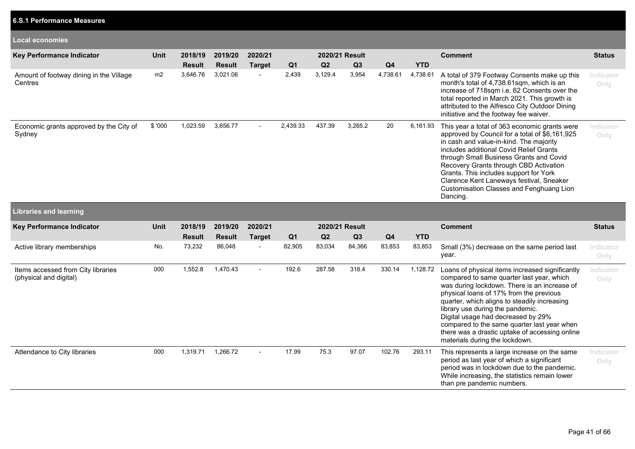| <b>Local economies</b>                                       |             |               |               |                          |                |                |                |                |            |                                                                                                                                                                                                                                                                                                                                                                                                                                                      |                   |
|--------------------------------------------------------------|-------------|---------------|---------------|--------------------------|----------------|----------------|----------------|----------------|------------|------------------------------------------------------------------------------------------------------------------------------------------------------------------------------------------------------------------------------------------------------------------------------------------------------------------------------------------------------------------------------------------------------------------------------------------------------|-------------------|
|                                                              |             |               |               |                          |                |                |                |                |            |                                                                                                                                                                                                                                                                                                                                                                                                                                                      |                   |
| Key Performance Indicator                                    | Unit        | 2018/19       | 2019/20       | 2020/21                  |                | 2020/21 Result |                |                |            | <b>Comment</b>                                                                                                                                                                                                                                                                                                                                                                                                                                       | <b>Status</b>     |
|                                                              |             | <b>Result</b> | <b>Result</b> | <b>Target</b>            | Q <sub>1</sub> | Q2             | Q3             | Q <sub>4</sub> | <b>YTD</b> |                                                                                                                                                                                                                                                                                                                                                                                                                                                      |                   |
| Amount of footway dining in the Village<br>Centres           | m2          | 3,646.76      | 3,021.06      |                          | 2,439          | 3,129.4        | 3,954          | 4,738.61       | 4,738.61   | A total of 379 Footway Consents make up this<br>month's total of 4,738.61sqm, which is an<br>increase of 718sqm i.e. 62 Consents over the<br>total reported in March 2021. This growth is<br>attributed to the Alfresco City Outdoor Dining<br>initiative and the footway fee waiver.                                                                                                                                                                | Indicator<br>Only |
| Economic grants approved by the City of<br>Sydney            | \$'000      | 1,023.59      | 3,656.77      | $\blacksquare$           | 2,439.33       | 437.39         | 3,265.2        | 20             | 6,161.93   | This year a total of 363 economic grants were<br>approved by Council for a total of \$6,161,925<br>in cash and value-in-kind. The majority<br>includes additional Covid Relief Grants<br>through Small Business Grants and Covid<br>Recovery Grants through CBD Activation<br>Grants. This includes support for York<br>Clarence Kent Laneways festival, Sneaker<br>Customisation Classes and Fenghuang Lion<br>Dancing.                             | Indicator<br>Only |
| <b>Libraries and learning</b>                                |             |               |               |                          |                |                |                |                |            |                                                                                                                                                                                                                                                                                                                                                                                                                                                      |                   |
| Key Performance Indicator                                    | <b>Unit</b> | 2018/19       | 2019/20       | 2020/21                  |                |                | 2020/21 Result |                |            | <b>Comment</b>                                                                                                                                                                                                                                                                                                                                                                                                                                       | <b>Status</b>     |
|                                                              |             | <b>Result</b> | <b>Result</b> | <b>Target</b>            | Q <sub>1</sub> | Q2             | Q3             | Q <sub>4</sub> | <b>YTD</b> |                                                                                                                                                                                                                                                                                                                                                                                                                                                      |                   |
| Active library memberships                                   | No.         | 73,232        | 86,048        | $\blacksquare$           | 82,905         | 83,034         | 84,366         | 83,853         | 83,853     | Small (3%) decrease on the same period last<br>year.                                                                                                                                                                                                                                                                                                                                                                                                 | Indicator<br>Only |
| Items accessed from City libraries<br>(physical and digital) | 000         | 1,552.8       | 1,470.43      | $\overline{a}$           | 192.6          | 287.58         | 318.4          | 330.14         | 1,128.72   | Loans of physical items increased significantly<br>compared to same quarter last year, which<br>was during lockdown. There is an increase of<br>physical loans of 17% from the previous<br>quarter, which aligns to steadily increasing<br>library use during the pandemic.<br>Digital usage had decreased by 29%<br>compared to the same quarter last year when<br>there was a drastic uptake of accessing online<br>materials during the lockdown. | Indicator<br>Only |
| Attendance to City libraries                                 | 000         | 1,319.71      | 1,266.72      | $\overline{\phantom{a}}$ | 17.99          | 75.3           | 97.07          | 102.76         | 293.11     | This represents a large increase on the same<br>period as last year of which a significant<br>period was in lockdown due to the pandemic.<br>While increasing, the statistics remain lower<br>than pre pandemic numbers.                                                                                                                                                                                                                             | Indicator<br>Only |

**6.S.1 Performance Measures**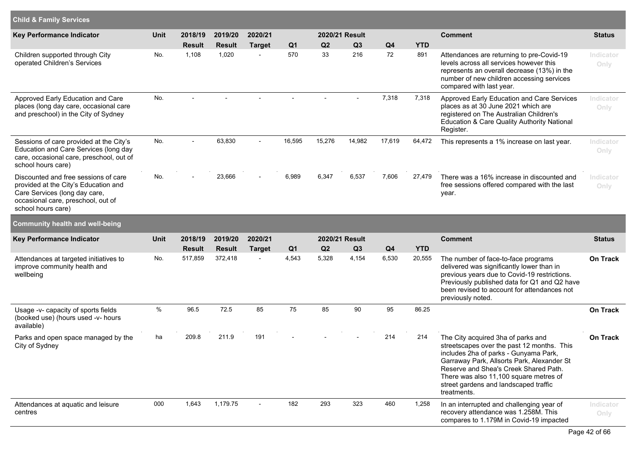| <b>Child &amp; Family Services</b>                                                                                                                                        |      |                          |                          |                          |                       |          |                                  |                |                   |                                                                                                                                                                                                                                                                                                                    |                   |
|---------------------------------------------------------------------------------------------------------------------------------------------------------------------------|------|--------------------------|--------------------------|--------------------------|-----------------------|----------|----------------------------------|----------------|-------------------|--------------------------------------------------------------------------------------------------------------------------------------------------------------------------------------------------------------------------------------------------------------------------------------------------------------------|-------------------|
| <b>Key Performance Indicator</b>                                                                                                                                          | Unit | 2018/19                  | 2019/20                  | 2020/21                  |                       |          | 2020/21 Result                   |                |                   | <b>Comment</b>                                                                                                                                                                                                                                                                                                     | <b>Status</b>     |
| Children supported through City<br>operated Children's Services                                                                                                           | No.  | <b>Result</b><br>1,108   | <b>Result</b><br>1,020   | <b>Target</b>            | Q <sub>1</sub><br>570 | Q2<br>33 | Q <sub>3</sub><br>216            | Q4<br>72       | <b>YTD</b><br>891 | Attendances are returning to pre-Covid-19<br>levels across all services however this<br>represents an overall decrease (13%) in the<br>number of new children accessing services<br>compared with last year.                                                                                                       | Indicator<br>Only |
| Approved Early Education and Care<br>places (long day care, occasional care<br>and preschool) in the City of Sydney                                                       | No.  |                          |                          |                          |                       |          |                                  | 7,318          | 7,318             | Approved Early Education and Care Services<br>places as at 30 June 2021 which are<br>registered on The Australian Children's<br>Education & Care Quality Authority National<br>Register.                                                                                                                           | Indicator<br>Only |
| Sessions of care provided at the City's<br>Education and Care Services (long day<br>care, occasional care, preschool, out of<br>school hours care)                        | No.  | $\blacksquare$           | 63,830                   | $\blacksquare$           | 16,595                | 15,276   | 14,982                           | 17,619         | 64,472            | This represents a 1% increase on last year.                                                                                                                                                                                                                                                                        | Indicator<br>Only |
| Discounted and free sessions of care<br>provided at the City's Education and<br>Care Services (long day care,<br>occasional care, preschool, out of<br>school hours care) | No.  |                          | 23,666                   | $\overline{a}$           | 6,989                 | 6,347    | 6,537                            | 7,606          | 27,479            | There was a 16% increase in discounted and<br>free sessions offered compared with the last<br>year.                                                                                                                                                                                                                | Indicator<br>Only |
| <b>Community health and well-being</b>                                                                                                                                    |      |                          |                          |                          |                       |          |                                  |                |                   |                                                                                                                                                                                                                                                                                                                    |                   |
| Key Performance Indicator                                                                                                                                                 | Unit | 2018/19<br><b>Result</b> | 2019/20<br><b>Result</b> | 2020/21<br><b>Target</b> | Q <sub>1</sub>        | Q2       | 2020/21 Result<br>Q <sub>3</sub> | Q <sub>4</sub> | <b>YTD</b>        | <b>Comment</b>                                                                                                                                                                                                                                                                                                     | <b>Status</b>     |
| Attendances at targeted initiatives to<br>improve community health and<br>wellbeing                                                                                       | No.  | 517,859                  | 372,418                  | $\blacksquare$           | 4,543                 | 5,328    | 4,154                            | 6,530          | 20,555            | The number of face-to-face programs<br>delivered was significantly lower than in<br>previous years due to Covid-19 restrictions.<br>Previously published data for Q1 and Q2 have<br>been revised to account for attendances not<br>previously noted.                                                               | <b>On Track</b>   |
| Usage -v- capacity of sports fields<br>(booked use) (hours used -v- hours<br>available)                                                                                   | %    | 96.5                     | 72.5                     | 85                       | 75                    | 85       | 90                               | 95             | 86.25             |                                                                                                                                                                                                                                                                                                                    | <b>On Track</b>   |
| Parks and open space managed by the<br>City of Sydney                                                                                                                     | ha   | 209.8                    | 211.9                    | 191                      |                       |          |                                  | 214            | 214               | The City acquired 3ha of parks and<br>streetscapes over the past 12 months. This<br>includes 2ha of parks - Gunyama Park,<br>Garraway Park, Allsorts Park, Alexander St<br>Reserve and Shea's Creek Shared Path.<br>There was also 11,100 square metres of<br>street gardens and landscaped traffic<br>treatments. | On Track          |
| Attendances at aquatic and leisure<br>centres                                                                                                                             | 000  | 1,643                    | 1,179.75                 | $\blacksquare$           | 182                   | 293      | 323                              | 460            | 1,258             | In an interrupted and challenging year of<br>recovery attendance was 1.258M. This<br>compares to 1.179M in Covid-19 impacted                                                                                                                                                                                       | Indicator<br>Only |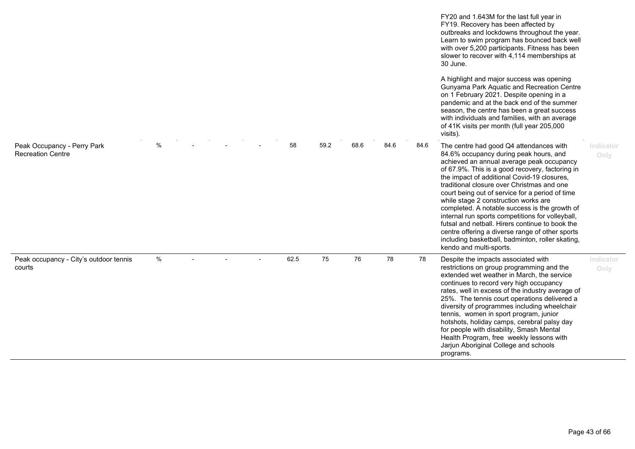|                                                         |      |  |      |      |      |      |      | FY20 and 1.643M for the last full year in<br>FY19. Recovery has been affected by<br>outbreaks and lockdowns throughout the year.<br>Learn to swim program has bounced back well<br>with over 5,200 participants. Fitness has been<br>slower to recover with 4,114 memberships at<br>30 June.<br>A highlight and major success was opening<br>Gunyama Park Aquatic and Recreation Centre<br>on 1 February 2021. Despite opening in a<br>pandemic and at the back end of the summer<br>season, the centre has been a great success<br>with individuals and families, with an average<br>of 41K visits per month (full year 205,000<br>visits).                        |                   |
|---------------------------------------------------------|------|--|------|------|------|------|------|---------------------------------------------------------------------------------------------------------------------------------------------------------------------------------------------------------------------------------------------------------------------------------------------------------------------------------------------------------------------------------------------------------------------------------------------------------------------------------------------------------------------------------------------------------------------------------------------------------------------------------------------------------------------|-------------------|
| Peak Occupancy - Perry Park<br><b>Recreation Centre</b> | $\%$ |  | 58   | 59.2 | 68.6 | 84.6 | 84.6 | The centre had good Q4 attendances with<br>84.6% occupancy during peak hours, and<br>achieved an annual average peak occupancy<br>of 67.9%. This is a good recovery, factoring in<br>the impact of additional Covid-19 closures,<br>traditional closure over Christmas and one<br>court being out of service for a period of time<br>while stage 2 construction works are<br>completed. A notable success is the growth of<br>internal run sports competitions for volleyball,<br>futsal and netball. Hirers continue to book the<br>centre offering a diverse range of other sports<br>including basketball, badminton, roller skating,<br>kendo and multi-sports. | Indicator<br>Only |
| Peak occupancy - City's outdoor tennis<br>courts        | $\%$ |  | 62.5 | 75   | 76   | 78   | 78   | Despite the impacts associated with<br>restrictions on group programming and the<br>extended wet weather in March, the service<br>continues to record very high occupancy<br>rates, well in excess of the industry average of<br>25%. The tennis court operations delivered a<br>diversity of programmes including wheelchair<br>tennis, women in sport program, junior<br>hotshots, holiday camps, cerebral palsy day<br>for people with disability, Smash Mental<br>Health Program, free weekly lessons with<br>Jarjun Aboriginal College and schools<br>programs.                                                                                                | Indicator<br>Only |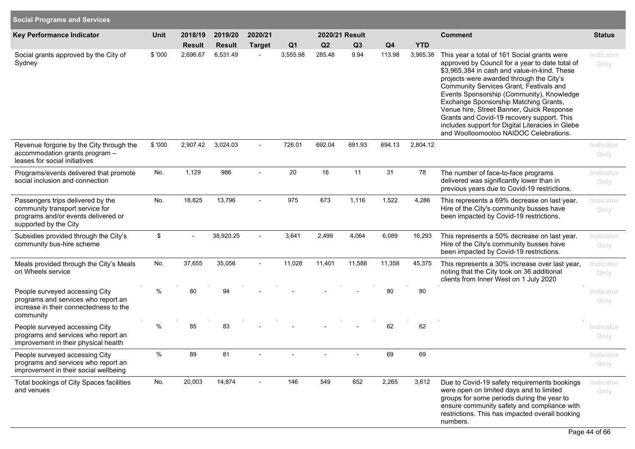| <b>Social Programs and Services</b>                                                                                                  |         |               |               |                          |                |                |                |        |            |                                                                                                                                                                                                                                                                                                                                                                                                                                                                                                                      |                   |
|--------------------------------------------------------------------------------------------------------------------------------------|---------|---------------|---------------|--------------------------|----------------|----------------|----------------|--------|------------|----------------------------------------------------------------------------------------------------------------------------------------------------------------------------------------------------------------------------------------------------------------------------------------------------------------------------------------------------------------------------------------------------------------------------------------------------------------------------------------------------------------------|-------------------|
| <b>Key Performance Indicator</b>                                                                                                     | Unit    | 2018/19       | 2019/20       | 2020/21                  |                |                | 2020/21 Result |        |            | <b>Comment</b>                                                                                                                                                                                                                                                                                                                                                                                                                                                                                                       | <b>Status</b>     |
|                                                                                                                                      |         | <b>Result</b> | <b>Result</b> | <b>Target</b>            | Q <sub>1</sub> | Q <sub>2</sub> | Q3             | Q4     | <b>YTD</b> |                                                                                                                                                                                                                                                                                                                                                                                                                                                                                                                      |                   |
| Social grants approved by the City of<br>Sydney                                                                                      | \$ '000 | 2,696.67      | 6,531.49      |                          | 3,555.98       | 285.48         | 9.94           | 113.98 | 3,965.38   | This year a total of 161 Social grants were<br>approved by Council for a year to date total of<br>\$3,965,384 in cash and value-in-kind. These<br>projects were awarded through the City's<br>Community Services Grant, Festivals and<br>Events Sponsorship (Community), Knowledge<br>Exchange Sponsorship Matching Grants,<br>Venue hire, Street Banner, Quick Response<br>Grants and Covid-19 recovery support. This<br>includes support for Digital Literacies in Glebe<br>and Woolloomooloo NAIDOC Celebrations. | Indicator<br>Only |
| Revenue forgone by the City through the<br>accommodation grants program -<br>leases for social initiatives                           | \$ '000 | 2,907.42      | 3,024.03      |                          | 726.01         | 692.04         | 691.93         | 694.13 | 2,804.12   |                                                                                                                                                                                                                                                                                                                                                                                                                                                                                                                      | Indicator<br>Only |
| Programs/events delivered that promote<br>social inclusion and connection                                                            | No.     | 1,129         | 986           |                          | 20             | 16             | 11             | 31     | 78         | The number of face-to-face programs<br>delivered was significantly lower than in<br>previous years due to Covid-19 restrictions.                                                                                                                                                                                                                                                                                                                                                                                     | Indicator<br>Only |
| Passengers trips delivered by the<br>community transport service for<br>programs and/or events delivered or<br>supported by the City | No.     | 18,825        | 13,796        | $\blacksquare$           | 975            | 673            | 1,116          | 1,522  | 4,286      | This represents a 69% decrease on last year.<br>Hire of the City's community busses have<br>been impacted by Covid-19 restrictions.                                                                                                                                                                                                                                                                                                                                                                                  | Indicator<br>Only |
| Subsidies provided through the City's<br>community bus-hire scheme                                                                   | \$      |               | 38,920.25     |                          | 3,641          | 2,499          | 4,064          | 6,089  | 16,293     | This represents a 50% decrease on last year.<br>Hire of the City's community busses have<br>been impacted by Covid-19 restrictions.                                                                                                                                                                                                                                                                                                                                                                                  | Indicator<br>Only |
| Meals provided through the City's Meals<br>on Wheels service                                                                         | No.     | 37,655        | 35,056        | $\overline{\phantom{a}}$ | 11,028         | 11,401         | 11,588         | 11,358 | 45,375     | This represents a 30% increase over last year,<br>noting that the City took on 36 additional<br>clients from Inner West on 1 July 2020                                                                                                                                                                                                                                                                                                                                                                               | Indicator<br>Only |
| People surveyed accessing City<br>programs and services who report an<br>increase in their connectedness to the<br>community         | $\%$    | 80            | 94            |                          |                |                |                | 80     | 80         |                                                                                                                                                                                                                                                                                                                                                                                                                                                                                                                      | Indicator<br>Only |
| People surveyed accessing City<br>programs and services who report an<br>improvement in their physical health                        | $\%$    | 85            | 83            |                          |                |                |                | 62     | 62         |                                                                                                                                                                                                                                                                                                                                                                                                                                                                                                                      | Indicator<br>Only |
| People surveyed accessing City<br>programs and services who report an<br>improvement in their social wellbeing                       | %       | 89            | 81            |                          |                |                |                | 69     | 69         |                                                                                                                                                                                                                                                                                                                                                                                                                                                                                                                      | Indicator<br>Only |
| Total bookings of City Spaces facilities<br>and venues                                                                               | No.     | 20,003        | 14,874        |                          | 146            | 549            | 652            | 2,265  | 3,612      | Due to Covid-19 safety requirements bookings<br>were open on limited days and to limited<br>groups for some periods during the year to<br>ensure community safety and compliance with<br>restrictions. This has impacted overall booking<br>numbers.                                                                                                                                                                                                                                                                 | Indicator<br>Only |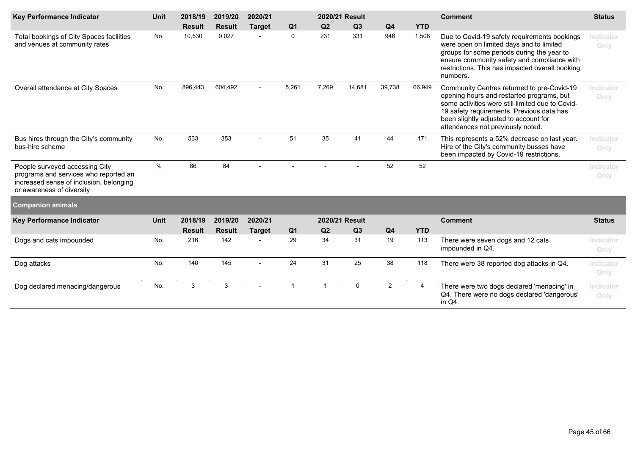| Key Performance Indicator                                                                                                                       | 2020/21 Result<br>2018/19<br>2019/20<br>2020/21<br><b>Unit</b> |               |               |               |                | <b>Comment</b> | <b>Status</b>  |                |            |                                                                                                                                                                                                                                                                        |                   |
|-------------------------------------------------------------------------------------------------------------------------------------------------|----------------------------------------------------------------|---------------|---------------|---------------|----------------|----------------|----------------|----------------|------------|------------------------------------------------------------------------------------------------------------------------------------------------------------------------------------------------------------------------------------------------------------------------|-------------------|
|                                                                                                                                                 |                                                                | <b>Result</b> | <b>Result</b> | <b>Target</b> | Q <sub>1</sub> | Q2             | Q3             | Q <sub>4</sub> | <b>YTD</b> |                                                                                                                                                                                                                                                                        |                   |
| Total bookings of City Spaces facilities<br>and venues at community rates                                                                       | No.                                                            | 10,530        | 9,027         |               | 0              | 231            | 331            | 946            | 1,508      | Due to Covid-19 safety requirements bookings<br>were open on limited days and to limited<br>groups for some periods during the year to<br>ensure community safety and compliance with<br>restrictions. This has impacted overall booking<br>numbers.                   | Indicator<br>Only |
| Overall attendance at City Spaces                                                                                                               | No.                                                            | 896,443       | 604,492       |               | 5,261          | 7,269          | 14,681         | 39,738         | 66,949     | Community Centres returned to pre-Covid-19<br>opening hours and restarted programs, but<br>some activities were still limited due to Covid-<br>19 safety requirements. Previous data has<br>been slightly adjusted to account for<br>attendances not previously noted. | Indicator<br>Only |
| Bus hires through the City's community<br>bus-hire scheme                                                                                       | No.                                                            | 533           | 353           |               | 51             | 35             | 41             | 44             | 171        | This represents a 52% decrease on last year.<br>Hire of the City's community busses have<br>been impacted by Covid-19 restrictions.                                                                                                                                    | Indicator<br>Only |
| People surveyed accessing City<br>programs and services who reported an<br>increased sense of inclusion, belonging<br>or awareness of diversity | %                                                              | 86            | 84            |               |                |                |                | 52             | 52         |                                                                                                                                                                                                                                                                        | Indicator<br>Only |
| <b>Companion animals</b>                                                                                                                        |                                                                |               |               |               |                |                |                |                |            |                                                                                                                                                                                                                                                                        |                   |
| Key Performance Indicator                                                                                                                       | <b>Unit</b>                                                    | 2018/19       | 2019/20       | 2020/21       |                |                | 2020/21 Result |                |            | <b>Comment</b>                                                                                                                                                                                                                                                         | <b>Status</b>     |
|                                                                                                                                                 |                                                                | <b>Result</b> | <b>Result</b> | <b>Target</b> | Q <sub>1</sub> | Q <sub>2</sub> | Q3             | Q <sub>4</sub> | <b>YTD</b> |                                                                                                                                                                                                                                                                        |                   |
| Dogs and cats impounded                                                                                                                         | No.                                                            | 216           | 142           |               | 29             | 34             | 31             | 19             | 113        | There were seven dogs and 12 cats<br>impounded in Q4.                                                                                                                                                                                                                  | Indicator<br>Only |
| Dog attacks                                                                                                                                     | No.                                                            | 140           | 145           |               | 24             | 31             | 25             | 38             | 118        | There were 38 reported dog attacks in Q4.                                                                                                                                                                                                                              | Indicator<br>Only |
| Dog declared menacing/dangerous                                                                                                                 | No.                                                            | 3             | 3             |               | -1             | $\overline{1}$ | $\mathbf 0$    | $\overline{2}$ | 4          | There were two dogs declared 'menacing' in<br>Q4. There were no dogs declared 'dangerous'<br>in Q4.                                                                                                                                                                    | Indicator<br>Only |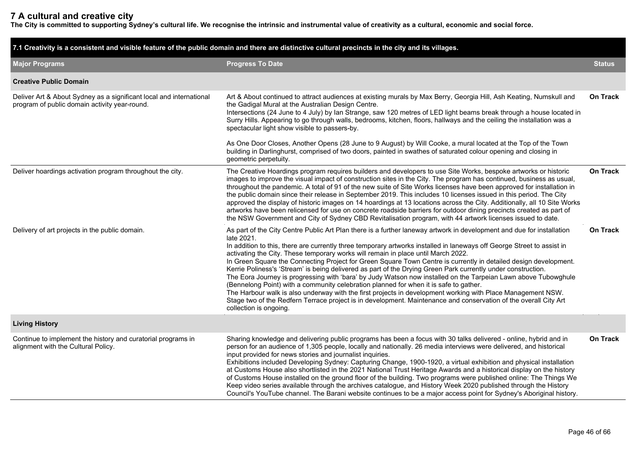# **7 A cultural and creative city**

**The City is committed to supporting Sydney's cultural life. We recognise the intrinsic and instrumental value of creativity as a cultural, economic and social force.**

| 7.1 Creativity is a consistent and visible feature of the public domain and there are distinctive cultural precincts in the city and its villages. |                                                                                                                                                                                                                                                                                                                                                                                                                                                                                                                                                                                                                                                                                                                                                                                                                                                                                                                                                                                                                                                                |                 |  |  |  |  |  |  |  |
|----------------------------------------------------------------------------------------------------------------------------------------------------|----------------------------------------------------------------------------------------------------------------------------------------------------------------------------------------------------------------------------------------------------------------------------------------------------------------------------------------------------------------------------------------------------------------------------------------------------------------------------------------------------------------------------------------------------------------------------------------------------------------------------------------------------------------------------------------------------------------------------------------------------------------------------------------------------------------------------------------------------------------------------------------------------------------------------------------------------------------------------------------------------------------------------------------------------------------|-----------------|--|--|--|--|--|--|--|
| <b>Major Programs</b>                                                                                                                              | <b>Progress To Date</b>                                                                                                                                                                                                                                                                                                                                                                                                                                                                                                                                                                                                                                                                                                                                                                                                                                                                                                                                                                                                                                        | <b>Status</b>   |  |  |  |  |  |  |  |
| <b>Creative Public Domain</b>                                                                                                                      |                                                                                                                                                                                                                                                                                                                                                                                                                                                                                                                                                                                                                                                                                                                                                                                                                                                                                                                                                                                                                                                                |                 |  |  |  |  |  |  |  |
| Deliver Art & About Sydney as a significant local and international<br>program of public domain activity year-round.                               | Art & About continued to attract audiences at existing murals by Max Berry, Georgia Hill, Ash Keating, Numskull and<br>the Gadigal Mural at the Australian Design Centre.<br>Intersections (24 June to 4 July) by Ian Strange, saw 120 metres of LED light beams break through a house located in<br>Surry Hills. Appearing to go through walls, bedrooms, kitchen, floors, hallways and the ceiling the installation was a<br>spectacular light show visible to passers-by.                                                                                                                                                                                                                                                                                                                                                                                                                                                                                                                                                                                   | <b>On Track</b> |  |  |  |  |  |  |  |
|                                                                                                                                                    | As One Door Closes, Another Opens (28 June to 9 August) by Will Cooke, a mural located at the Top of the Town<br>building in Darlinghurst, comprised of two doors, painted in swathes of saturated colour opening and closing in<br>geometric perpetuity.                                                                                                                                                                                                                                                                                                                                                                                                                                                                                                                                                                                                                                                                                                                                                                                                      |                 |  |  |  |  |  |  |  |
| Deliver hoardings activation program throughout the city.                                                                                          | The Creative Hoardings program requires builders and developers to use Site Works, bespoke artworks or historic<br>images to improve the visual impact of construction sites in the City. The program has continued, business as usual,<br>throughout the pandemic. A total of 91 of the new suite of Site Works licenses have been approved for installation in<br>the public domain since their release in September 2019. This includes 10 licenses issued in this period. The City<br>approved the display of historic images on 14 hoardings at 13 locations across the City. Additionally, all 10 Site Works<br>artworks have been relicensed for use on concrete roadside barriers for outdoor dining precincts created as part of<br>the NSW Government and City of Sydney CBD Revitalisation program, with 44 artwork licenses issued to date.                                                                                                                                                                                                        | <b>On Track</b> |  |  |  |  |  |  |  |
| Delivery of art projects in the public domain.                                                                                                     | As part of the City Centre Public Art Plan there is a further laneway artwork in development and due for installation<br>late 2021.<br>In addition to this, there are currently three temporary artworks installed in laneways off George Street to assist in<br>activating the City. These temporary works will remain in place until March 2022.<br>In Green Square the Connecting Project for Green Square Town Centre is currently in detailed design development.<br>Kerrie Poliness's 'Stream' is being delivered as part of the Drying Green Park currently under construction.<br>The Eora Journey is progressing with 'bara' by Judy Watson now installed on the Tarpeian Lawn above Tubowghule<br>(Bennelong Point) with a community celebration planned for when it is safe to gather.<br>The Harbour walk is also underway with the first projects in development working with Place Management NSW.<br>Stage two of the Redfern Terrace project is in development. Maintenance and conservation of the overall City Art<br>collection is ongoing. | <b>On Track</b> |  |  |  |  |  |  |  |
| <b>Living History</b>                                                                                                                              |                                                                                                                                                                                                                                                                                                                                                                                                                                                                                                                                                                                                                                                                                                                                                                                                                                                                                                                                                                                                                                                                |                 |  |  |  |  |  |  |  |
| Continue to implement the history and curatorial programs in<br>alignment with the Cultural Policy.                                                | Sharing knowledge and delivering public programs has been a focus with 30 talks delivered - online, hybrid and in<br>person for an audience of 1,305 people, locally and nationally. 26 media interviews were delivered, and historical<br>input provided for news stories and journalist inquiries.<br>Exhibitions included Developing Sydney: Capturing Change, 1900-1920, a virtual exhibition and physical installation<br>at Customs House also shortlisted in the 2021 National Trust Heritage Awards and a historical display on the history<br>of Customs House installed on the ground floor of the building. Two programs were published online: The Things We<br>Keep video series available through the archives catalogue, and History Week 2020 published through the History<br>Council's YouTube channel. The Barani website continues to be a major access point for Sydney's Aboriginal history.                                                                                                                                             | <b>On Track</b> |  |  |  |  |  |  |  |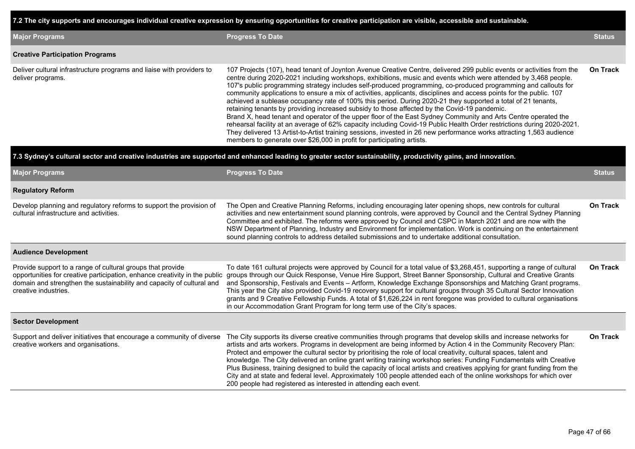**7.2 The city supports and encourages individual creative expression by ensuring opportunities for creative participation are visible, accessible and sustainable.**

| <b>Major Programs</b>                                                                      | <b>Progress To Date</b>                                                                                                                                                                                                                                                                                                                                                                                                                                                                                                                                                                                                                                                                                                                                                                                                                                                                                                                                                                                                                                                                                                                         | <b>Status</b>   |
|--------------------------------------------------------------------------------------------|-------------------------------------------------------------------------------------------------------------------------------------------------------------------------------------------------------------------------------------------------------------------------------------------------------------------------------------------------------------------------------------------------------------------------------------------------------------------------------------------------------------------------------------------------------------------------------------------------------------------------------------------------------------------------------------------------------------------------------------------------------------------------------------------------------------------------------------------------------------------------------------------------------------------------------------------------------------------------------------------------------------------------------------------------------------------------------------------------------------------------------------------------|-----------------|
| <b>Creative Participation Programs</b>                                                     |                                                                                                                                                                                                                                                                                                                                                                                                                                                                                                                                                                                                                                                                                                                                                                                                                                                                                                                                                                                                                                                                                                                                                 |                 |
| Deliver cultural infrastructure programs and liaise with providers to<br>deliver programs. | 107 Projects (107), head tenant of Joynton Avenue Creative Centre, delivered 299 public events or activities from the<br>centre during 2020-2021 including workshops, exhibitions, music and events which were attended by 3,468 people.<br>107's public programming strategy includes self-produced programming, co-produced programming and callouts for<br>community applications to ensure a mix of activities, applicants, disciplines and access points for the public. 107<br>achieved a sublease occupancy rate of 100% this period. During 2020-21 they supported a total of 21 tenants,<br>retaining tenants by providing increased subsidy to those affected by the Covid-19 pandemic.<br>Brand X, head tenant and operator of the upper floor of the East Sydney Community and Arts Centre operated the<br>rehearsal facility at an average of 62% capacity including Covid-19 Public Health Order restrictions during 2020-2021.<br>They delivered 13 Artist-to-Artist training sessions, invested in 26 new performance works attracting 1,563 audience<br>members to generate over \$26,000 in profit for participating artists. | <b>On Track</b> |

#### **7.3 Sydney's cultural sector and creative industries are supported and enhanced leading to greater sector sustainability, productivity gains, and innovation.**

| <b>Major Programs</b>                                                                                                                                                                                                                     | <b>Progress To Date</b>                                                                                                                                                                                                                                                                                                                                                                                                                                                                                                                                                                                                                                                                                                                                                                                 | <b>Status</b>   |
|-------------------------------------------------------------------------------------------------------------------------------------------------------------------------------------------------------------------------------------------|---------------------------------------------------------------------------------------------------------------------------------------------------------------------------------------------------------------------------------------------------------------------------------------------------------------------------------------------------------------------------------------------------------------------------------------------------------------------------------------------------------------------------------------------------------------------------------------------------------------------------------------------------------------------------------------------------------------------------------------------------------------------------------------------------------|-----------------|
| <b>Regulatory Reform</b>                                                                                                                                                                                                                  |                                                                                                                                                                                                                                                                                                                                                                                                                                                                                                                                                                                                                                                                                                                                                                                                         |                 |
| Develop planning and regulatory reforms to support the provision of<br>cultural infrastructure and activities.                                                                                                                            | The Open and Creative Planning Reforms, including encouraging later opening shops, new controls for cultural<br>activities and new entertainment sound planning controls, were approved by Council and the Central Sydney Planning<br>Committee and exhibited. The reforms were approved by Council and CSPC in March 2021 and are now with the<br>NSW Department of Planning, Industry and Environment for implementation. Work is continuing on the entertainment<br>sound planning controls to address detailed submissions and to undertake additional consultation.                                                                                                                                                                                                                                | <b>On Track</b> |
| <b>Audience Development</b>                                                                                                                                                                                                               |                                                                                                                                                                                                                                                                                                                                                                                                                                                                                                                                                                                                                                                                                                                                                                                                         |                 |
| Provide support to a range of cultural groups that provide<br>opportunities for creative participation, enhance creativity in the public<br>domain and strengthen the sustainability and capacity of cultural and<br>creative industries. | To date 161 cultural projects were approved by Council for a total value of \$3,268,451, supporting a range of cultural<br>groups through our Quick Response, Venue Hire Support, Street Banner Sponsorship, Cultural and Creative Grants<br>and Sponsorship, Festivals and Events - Artform, Knowledge Exchange Sponsorships and Matching Grant programs.<br>This year the City also provided Covid-19 recovery support for cultural groups through 35 Cultural Sector Innovation<br>grants and 9 Creative Fellowship Funds. A total of \$1,626,224 in rent foregone was provided to cultural organisations<br>in our Accommodation Grant Program for long term use of the City's spaces.                                                                                                              | On Track        |
| <b>Sector Development</b>                                                                                                                                                                                                                 |                                                                                                                                                                                                                                                                                                                                                                                                                                                                                                                                                                                                                                                                                                                                                                                                         |                 |
| Support and deliver initiatives that encourage a community of diverse<br>creative workers and organisations.                                                                                                                              | The City supports its diverse creative communities through programs that develop skills and increase networks for<br>artists and arts workers. Programs in development are being informed by Action 4 in the Community Recovery Plan:<br>Protect and empower the cultural sector by prioritising the role of local creativity, cultural spaces, talent and<br>knowledge. The City delivered an online grant writing training workshop series: Funding Fundamentals with Creative<br>Plus Business, training designed to build the capacity of local artists and creatives applying for grant funding from the<br>City and at state and federal level. Approximately 100 people attended each of the online workshops for which over<br>200 people had registered as interested in attending each event. | On Track        |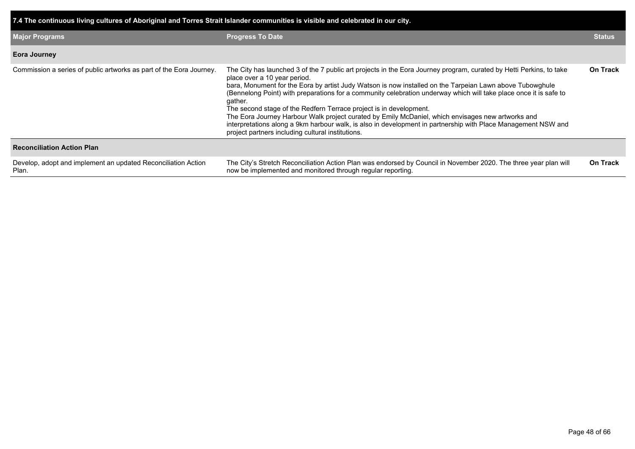| 7.4 The continuous living cultures of Aboriginal and Torres Strait Islander communities is visible and celebrated in our city. |                                                                                                                                                                                                                                                                                                                                                                                                                                                                                                                                                                                                                                                                                                                                                  |                 |  |  |  |  |  |
|--------------------------------------------------------------------------------------------------------------------------------|--------------------------------------------------------------------------------------------------------------------------------------------------------------------------------------------------------------------------------------------------------------------------------------------------------------------------------------------------------------------------------------------------------------------------------------------------------------------------------------------------------------------------------------------------------------------------------------------------------------------------------------------------------------------------------------------------------------------------------------------------|-----------------|--|--|--|--|--|
| <b>Major Programs</b>                                                                                                          | <b>Progress To Date</b>                                                                                                                                                                                                                                                                                                                                                                                                                                                                                                                                                                                                                                                                                                                          | <b>Status</b>   |  |  |  |  |  |
| <b>Eora Journey</b>                                                                                                            |                                                                                                                                                                                                                                                                                                                                                                                                                                                                                                                                                                                                                                                                                                                                                  |                 |  |  |  |  |  |
| Commission a series of public artworks as part of the Eora Journey.                                                            | The City has launched 3 of the 7 public art projects in the Eora Journey program, curated by Hetti Perkins, to take<br>place over a 10 year period.<br>bara, Monument for the Eora by artist Judy Watson is now installed on the Tarpeian Lawn above Tubowghule<br>(Bennelong Point) with preparations for a community celebration underway which will take place once it is safe to<br>gather.<br>The second stage of the Redfern Terrace project is in development.<br>The Eora Journey Harbour Walk project curated by Emily McDaniel, which envisages new artworks and<br>interpretations along a 9km harbour walk, is also in development in partnership with Place Management NSW and<br>project partners including cultural institutions. | <b>On Track</b> |  |  |  |  |  |
| <b>Reconciliation Action Plan</b>                                                                                              |                                                                                                                                                                                                                                                                                                                                                                                                                                                                                                                                                                                                                                                                                                                                                  |                 |  |  |  |  |  |
| Develop, adopt and implement an updated Reconciliation Action<br>Plan.                                                         | The City's Stretch Reconciliation Action Plan was endorsed by Council in November 2020. The three year plan will<br>now be implemented and monitored through regular reporting.                                                                                                                                                                                                                                                                                                                                                                                                                                                                                                                                                                  | <b>On Track</b> |  |  |  |  |  |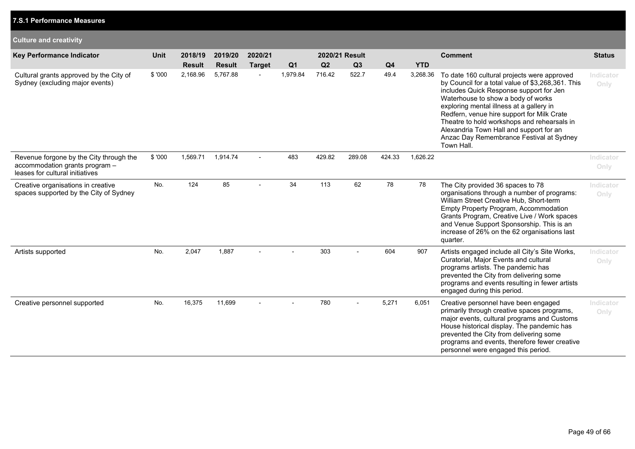| <b>Culture and creativity</b>                                                                                |             |               |               |               |                |        |                |        |            |                                                                                                                                                                                                                                                                                                                                                                                                                                 |                   |
|--------------------------------------------------------------------------------------------------------------|-------------|---------------|---------------|---------------|----------------|--------|----------------|--------|------------|---------------------------------------------------------------------------------------------------------------------------------------------------------------------------------------------------------------------------------------------------------------------------------------------------------------------------------------------------------------------------------------------------------------------------------|-------------------|
| <b>Key Performance Indicator</b>                                                                             | <b>Unit</b> | 2018/19       | 2019/20       | 2020/21       |                |        | 2020/21 Result |        |            | <b>Comment</b>                                                                                                                                                                                                                                                                                                                                                                                                                  | <b>Status</b>     |
|                                                                                                              |             | <b>Result</b> | <b>Result</b> | <b>Target</b> | Q <sub>1</sub> | Q2     | Q3             | Q4     | <b>YTD</b> |                                                                                                                                                                                                                                                                                                                                                                                                                                 |                   |
| Cultural grants approved by the City of<br>Sydney (excluding major events)                                   | \$ '000     | 2,168.96      | 5,767.88      |               | 1,979.84       | 716.42 | 522.7          | 49.4   | 3,268.36   | To date 160 cultural projects were approved<br>by Council for a total value of \$3,268,361. This<br>includes Quick Response support for Jen<br>Waterhouse to show a body of works<br>exploring mental illness at a gallery in<br>Redfern, venue hire support for Milk Crate<br>Theatre to hold workshops and rehearsals in<br>Alexandria Town Hall and support for an<br>Anzac Day Remembrance Festival at Sydney<br>Town Hall. | Indicator<br>Only |
| Revenue forgone by the City through the<br>accommodation grants program -<br>leases for cultural initiatives | \$ '000     | 1,569.71      | 1,914.74      |               | 483            | 429.82 | 289.08         | 424.33 | 1,626.22   |                                                                                                                                                                                                                                                                                                                                                                                                                                 | Indicator<br>Only |
| Creative organisations in creative<br>spaces supported by the City of Sydney                                 | No.         | 124           | 85            |               | 34             | 113    | 62             | 78     | 78         | The City provided 36 spaces to 78<br>organisations through a number of programs:<br>William Street Creative Hub, Short-term<br>Empty Property Program, Accommodation<br>Grants Program, Creative Live / Work spaces<br>and Venue Support Sponsorship. This is an<br>increase of 26% on the 62 organisations last<br>quarter.                                                                                                    | Indicator<br>Only |
| Artists supported                                                                                            | No.         | 2,047         | 1,887         |               |                | 303    |                | 604    | 907        | Artists engaged include all City's Site Works,<br>Curatorial, Major Events and cultural<br>programs artists. The pandemic has<br>prevented the City from delivering some<br>programs and events resulting in fewer artists<br>engaged during this period.                                                                                                                                                                       | Indicator<br>Only |
| Creative personnel supported                                                                                 | No.         | 16,375        | 11,699        |               |                | 780    | $\overline{a}$ | 5,271  | 6,051      | Creative personnel have been engaged<br>primarily through creative spaces programs,<br>major events, cultural programs and Customs<br>House historical display. The pandemic has<br>prevented the City from delivering some<br>programs and events, therefore fewer creative<br>personnel were engaged this period.                                                                                                             | Indicator<br>Only |

# **7.S.1 Performance Measures**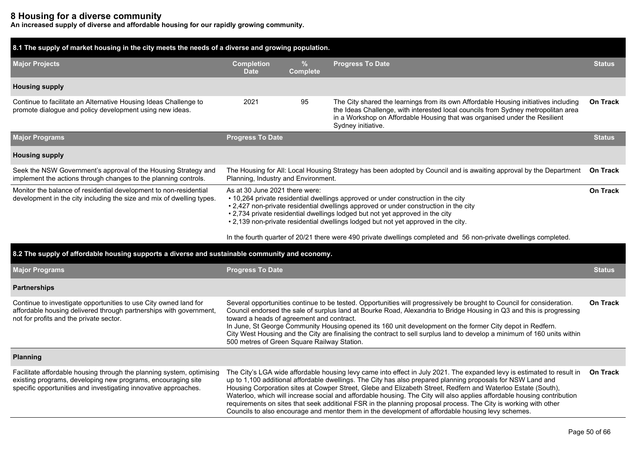# **8 Housing for a diverse community**

**An increased supply of diverse and affordable housing for our rapidly growing community.**

| 8.1 The supply of market housing in the city meets the needs of a diverse and growing population.                                                                                                        |                                                                                                                                                                                                                                                                                                                                                                                                                                                                                                                                                                                     |                      |                                                                                                                                                                                                                                                                                                                                                                                                                                                                                                                                                                                                                                                                                                          |                 |  |  |  |  |
|----------------------------------------------------------------------------------------------------------------------------------------------------------------------------------------------------------|-------------------------------------------------------------------------------------------------------------------------------------------------------------------------------------------------------------------------------------------------------------------------------------------------------------------------------------------------------------------------------------------------------------------------------------------------------------------------------------------------------------------------------------------------------------------------------------|----------------------|----------------------------------------------------------------------------------------------------------------------------------------------------------------------------------------------------------------------------------------------------------------------------------------------------------------------------------------------------------------------------------------------------------------------------------------------------------------------------------------------------------------------------------------------------------------------------------------------------------------------------------------------------------------------------------------------------------|-----------------|--|--|--|--|
| <b>Major Projects</b>                                                                                                                                                                                    | <b>Completion</b><br><b>Date</b>                                                                                                                                                                                                                                                                                                                                                                                                                                                                                                                                                    | %<br><b>Complete</b> | <b>Progress To Date</b>                                                                                                                                                                                                                                                                                                                                                                                                                                                                                                                                                                                                                                                                                  | <b>Status</b>   |  |  |  |  |
| <b>Housing supply</b>                                                                                                                                                                                    |                                                                                                                                                                                                                                                                                                                                                                                                                                                                                                                                                                                     |                      |                                                                                                                                                                                                                                                                                                                                                                                                                                                                                                                                                                                                                                                                                                          |                 |  |  |  |  |
| Continue to facilitate an Alternative Housing Ideas Challenge to<br>promote dialogue and policy development using new ideas.                                                                             | 2021                                                                                                                                                                                                                                                                                                                                                                                                                                                                                                                                                                                | 95                   | The City shared the learnings from its own Affordable Housing initiatives including<br>the Ideas Challenge, with interested local councils from Sydney metropolitan area<br>in a Workshop on Affordable Housing that was organised under the Resilient<br>Sydney initiative.                                                                                                                                                                                                                                                                                                                                                                                                                             | On Track        |  |  |  |  |
| <b>Major Programs</b>                                                                                                                                                                                    | <b>Progress To Date</b>                                                                                                                                                                                                                                                                                                                                                                                                                                                                                                                                                             |                      |                                                                                                                                                                                                                                                                                                                                                                                                                                                                                                                                                                                                                                                                                                          | <b>Status</b>   |  |  |  |  |
| <b>Housing supply</b>                                                                                                                                                                                    |                                                                                                                                                                                                                                                                                                                                                                                                                                                                                                                                                                                     |                      |                                                                                                                                                                                                                                                                                                                                                                                                                                                                                                                                                                                                                                                                                                          |                 |  |  |  |  |
| Seek the NSW Government's approval of the Housing Strategy and<br>implement the actions through changes to the planning controls.                                                                        | Planning, Industry and Environment.                                                                                                                                                                                                                                                                                                                                                                                                                                                                                                                                                 |                      | The Housing for All: Local Housing Strategy has been adopted by Council and is awaiting approval by the Department                                                                                                                                                                                                                                                                                                                                                                                                                                                                                                                                                                                       | <b>On Track</b> |  |  |  |  |
| Monitor the balance of residential development to non-residential<br>development in the city including the size and mix of dwelling types.                                                               | As at 30 June 2021 there were:<br>On Track<br>• 10,264 private residential dwellings approved or under construction in the city<br>• 2,427 non-private residential dwellings approved or under construction in the city<br>• 2,734 private residential dwellings lodged but not yet approved in the city<br>. 2,139 non-private residential dwellings lodged but not yet approved in the city.                                                                                                                                                                                      |                      |                                                                                                                                                                                                                                                                                                                                                                                                                                                                                                                                                                                                                                                                                                          |                 |  |  |  |  |
|                                                                                                                                                                                                          |                                                                                                                                                                                                                                                                                                                                                                                                                                                                                                                                                                                     |                      | In the fourth quarter of 20/21 there were 490 private dwellings completed and 56 non-private dwellings completed.                                                                                                                                                                                                                                                                                                                                                                                                                                                                                                                                                                                        |                 |  |  |  |  |
| 8.2 The supply of affordable housing supports a diverse and sustainable community and economy.                                                                                                           |                                                                                                                                                                                                                                                                                                                                                                                                                                                                                                                                                                                     |                      |                                                                                                                                                                                                                                                                                                                                                                                                                                                                                                                                                                                                                                                                                                          |                 |  |  |  |  |
| <b>Major Programs</b>                                                                                                                                                                                    | <b>Progress To Date</b>                                                                                                                                                                                                                                                                                                                                                                                                                                                                                                                                                             |                      |                                                                                                                                                                                                                                                                                                                                                                                                                                                                                                                                                                                                                                                                                                          | <b>Status</b>   |  |  |  |  |
| <b>Partnerships</b>                                                                                                                                                                                      |                                                                                                                                                                                                                                                                                                                                                                                                                                                                                                                                                                                     |                      |                                                                                                                                                                                                                                                                                                                                                                                                                                                                                                                                                                                                                                                                                                          |                 |  |  |  |  |
| Continue to investigate opportunities to use City owned land for<br>affordable housing delivered through partnerships with government,<br>not for profits and the private sector.                        | Several opportunities continue to be tested. Opportunities will progressively be brought to Council for consideration.<br>Council endorsed the sale of surplus land at Bourke Road, Alexandria to Bridge Housing in Q3 and this is progressing<br>toward a heads of agreement and contract.<br>In June, St George Community Housing opened its 160 unit development on the former City depot in Redfern.<br>City West Housing and the City are finalising the contract to sell surplus land to develop a minimum of 160 units within<br>500 metres of Green Square Railway Station. |                      |                                                                                                                                                                                                                                                                                                                                                                                                                                                                                                                                                                                                                                                                                                          |                 |  |  |  |  |
| Planning                                                                                                                                                                                                 |                                                                                                                                                                                                                                                                                                                                                                                                                                                                                                                                                                                     |                      |                                                                                                                                                                                                                                                                                                                                                                                                                                                                                                                                                                                                                                                                                                          |                 |  |  |  |  |
| Facilitate affordable housing through the planning system, optimising<br>existing programs, developing new programs, encouraging site<br>specific opportunities and investigating innovative approaches. |                                                                                                                                                                                                                                                                                                                                                                                                                                                                                                                                                                                     |                      | The City's LGA wide affordable housing levy came into effect in July 2021. The expanded levy is estimated to result in<br>up to 1,100 additional affordable dwellings. The City has also prepared planning proposals for NSW Land and<br>Housing Corporation sites at Cowper Street, Glebe and Elizabeth Street, Redfern and Waterloo Estate (South),<br>Waterloo, which will increase social and affordable housing. The City will also applies affordable housing contribution<br>requirements on sites that seek additional FSR in the planning proposal process. The City is working with other<br>Councils to also encourage and mentor them in the development of affordable housing levy schemes. | <b>On Track</b> |  |  |  |  |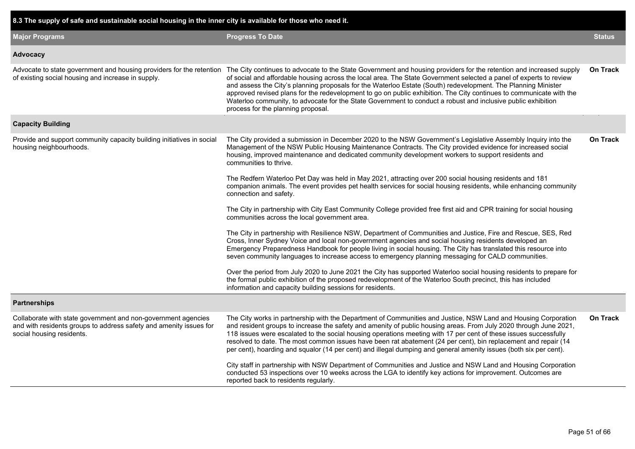| 8.3 The supply of safe and sustainable social housing in the inner city is available for those who need it.                                                      |                                                                                                                                                                                                                                                                                                                                                                                                                                                                                                                                                                                                                                         |                 |
|------------------------------------------------------------------------------------------------------------------------------------------------------------------|-----------------------------------------------------------------------------------------------------------------------------------------------------------------------------------------------------------------------------------------------------------------------------------------------------------------------------------------------------------------------------------------------------------------------------------------------------------------------------------------------------------------------------------------------------------------------------------------------------------------------------------------|-----------------|
| <b>Major Programs</b>                                                                                                                                            | <b>Progress To Date</b>                                                                                                                                                                                                                                                                                                                                                                                                                                                                                                                                                                                                                 | <b>Status</b>   |
| Advocacy                                                                                                                                                         |                                                                                                                                                                                                                                                                                                                                                                                                                                                                                                                                                                                                                                         |                 |
| Advocate to state government and housing providers for the retention<br>of existing social housing and increase in supply.                                       | The City continues to advocate to the State Government and housing providers for the retention and increased supply<br>of social and affordable housing across the local area. The State Government selected a panel of experts to review<br>and assess the City's planning proposals for the Waterloo Estate (South) redevelopment. The Planning Minister<br>approved revised plans for the redevelopment to go on public exhibition. The City continues to communicate with the<br>Waterloo community, to advocate for the State Government to conduct a robust and inclusive public exhibition<br>process for the planning proposal. | <b>On Track</b> |
| <b>Capacity Building</b>                                                                                                                                         |                                                                                                                                                                                                                                                                                                                                                                                                                                                                                                                                                                                                                                         |                 |
| Provide and support community capacity building initiatives in social<br>housing neighbourhoods.                                                                 | The City provided a submission in December 2020 to the NSW Government's Legislative Assembly Inquiry into the<br>Management of the NSW Public Housing Maintenance Contracts. The City provided evidence for increased social<br>housing, improved maintenance and dedicated community development workers to support residents and<br>communities to thrive.                                                                                                                                                                                                                                                                            | <b>On Track</b> |
|                                                                                                                                                                  | The Redfern Waterloo Pet Day was held in May 2021, attracting over 200 social housing residents and 181<br>companion animals. The event provides pet health services for social housing residents, while enhancing community<br>connection and safety.                                                                                                                                                                                                                                                                                                                                                                                  |                 |
|                                                                                                                                                                  | The City in partnership with City East Community College provided free first aid and CPR training for social housing<br>communities across the local government area.                                                                                                                                                                                                                                                                                                                                                                                                                                                                   |                 |
|                                                                                                                                                                  | The City in partnership with Resilience NSW, Department of Communities and Justice, Fire and Rescue, SES, Red<br>Cross, Inner Sydney Voice and local non-government agencies and social housing residents developed an<br>Emergency Preparedness Handbook for people living in social housing. The City has translated this resource into<br>seven community languages to increase access to emergency planning messaging for CALD communities.                                                                                                                                                                                         |                 |
|                                                                                                                                                                  | Over the period from July 2020 to June 2021 the City has supported Waterloo social housing residents to prepare for<br>the formal public exhibition of the proposed redevelopment of the Waterloo South precinct, this has included<br>information and capacity building sessions for residents.                                                                                                                                                                                                                                                                                                                                        |                 |
| <b>Partnerships</b>                                                                                                                                              |                                                                                                                                                                                                                                                                                                                                                                                                                                                                                                                                                                                                                                         |                 |
| Collaborate with state government and non-government agencies<br>and with residents groups to address safety and amenity issues for<br>social housing residents. | The City works in partnership with the Department of Communities and Justice, NSW Land and Housing Corporation<br>and resident groups to increase the safety and amenity of public housing areas. From July 2020 through June 2021,<br>118 issues were escalated to the social housing operations meeting with 17 per cent of these issues successfully<br>resolved to date. The most common issues have been rat abatement (24 per cent), bin replacement and repair (14<br>per cent), hoarding and squalor (14 per cent) and illegal dumping and general amenity issues (both six per cent).                                          | <b>On Track</b> |
|                                                                                                                                                                  | City staff in partnership with NSW Department of Communities and Justice and NSW Land and Housing Corporation<br>conducted 53 inspections over 10 weeks across the LGA to identify key actions for improvement. Outcomes are<br>reported back to residents regularly.                                                                                                                                                                                                                                                                                                                                                                   |                 |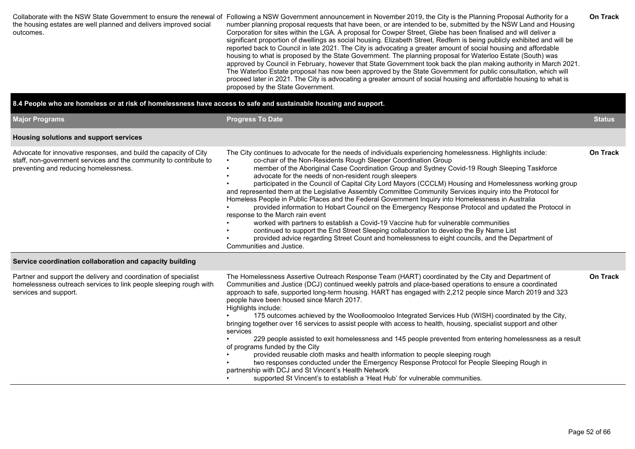| The Waterloo Estate proposal has now been approved by the State Government for public consultation, which will<br>proceed later in 2021. The City is advocating a greater amount of social housing and affordable housing to what is<br>proposed by the State Government. | the housing estates are well planned and delivers improved social<br>outcomes. | Collaborate with the NSW State Government to ensure the renewal of Following a NSW Government announcement in November 2019, the City is the Planning Proposal Authority for a<br>number planning proposal requests that have been, or are intended to be, submitted by the NSW Land and Housing<br>Corporation for sites within the LGA. A proposal for Cowper Street, Glebe has been finalised and will deliver a<br>significant proportion of dwellings as social housing. Elizabeth Street, Redfern is being publicly exhibited and will be<br>reported back to Council in late 2021. The City is advocating a greater amount of social housing and affordable<br>housing to what is proposed by the State Government. The planning proposal for Waterloo Estate (South) was<br>approved by Council in February, however that State Government took back the plan making authority in March 2021. | <b>On Track</b> |
|---------------------------------------------------------------------------------------------------------------------------------------------------------------------------------------------------------------------------------------------------------------------------|--------------------------------------------------------------------------------|-------------------------------------------------------------------------------------------------------------------------------------------------------------------------------------------------------------------------------------------------------------------------------------------------------------------------------------------------------------------------------------------------------------------------------------------------------------------------------------------------------------------------------------------------------------------------------------------------------------------------------------------------------------------------------------------------------------------------------------------------------------------------------------------------------------------------------------------------------------------------------------------------------|-----------------|
|---------------------------------------------------------------------------------------------------------------------------------------------------------------------------------------------------------------------------------------------------------------------------|--------------------------------------------------------------------------------|-------------------------------------------------------------------------------------------------------------------------------------------------------------------------------------------------------------------------------------------------------------------------------------------------------------------------------------------------------------------------------------------------------------------------------------------------------------------------------------------------------------------------------------------------------------------------------------------------------------------------------------------------------------------------------------------------------------------------------------------------------------------------------------------------------------------------------------------------------------------------------------------------------|-----------------|

## **8.4 People who are homeless or at risk of homelessness have access to safe and sustainable housing and support.**

| <b>Major Programs</b>                                                                                                                                                                                                                       | <b>Progress To Date</b>                                                                                                                                                                                                                                                                                                                                                                                                                                                                                                                                                                                                                                                                                                                                                                                                                                                                                                                                                                                                                                                                                                             | <b>Status</b>   |
|---------------------------------------------------------------------------------------------------------------------------------------------------------------------------------------------------------------------------------------------|-------------------------------------------------------------------------------------------------------------------------------------------------------------------------------------------------------------------------------------------------------------------------------------------------------------------------------------------------------------------------------------------------------------------------------------------------------------------------------------------------------------------------------------------------------------------------------------------------------------------------------------------------------------------------------------------------------------------------------------------------------------------------------------------------------------------------------------------------------------------------------------------------------------------------------------------------------------------------------------------------------------------------------------------------------------------------------------------------------------------------------------|-----------------|
| Housing solutions and support services                                                                                                                                                                                                      |                                                                                                                                                                                                                                                                                                                                                                                                                                                                                                                                                                                                                                                                                                                                                                                                                                                                                                                                                                                                                                                                                                                                     |                 |
| Advocate for innovative responses, and build the capacity of City<br>staff, non-government services and the community to contribute to<br>preventing and reducing homelessness.<br>Service coordination collaboration and capacity building | The City continues to advocate for the needs of individuals experiencing homelessness. Highlights include:<br>co-chair of the Non-Residents Rough Sleeper Coordination Group<br>member of the Aboriginal Case Coordination Group and Sydney Covid-19 Rough Sleeping Taskforce<br>advocate for the needs of non-resident rough sleepers<br>participated in the Council of Capital City Lord Mayors (CCCLM) Housing and Homelessness working group<br>and represented them at the Legislative Assembly Committee Community Services inquiry into the Protocol for<br>Homeless People in Public Places and the Federal Government Inquiry into Homelessness in Australia<br>provided information to Hobart Council on the Emergency Response Protocol and updated the Protocol in<br>response to the March rain event<br>worked with partners to establish a Covid-19 Vaccine hub for vulnerable communities<br>continued to support the End Street Sleeping collaboration to develop the By Name List<br>provided advice regarding Street Count and homelessness to eight councils, and the Department of<br>Communities and Justice. | <b>On Track</b> |
| Partner and support the delivery and coordination of specialist<br>homelessness outreach services to link people sleeping rough with<br>services and support.                                                                               | The Homelessness Assertive Outreach Response Team (HART) coordinated by the City and Department of<br>Communities and Justice (DCJ) continued weekly patrols and place-based operations to ensure a coordinated<br>approach to safe, supported long-term housing. HART has engaged with 2,212 people since March 2019 and 323<br>people have been housed since March 2017.<br>Highlights include:<br>175 outcomes achieved by the Woolloomooloo Integrated Services Hub (WISH) coordinated by the City,<br>bringing together over 16 services to assist people with access to health, housing, specialist support and other<br>services<br>229 people assisted to exit homelessness and 145 people prevented from entering homelessness as a result<br>of programs funded by the City<br>provided reusable cloth masks and health information to people sleeping rough<br>two responses conducted under the Emergency Response Protocol for People Sleeping Rough in<br>partnership with DCJ and St Vincent's Health Network<br>supported St Vincent's to establish a 'Heat Hub' for vulnerable communities.                        | <b>On Track</b> |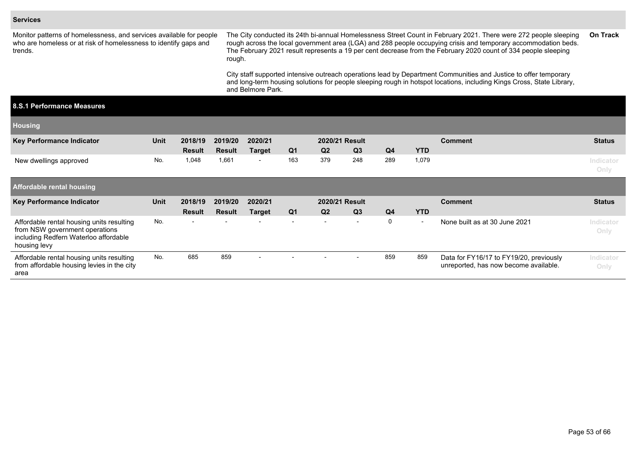#### **Services**

Monitor patterns of homelessness, and services available for people who are homeless or at risk of homelessness to identify gaps and trends.

The City conducted its 24th bi-annual Homelessness Street Count in February 2021. There were 272 people sleeping rough across the local government area (LGA) and 288 people occupying crisis and temporary accommodation beds. The February 2021 result represents a 19 per cent decrease from the February 2020 count of 334 people sleeping rough. **On Track**

City staff supported intensive outreach operations lead by Department Communities and Justice to offer temporary and long-term housing solutions for people sleeping rough in hotspot locations, including Kings Cross, State Library, and Belmore Park.

#### **8.S.1 Performance Measures**

| <b>Housing</b>                                                                                                                       |             |                          |               |                          |                          |                |                |     |                          |                               |                   |
|--------------------------------------------------------------------------------------------------------------------------------------|-------------|--------------------------|---------------|--------------------------|--------------------------|----------------|----------------|-----|--------------------------|-------------------------------|-------------------|
| <b>Key Performance Indicator</b>                                                                                                     | <b>Unit</b> | 2018/19                  | 2019/20       | 2020/21                  |                          | 2020/21 Result |                |     |                          | <b>Comment</b>                | <b>Status</b>     |
|                                                                                                                                      |             | <b>Result</b>            | <b>Result</b> | <b>Target</b>            | Q <sub>1</sub>           | Q <sub>2</sub> | Q <sub>3</sub> | Q4  | <b>YTD</b>               |                               |                   |
| New dwellings approved                                                                                                               | No.         | 1,048                    | 1,661         | $\sim$                   | 163                      | 379            | 248            | 289 | 1,079                    |                               | Indicator<br>Only |
| <b>Affordable rental housing</b>                                                                                                     |             |                          |               |                          |                          |                |                |     |                          |                               |                   |
| Key Performance Indicator                                                                                                            | <b>Unit</b> | 2018/19                  | 2019/20       | 2020/21                  |                          | 2020/21 Result |                |     |                          | <b>Comment</b>                | <b>Status</b>     |
|                                                                                                                                      |             | <b>Result</b>            | <b>Result</b> | <b>Target</b>            | Q <sub>1</sub>           | Q <sub>2</sub> |                |     |                          |                               |                   |
|                                                                                                                                      |             |                          |               |                          |                          |                | Q <sub>3</sub> | Q4  | <b>YTD</b>               |                               |                   |
| Affordable rental housing units resulting<br>from NSW government operations<br>including Redfern Waterloo affordable<br>housing levy | No.         | $\overline{\phantom{0}}$ |               | $\overline{\phantom{0}}$ | $\overline{\phantom{0}}$ | $\sim$         | $\overline{a}$ | 0   | $\overline{\phantom{a}}$ | None built as at 30 June 2021 | Indicator<br>Only |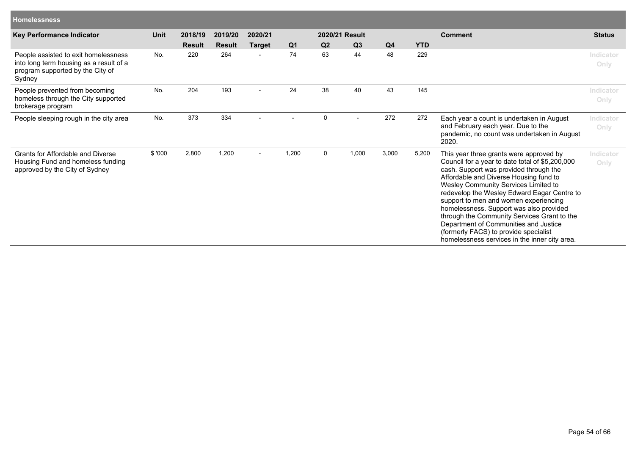| <b>Homelessness</b>                                                                                                           |             |               |               |                |                |                |                |       |            |                                                                                                                                                                                                                                                                                                                                                                                                                                                                                                                                             |                   |
|-------------------------------------------------------------------------------------------------------------------------------|-------------|---------------|---------------|----------------|----------------|----------------|----------------|-------|------------|---------------------------------------------------------------------------------------------------------------------------------------------------------------------------------------------------------------------------------------------------------------------------------------------------------------------------------------------------------------------------------------------------------------------------------------------------------------------------------------------------------------------------------------------|-------------------|
| Key Performance Indicator                                                                                                     | <b>Unit</b> | 2018/19       | 2019/20       | 2020/21        |                |                | 2020/21 Result |       |            | <b>Comment</b>                                                                                                                                                                                                                                                                                                                                                                                                                                                                                                                              | <b>Status</b>     |
|                                                                                                                               |             | <b>Result</b> | <b>Result</b> | <b>Target</b>  | Q <sub>1</sub> | Q <sub>2</sub> | Q3             | Q4    | <b>YTD</b> |                                                                                                                                                                                                                                                                                                                                                                                                                                                                                                                                             |                   |
| People assisted to exit homelessness<br>into long term housing as a result of a<br>program supported by the City of<br>Sydney | No.         | 220           | 264           |                | 74             | 63             | 44             | 48    | 229        |                                                                                                                                                                                                                                                                                                                                                                                                                                                                                                                                             | Indicator<br>Only |
| People prevented from becoming<br>homeless through the City supported<br>brokerage program                                    | No.         | 204           | 193           | $\blacksquare$ | 24             | 38             | 40             | 43    | 145        |                                                                                                                                                                                                                                                                                                                                                                                                                                                                                                                                             | Indicator<br>Only |
| People sleeping rough in the city area                                                                                        | No.         | 373           | 334           |                |                | $\mathbf 0$    |                | 272   | 272        | Each year a count is undertaken in August<br>and February each year. Due to the<br>pandemic, no count was undertaken in August<br>2020.                                                                                                                                                                                                                                                                                                                                                                                                     | Indicator<br>Only |
| Grants for Affordable and Diverse<br>Housing Fund and homeless funding<br>approved by the City of Sydney                      | \$'000      | 2,800         | 1,200         | $\blacksquare$ | 1,200          | $\Omega$       | 1,000          | 3,000 | 5,200      | This year three grants were approved by<br>Council for a year to date total of \$5,200,000<br>cash. Support was provided through the<br>Affordable and Diverse Housing fund to<br>Wesley Community Services Limited to<br>redevelop the Wesley Edward Eagar Centre to<br>support to men and women experiencing<br>homelessness. Support was also provided<br>through the Community Services Grant to the<br>Department of Communities and Justice<br>(formerly FACS) to provide specialist<br>homelessness services in the inner city area. | Indicator<br>Only |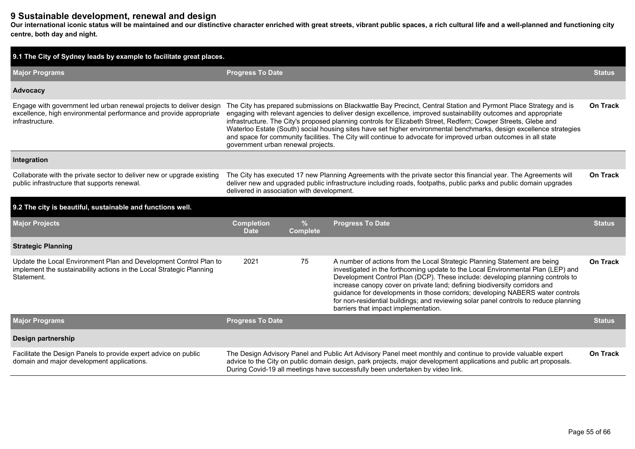# **9 Sustainable development, renewal and design**

**Our international iconic status will be maintained and our distinctive character enriched with great streets, vibrant public spaces, a rich cultural life and a well-planned and functioning city centre, both day and night.**

| 9.1 The City of Sydney leads by example to facilitate great places.                                                                                          |                                  |                                                                                                                                                                                                                                                                                                                                                                                                                                                                                                                                                                                                                                                  |                                                                                                                                                                                                                                                                                                                                                                                                                                                                                                                                                 |                 |  |  |  |  |  |
|--------------------------------------------------------------------------------------------------------------------------------------------------------------|----------------------------------|--------------------------------------------------------------------------------------------------------------------------------------------------------------------------------------------------------------------------------------------------------------------------------------------------------------------------------------------------------------------------------------------------------------------------------------------------------------------------------------------------------------------------------------------------------------------------------------------------------------------------------------------------|-------------------------------------------------------------------------------------------------------------------------------------------------------------------------------------------------------------------------------------------------------------------------------------------------------------------------------------------------------------------------------------------------------------------------------------------------------------------------------------------------------------------------------------------------|-----------------|--|--|--|--|--|
| <b>Major Programs</b>                                                                                                                                        | <b>Progress To Date</b>          |                                                                                                                                                                                                                                                                                                                                                                                                                                                                                                                                                                                                                                                  |                                                                                                                                                                                                                                                                                                                                                                                                                                                                                                                                                 |                 |  |  |  |  |  |
| Advocacy                                                                                                                                                     |                                  |                                                                                                                                                                                                                                                                                                                                                                                                                                                                                                                                                                                                                                                  |                                                                                                                                                                                                                                                                                                                                                                                                                                                                                                                                                 |                 |  |  |  |  |  |
| Engage with government led urban renewal projects to deliver design<br>excellence, high environmental performance and provide appropriate<br>infrastructure. |                                  | On Track<br>The City has prepared submissions on Blackwattle Bay Precinct, Central Station and Pyrmont Place Strategy and is<br>engaging with relevant agencies to deliver design excellence, improved sustainability outcomes and appropriate<br>infrastructure. The City's proposed planning controls for Elizabeth Street, Redfern; Cowper Streets, Glebe and<br>Waterloo Estate (South) social housing sites have set higher environmental benchmarks, design excellence strategies<br>and space for community facilities. The City will continue to advocate for improved urban outcomes in all state<br>government urban renewal projects. |                                                                                                                                                                                                                                                                                                                                                                                                                                                                                                                                                 |                 |  |  |  |  |  |
| Integration                                                                                                                                                  |                                  |                                                                                                                                                                                                                                                                                                                                                                                                                                                                                                                                                                                                                                                  |                                                                                                                                                                                                                                                                                                                                                                                                                                                                                                                                                 |                 |  |  |  |  |  |
| Collaborate with the private sector to deliver new or upgrade existing<br>public infrastructure that supports renewal.                                       |                                  | The City has executed 17 new Planning Agreements with the private sector this financial year. The Agreements will<br>On Track<br>deliver new and upgraded public infrastructure including roads, footpaths, public parks and public domain upgrades<br>delivered in association with development.                                                                                                                                                                                                                                                                                                                                                |                                                                                                                                                                                                                                                                                                                                                                                                                                                                                                                                                 |                 |  |  |  |  |  |
| 9.2 The city is beautiful, sustainable and functions well.                                                                                                   |                                  |                                                                                                                                                                                                                                                                                                                                                                                                                                                                                                                                                                                                                                                  |                                                                                                                                                                                                                                                                                                                                                                                                                                                                                                                                                 |                 |  |  |  |  |  |
| <b>Major Projects</b>                                                                                                                                        | <b>Completion</b><br><b>Date</b> | $\frac{9}{6}$<br><b>Complete</b>                                                                                                                                                                                                                                                                                                                                                                                                                                                                                                                                                                                                                 | <b>Progress To Date</b>                                                                                                                                                                                                                                                                                                                                                                                                                                                                                                                         | <b>Status</b>   |  |  |  |  |  |
| <b>Strategic Planning</b>                                                                                                                                    |                                  |                                                                                                                                                                                                                                                                                                                                                                                                                                                                                                                                                                                                                                                  |                                                                                                                                                                                                                                                                                                                                                                                                                                                                                                                                                 |                 |  |  |  |  |  |
| Update the Local Environment Plan and Development Control Plan to<br>implement the sustainability actions in the Local Strategic Planning<br>Statement.      | 2021                             | 75                                                                                                                                                                                                                                                                                                                                                                                                                                                                                                                                                                                                                                               | A number of actions from the Local Strategic Planning Statement are being<br>investigated in the forthcoming update to the Local Environmental Plan (LEP) and<br>Development Control Plan (DCP). These include: developing planning controls to<br>increase canopy cover on private land; defining biodiversity corridors and<br>guidance for developments in those corridors; developing NABERS water controls<br>for non-residential buildings; and reviewing solar panel controls to reduce planning<br>barriers that impact implementation. | <b>On Track</b> |  |  |  |  |  |
| <b>Major Programs</b>                                                                                                                                        | <b>Progress To Date</b>          |                                                                                                                                                                                                                                                                                                                                                                                                                                                                                                                                                                                                                                                  |                                                                                                                                                                                                                                                                                                                                                                                                                                                                                                                                                 | <b>Status</b>   |  |  |  |  |  |
| Design partnership                                                                                                                                           |                                  |                                                                                                                                                                                                                                                                                                                                                                                                                                                                                                                                                                                                                                                  |                                                                                                                                                                                                                                                                                                                                                                                                                                                                                                                                                 |                 |  |  |  |  |  |
| Facilitate the Design Panels to provide expert advice on public<br>domain and major development applications.                                                |                                  |                                                                                                                                                                                                                                                                                                                                                                                                                                                                                                                                                                                                                                                  | The Design Advisory Panel and Public Art Advisory Panel meet monthly and continue to provide valuable expert<br>advice to the City on public domain design, park projects, major development applications and public art proposals.<br>During Covid-19 all meetings have successfully been undertaken by video link.                                                                                                                                                                                                                            | <b>On Track</b> |  |  |  |  |  |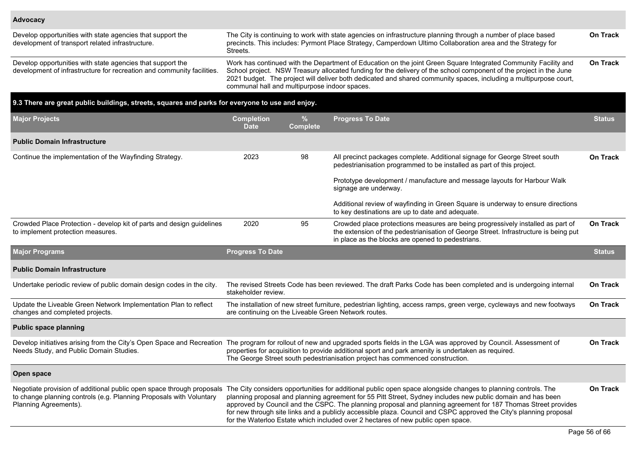Planning Agreements).

| Develop opportunities with state agencies that support the<br>development of transport related infrastructure.                       | The City is continuing to work with state agencies on infrastructure planning through a number of place based<br>precincts. This includes: Pyrmont Place Strategy, Camperdown Ultimo Collaboration area and the Strategy for<br>Streets.                                                                                                                                                                    | <b>On Track</b> |
|--------------------------------------------------------------------------------------------------------------------------------------|-------------------------------------------------------------------------------------------------------------------------------------------------------------------------------------------------------------------------------------------------------------------------------------------------------------------------------------------------------------------------------------------------------------|-----------------|
| Develop opportunities with state agencies that support the<br>development of infrastructure for recreation and community facilities. | Work has continued with the Department of Education on the joint Green Square Integrated Community Facility and<br>School project. NSW Treasury allocated funding for the delivery of the school component of the project in the June<br>2021 budget. The project will deliver both dedicated and shared community spaces, including a multipurpose court,<br>communal hall and multipurpose indoor spaces. | <b>On Track</b> |

#### **9.3 There are great public buildings, streets, squares and parks for everyone to use and enjoy. Major Projects Completion Date % Complete Progress To Date Status Public Domain Infrastructure** Continue the implementation of the Wayfinding Strategy. 2023 98 All precinct packages complete. Additional signage for George Street south pedestrianisation programmed to be installed as part of this project. Prototype development / manufacture and message layouts for Harbour Walk signage are underway. Additional review of wayfinding in Green Square is underway to ensure directions to key destinations are up to date and adequate. **On Track** Crowded Place Protection - develop kit of parts and design guidelines to implement protection measures. 2020 95 Crowded place protections measures are being progressively installed as part of the extension of the pedestrianisation of George Street. Infrastructure is being put in place as the blocks are opened to pedestrians. **On Track Major Programs Progress To Date Status Public Domain Infrastructure** Undertake periodic review of public domain design codes in the city. The revised Streets Code has been reviewed. The draft Parks Code has been completed and is undergoing internal stakeholder review. **On Track** Update the Liveable Green Network Implementation Plan to reflect changes and completed projects. The installation of new street furniture, pedestrian lighting, access ramps, green verge, cycleways and new footways are continuing on the Liveable Green Network routes. **On Track Public space planning** Develop initiatives arising from the City's Open Space and Recreation The program for rollout of new and upgraded sports fields in the LGA was approved by Council. Assessment of Needs Study, and Public Domain Studies. properties for acquisition to provide additional sport and park amenity is undertaken as required. The George Street south pedestrianisation project has commenced construction. **On Track Open space** Negotiate provision of additional public open space through proposals to change planning controls (e.g. Planning Proposals with Voluntary The City considers opportunities for additional public open space alongside changes to planning controls. The **On Track**

planning proposal and planning agreement for 55 Pitt Street, Sydney includes new public domain and has been approved by Council and the CSPC. The planning proposal and planning agreement for 187 Thomas Street provides for new through site links and a publicly accessible plaza. Council and CSPC approved the City's planning proposal for the Waterloo Estate which included over 2 hectares of new public open space.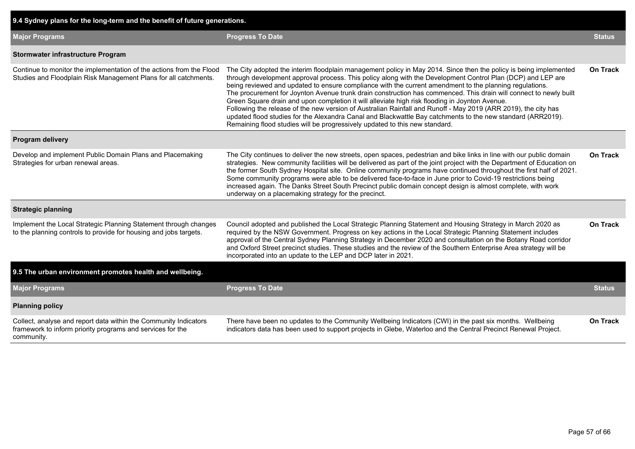| 9.4 Sydney plans for the long-term and the benefit of future generations.                                                                    |                                                                                                                                                                                                                                                                                                                                                                                                                                                                                                                                                                                                                                                                                                                                                                                                                                                                                    |                 |
|----------------------------------------------------------------------------------------------------------------------------------------------|------------------------------------------------------------------------------------------------------------------------------------------------------------------------------------------------------------------------------------------------------------------------------------------------------------------------------------------------------------------------------------------------------------------------------------------------------------------------------------------------------------------------------------------------------------------------------------------------------------------------------------------------------------------------------------------------------------------------------------------------------------------------------------------------------------------------------------------------------------------------------------|-----------------|
| <b>Major Programs</b>                                                                                                                        | <b>Progress To Date</b>                                                                                                                                                                                                                                                                                                                                                                                                                                                                                                                                                                                                                                                                                                                                                                                                                                                            | <b>Status</b>   |
| Stormwater infrastructure Program                                                                                                            |                                                                                                                                                                                                                                                                                                                                                                                                                                                                                                                                                                                                                                                                                                                                                                                                                                                                                    |                 |
| Continue to monitor the implementation of the actions from the Flood<br>Studies and Floodplain Risk Management Plans for all catchments.     | The City adopted the interim floodplain management policy in May 2014. Since then the policy is being implemented<br>through development approval process. This policy along with the Development Control Plan (DCP) and LEP are<br>being reviewed and updated to ensure compliance with the current amendment to the planning regulations.<br>The procurement for Joynton Avenue trunk drain construction has commenced. This drain will connect to newly built<br>Green Square drain and upon completion it will alleviate high risk flooding in Joynton Avenue.<br>Following the release of the new version of Australian Rainfall and Runoff - May 2019 (ARR 2019), the city has<br>updated flood studies for the Alexandra Canal and Blackwattle Bay catchments to the new standard (ARR2019).<br>Remaining flood studies will be progressively updated to this new standard. | On Track        |
| Program delivery                                                                                                                             |                                                                                                                                                                                                                                                                                                                                                                                                                                                                                                                                                                                                                                                                                                                                                                                                                                                                                    |                 |
| Develop and implement Public Domain Plans and Placemaking<br>Strategies for urban renewal areas.                                             | The City continues to deliver the new streets, open spaces, pedestrian and bike links in line with our public domain<br>strategies. New community facilities will be delivered as part of the joint project with the Department of Education on<br>the former South Sydney Hospital site. Online community programs have continued throughout the first half of 2021.<br>Some community programs were able to be delivered face-to-face in June prior to Covid-19 restrictions being<br>increased again. The Danks Street South Precinct public domain concept design is almost complete, with work<br>underway on a placemaking strategy for the precinct.                                                                                                                                                                                                                        | <b>On Track</b> |
| <b>Strategic planning</b>                                                                                                                    |                                                                                                                                                                                                                                                                                                                                                                                                                                                                                                                                                                                                                                                                                                                                                                                                                                                                                    |                 |
| Implement the Local Strategic Planning Statement through changes<br>to the planning controls to provide for housing and jobs targets.        | Council adopted and published the Local Strategic Planning Statement and Housing Strategy in March 2020 as<br>required by the NSW Government. Progress on key actions in the Local Strategic Planning Statement includes<br>approval of the Central Sydney Planning Strategy in December 2020 and consultation on the Botany Road corridor<br>and Oxford Street precinct studies. These studies and the review of the Southern Enterprise Area strategy will be<br>incorporated into an update to the LEP and DCP later in 2021.                                                                                                                                                                                                                                                                                                                                                   | <b>On Track</b> |
| 9.5 The urban environment promotes health and wellbeing.                                                                                     |                                                                                                                                                                                                                                                                                                                                                                                                                                                                                                                                                                                                                                                                                                                                                                                                                                                                                    |                 |
| <b>Major Programs</b>                                                                                                                        | <b>Progress To Date</b>                                                                                                                                                                                                                                                                                                                                                                                                                                                                                                                                                                                                                                                                                                                                                                                                                                                            | <b>Status</b>   |
| <b>Planning policy</b>                                                                                                                       |                                                                                                                                                                                                                                                                                                                                                                                                                                                                                                                                                                                                                                                                                                                                                                                                                                                                                    |                 |
| Collect, analyse and report data within the Community Indicators<br>framework to inform priority programs and services for the<br>community. | There have been no updates to the Community Wellbeing Indicators (CWI) in the past six months. Wellbeing<br>indicators data has been used to support projects in Glebe, Waterloo and the Central Precinct Renewal Project.                                                                                                                                                                                                                                                                                                                                                                                                                                                                                                                                                                                                                                                         | On Track        |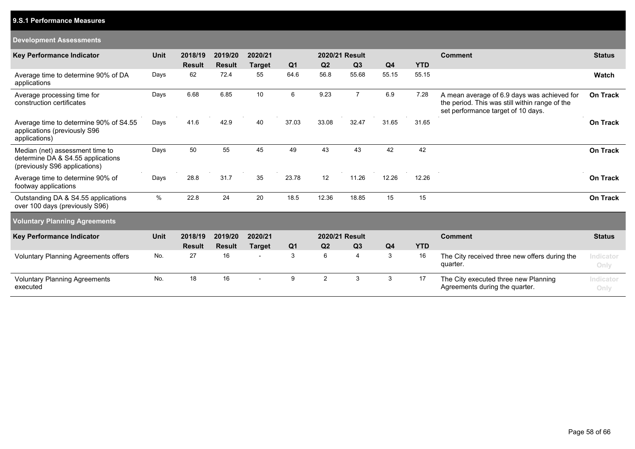## **9.S.1 Performance Measures**

#### **Development Assessments**

| <b>Key Performance Indicator</b>                                                                      | <b>Unit</b> | 2018/19       | 2019/20       | 2020/21                  |                | 2020/21 Result |                |                |            | <b>Comment</b>                                                                                                                      | <b>Status</b>     |
|-------------------------------------------------------------------------------------------------------|-------------|---------------|---------------|--------------------------|----------------|----------------|----------------|----------------|------------|-------------------------------------------------------------------------------------------------------------------------------------|-------------------|
|                                                                                                       |             | <b>Result</b> | <b>Result</b> | <b>Target</b>            | Q <sub>1</sub> | Q <sub>2</sub> | Q <sub>3</sub> | Q <sub>4</sub> | <b>YTD</b> |                                                                                                                                     |                   |
| Average time to determine 90% of DA<br>applications                                                   | Days        | 62            | 72.4          | 55                       | 64.6           | 56.8           | 55.68          | 55.15          | 55.15      |                                                                                                                                     | Watch             |
| Average processing time for<br>construction certificates                                              | Days        | 6.68          | 6.85          | 10                       | 6              | 9.23           | $\overline{7}$ | 6.9            | 7.28       | A mean average of 6.9 days was achieved for<br>the period. This was still within range of the<br>set performance target of 10 days. | <b>On Track</b>   |
| Average time to determine 90% of S4.55<br>applications (previously S96<br>applications)               | Days        | 41.6          | 42.9          | 40                       | 37.03          | 33.08          | 32.47          | 31.65          | 31.65      |                                                                                                                                     | <b>On Track</b>   |
| Median (net) assessment time to<br>determine DA & S4.55 applications<br>(previously S96 applications) | Days        | 50            | 55            | 45                       | 49             | 43             | 43             | 42             | 42         |                                                                                                                                     | <b>On Track</b>   |
| Average time to determine 90% of<br>footway applications                                              | Days        | 28.8          | 31.7          | 35                       | 23.78          | 12             | 11.26          | 12.26          | 12.26      |                                                                                                                                     | <b>On Track</b>   |
| Outstanding DA & S4.55 applications<br>over 100 days (previously S96)                                 | %           | 22.8          | 24            | 20                       | 18.5           | 12.36          | 18.85          | 15             | 15         |                                                                                                                                     | <b>On Track</b>   |
| <b>Voluntary Planning Agreements</b>                                                                  |             |               |               |                          |                |                |                |                |            |                                                                                                                                     |                   |
| <b>Key Performance Indicator</b>                                                                      | <b>Unit</b> | 2018/19       | 2019/20       | 2020/21                  |                | 2020/21 Result |                |                |            | <b>Comment</b>                                                                                                                      | <b>Status</b>     |
|                                                                                                       |             | <b>Result</b> | <b>Result</b> | <b>Target</b>            | Q <sub>1</sub> | Q <sub>2</sub> | Q <sub>3</sub> | Q <sub>4</sub> | <b>YTD</b> |                                                                                                                                     |                   |
| <b>Voluntary Planning Agreements offers</b>                                                           | No.         | 27            | 16            | $\overline{\phantom{a}}$ | 3              | 6              | 4              | 3              | 16         | The City received three new offers during the<br>quarter.                                                                           | Indicator<br>Only |
| <b>Voluntary Planning Agreements</b><br>executed                                                      | No.         | 18            | 16            |                          | 9              | $\overline{2}$ | 3              | 3              | 17         | The City executed three new Planning<br>Agreements during the quarter.                                                              | Indicator<br>Only |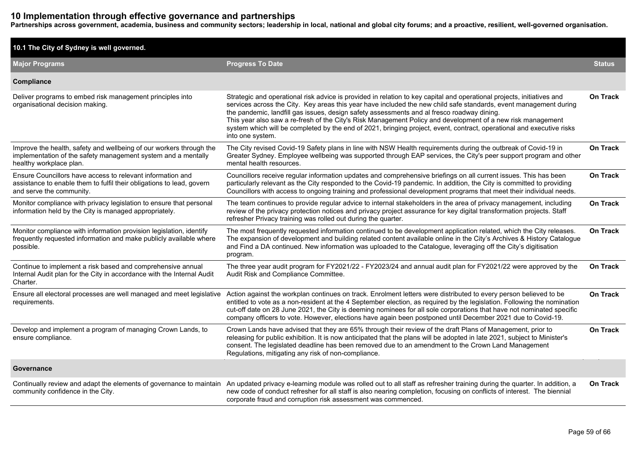# **10 Implementation through effective governance and partnerships**

**Partnerships across government, academia, business and community sectors; leadership in local, national and global city forums; and a proactive, resilient, well-governed organisation.**

| 10.1 The City of Sydney is well governed.                                                                                                                       |                                                                                                                                                                                                                                                                                                                                                                                                                                                                                                                                                                                                       |                 |
|-----------------------------------------------------------------------------------------------------------------------------------------------------------------|-------------------------------------------------------------------------------------------------------------------------------------------------------------------------------------------------------------------------------------------------------------------------------------------------------------------------------------------------------------------------------------------------------------------------------------------------------------------------------------------------------------------------------------------------------------------------------------------------------|-----------------|
| <b>Major Programs</b>                                                                                                                                           | <b>Progress To Date</b>                                                                                                                                                                                                                                                                                                                                                                                                                                                                                                                                                                               | <b>Status</b>   |
| Compliance                                                                                                                                                      |                                                                                                                                                                                                                                                                                                                                                                                                                                                                                                                                                                                                       |                 |
| Deliver programs to embed risk management principles into<br>organisational decision making.                                                                    | Strategic and operational risk advice is provided in relation to key capital and operational projects, initiatives and<br>services across the City. Key areas this year have included the new child safe standards, event management during<br>the pandemic, landfill gas issues, design safety assessments and al fresco roadway dining.<br>This year also saw a re-fresh of the City's Risk Management Policy and development of a new risk management<br>system which will be completed by the end of 2021, bringing project, event, contract, operational and executive risks<br>into one system. | On Track        |
| Improve the health, safety and wellbeing of our workers through the<br>implementation of the safety management system and a mentally<br>healthy workplace plan. | The City revised Covid-19 Safety plans in line with NSW Health requirements during the outbreak of Covid-19 in<br>Greater Sydney. Employee wellbeing was supported through EAP services, the City's peer support program and other<br>mental health resources.                                                                                                                                                                                                                                                                                                                                        | <b>On Track</b> |
| Ensure Councillors have access to relevant information and<br>assistance to enable them to fulfil their obligations to lead, govern<br>and serve the community. | Councillors receive regular information updates and comprehensive briefings on all current issues. This has been<br>particularly relevant as the City responded to the Covid-19 pandemic. In addition, the City is committed to providing<br>Councillors with access to ongoing training and professional development programs that meet their individual needs.                                                                                                                                                                                                                                      | On Track        |
| Monitor compliance with privacy legislation to ensure that personal<br>information held by the City is managed appropriately.                                   | The team continues to provide regular advice to internal stakeholders in the area of privacy management, including<br>review of the privacy protection notices and privacy project assurance for key digital transformation projects. Staff<br>refresher Privacy training was rolled out during the quarter.                                                                                                                                                                                                                                                                                          | <b>On Track</b> |
| Monitor compliance with information provision legislation, identify<br>frequently requested information and make publicly available where<br>possible.          | The most frequently requested information continued to be development application related, which the City releases.<br>The expansion of development and building related content available online in the City's Archives & History Catalogue<br>and Find a DA continued. New information was uploaded to the Catalogue, leveraging off the City's digitisation<br>program.                                                                                                                                                                                                                            | <b>On Track</b> |
| Continue to implement a risk based and comprehensive annual<br>Internal Audit plan for the City in accordance with the Internal Audit<br>Charter.               | The three year audit program for FY2021/22 - FY2023/24 and annual audit plan for FY2021/22 were approved by the<br>Audit Risk and Compliance Committee.                                                                                                                                                                                                                                                                                                                                                                                                                                               | <b>On Track</b> |
| Ensure all electoral processes are well managed and meet legislative<br>requirements.                                                                           | Action against the workplan continues on track. Enrolment letters were distributed to every person believed to be<br>entitled to vote as a non-resident at the 4 September election, as required by the legislation. Following the nomination<br>cut-off date on 28 June 2021, the City is deeming nominees for all sole corporations that have not nominated specific<br>company officers to vote. However, elections have again been postponed until December 2021 due to Covid-19.                                                                                                                 | <b>On Track</b> |
| Develop and implement a program of managing Crown Lands, to<br>ensure compliance.                                                                               | Crown Lands have advised that they are 65% through their review of the draft Plans of Management, prior to<br>releasing for public exhibition. It is now anticipated that the plans will be adopted in late 2021, subject to Minister's<br>consent. The legislated deadline has been removed due to an amendment to the Crown Land Management<br>Regulations, mitigating any risk of non-compliance.                                                                                                                                                                                                  | <b>On Track</b> |
| Governance                                                                                                                                                      |                                                                                                                                                                                                                                                                                                                                                                                                                                                                                                                                                                                                       |                 |
| community confidence in the City.                                                                                                                               | Continually review and adapt the elements of governance to maintain An updated privacy e-learning module was rolled out to all staff as refresher training during the quarter. In addition, a<br>new code of conduct refresher for all staff is also nearing completion, focusing on conflicts of interest. The biennial<br>corporate fraud and corruption risk assessment was commenced.                                                                                                                                                                                                             | <b>On Track</b> |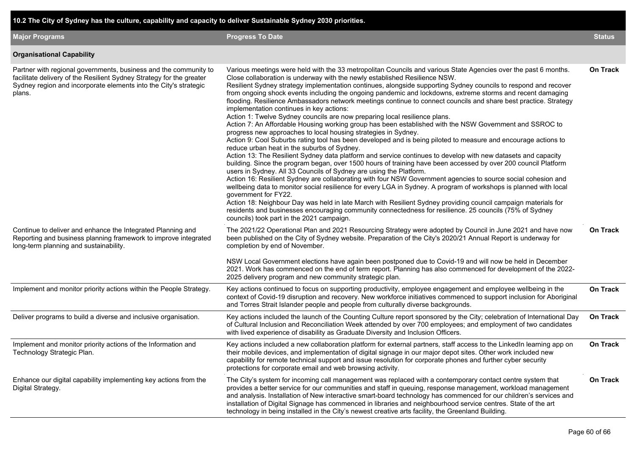| 10.2 The City of Sydney has the culture, capability and capacity to deliver Sustainable Sydney 2030 priorities.                                                                                                        |                                                                                                                                                                                                                                                                                                                                                                                                                                                                                                                                                                                                                                                                                                                                                                                                                                                                                                                                                                                                                                                                                                                                                                                                                                                                                                                                                                                                                                                                                                                                                                                                                                                                                                                                                                                                                                                                             |                 |
|------------------------------------------------------------------------------------------------------------------------------------------------------------------------------------------------------------------------|-----------------------------------------------------------------------------------------------------------------------------------------------------------------------------------------------------------------------------------------------------------------------------------------------------------------------------------------------------------------------------------------------------------------------------------------------------------------------------------------------------------------------------------------------------------------------------------------------------------------------------------------------------------------------------------------------------------------------------------------------------------------------------------------------------------------------------------------------------------------------------------------------------------------------------------------------------------------------------------------------------------------------------------------------------------------------------------------------------------------------------------------------------------------------------------------------------------------------------------------------------------------------------------------------------------------------------------------------------------------------------------------------------------------------------------------------------------------------------------------------------------------------------------------------------------------------------------------------------------------------------------------------------------------------------------------------------------------------------------------------------------------------------------------------------------------------------------------------------------------------------|-----------------|
| <b>Major Programs</b>                                                                                                                                                                                                  | <b>Progress To Date</b>                                                                                                                                                                                                                                                                                                                                                                                                                                                                                                                                                                                                                                                                                                                                                                                                                                                                                                                                                                                                                                                                                                                                                                                                                                                                                                                                                                                                                                                                                                                                                                                                                                                                                                                                                                                                                                                     | <b>Status</b>   |
| <b>Organisational Capability</b>                                                                                                                                                                                       |                                                                                                                                                                                                                                                                                                                                                                                                                                                                                                                                                                                                                                                                                                                                                                                                                                                                                                                                                                                                                                                                                                                                                                                                                                                                                                                                                                                                                                                                                                                                                                                                                                                                                                                                                                                                                                                                             |                 |
| Partner with regional governments, business and the community to<br>facilitate delivery of the Resilient Sydney Strategy for the greater<br>Sydney region and incorporate elements into the City's strategic<br>plans. | Various meetings were held with the 33 metropolitan Councils and various State Agencies over the past 6 months.<br>Close collaboration is underway with the newly established Resilience NSW.<br>Resilient Sydney strategy implementation continues, alongside supporting Sydney councils to respond and recover<br>from ongoing shock events including the ongoing pandemic and lockdowns, extreme storms and recent damaging<br>flooding. Resilience Ambassadors network meetings continue to connect councils and share best practice. Strategy<br>implementation continues in key actions:<br>Action 1: Twelve Sydney councils are now preparing local resilience plans.<br>Action 7: An Affordable Housing working group has been established with the NSW Government and SSROC to<br>progress new approaches to local housing strategies in Sydney.<br>Action 9: Cool Suburbs rating tool has been developed and is being piloted to measure and encourage actions to<br>reduce urban heat in the suburbs of Sydney.<br>Action 13: The Resilient Sydney data platform and service continues to develop with new datasets and capacity<br>building. Since the program began, over 1500 hours of training have been accessed by over 200 council Platform<br>users in Sydney. All 33 Councils of Sydney are using the Platform.<br>Action 16: Resilient Sydney are collaborating with four NSW Government agencies to source social cohesion and<br>wellbeing data to monitor social resilience for every LGA in Sydney. A program of workshops is planned with local<br>government for FY22.<br>Action 18: Neighbour Day was held in late March with Resilient Sydney providing council campaign materials for<br>residents and businesses encouraging community connectedness for resilience. 25 councils (75% of Sydney<br>councils) took part in the 2021 campaign. | <b>On Track</b> |
| Continue to deliver and enhance the Integrated Planning and<br>Reporting and business planning framework to improve integrated<br>long-term planning and sustainability.                                               | The 2021/22 Operational Plan and 2021 Resourcing Strategy were adopted by Council in June 2021 and have now<br>been published on the City of Sydney website. Preparation of the City's 2020/21 Annual Report is underway for<br>completion by end of November.<br>NSW Local Government elections have again been postponed due to Covid-19 and will now be held in December<br>2021. Work has commenced on the end of term report. Planning has also commenced for development of the 2022-                                                                                                                                                                                                                                                                                                                                                                                                                                                                                                                                                                                                                                                                                                                                                                                                                                                                                                                                                                                                                                                                                                                                                                                                                                                                                                                                                                                 | On Track        |
|                                                                                                                                                                                                                        | 2025 delivery program and new community strategic plan.                                                                                                                                                                                                                                                                                                                                                                                                                                                                                                                                                                                                                                                                                                                                                                                                                                                                                                                                                                                                                                                                                                                                                                                                                                                                                                                                                                                                                                                                                                                                                                                                                                                                                                                                                                                                                     |                 |
| Implement and monitor priority actions within the People Strategy.                                                                                                                                                     | Key actions continued to focus on supporting productivity, employee engagement and employee wellbeing in the<br>context of Covid-19 disruption and recovery. New workforce initiatives commenced to support inclusion for Aboriginal<br>and Torres Strait Islander people and people from culturally diverse backgrounds.                                                                                                                                                                                                                                                                                                                                                                                                                                                                                                                                                                                                                                                                                                                                                                                                                                                                                                                                                                                                                                                                                                                                                                                                                                                                                                                                                                                                                                                                                                                                                   | On Track        |
| Deliver programs to build a diverse and inclusive organisation.                                                                                                                                                        | Key actions included the launch of the Counting Culture report sponsored by the City; celebration of International Day<br>of Cultural Inclusion and Reconciliation Week attended by over 700 employees; and employment of two candidates<br>with lived experience of disability as Graduate Diversity and Inclusion Officers.                                                                                                                                                                                                                                                                                                                                                                                                                                                                                                                                                                                                                                                                                                                                                                                                                                                                                                                                                                                                                                                                                                                                                                                                                                                                                                                                                                                                                                                                                                                                               | On Track        |
| Implement and monitor priority actions of the Information and<br>Technology Strategic Plan.                                                                                                                            | Key actions included a new collaboration platform for external partners, staff access to the LinkedIn learning app on<br>their mobile devices, and implementation of digital signage in our major depot sites. Other work included new<br>capability for remote technical support and issue resolution for corporate phones and further cyber security<br>protections for corporate email and web browsing activity.                                                                                                                                                                                                                                                                                                                                                                                                                                                                                                                                                                                                                                                                                                                                                                                                                                                                                                                                                                                                                                                                                                                                                                                                                                                                                                                                                                                                                                                        | On Track        |
| Enhance our digital capability implementing key actions from the<br>Digital Strategy.                                                                                                                                  | The City's system for incoming call management was replaced with a contemporary contact centre system that<br>provides a better service for our communities and staff in queuing, response management, workload management<br>and analysis. Installation of New interactive smart-board technology has commenced for our children's services and<br>installation of Digital Signage has commenced in libraries and neighbourhood service centres. State of the art<br>technology in being installed in the City's newest creative arts facility, the Greenland Building.                                                                                                                                                                                                                                                                                                                                                                                                                                                                                                                                                                                                                                                                                                                                                                                                                                                                                                                                                                                                                                                                                                                                                                                                                                                                                                    | On Track        |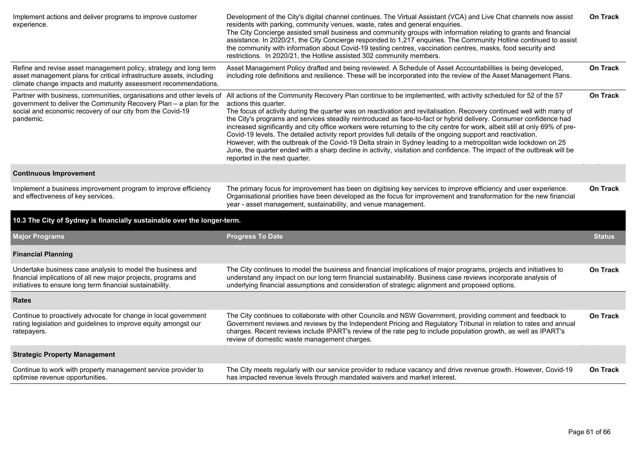| Implement actions and deliver programs to improve customer<br>experience.                                                                                                                                    | Development of the City's digital channel continues. The Virtual Assistant (VCA) and Live Chat channels now assist<br>residents with parking, community venues, waste, rates and general enquiries.<br>The City Concierge assisted small business and community groups with information relating to grants and financial<br>assistance. In 2020/21, the City Concierge responded to 1,217 enquiries. The Community Hotline continued to assist<br>the community with information about Covid-19 testing centres, vaccination centres, masks, food security and<br>restrictions. In 2020/21, the Hotline assisted 302 community members.                                                                                                                                                                                                                                                                                                                                                      | On Track        |
|--------------------------------------------------------------------------------------------------------------------------------------------------------------------------------------------------------------|----------------------------------------------------------------------------------------------------------------------------------------------------------------------------------------------------------------------------------------------------------------------------------------------------------------------------------------------------------------------------------------------------------------------------------------------------------------------------------------------------------------------------------------------------------------------------------------------------------------------------------------------------------------------------------------------------------------------------------------------------------------------------------------------------------------------------------------------------------------------------------------------------------------------------------------------------------------------------------------------|-----------------|
| Refine and revise asset management policy, strategy and long term<br>asset management plans for critical infrastructure assets, including<br>climate change impacts and maturity assessment recommendations. | Asset Management Policy drafted and being reviewed. A Schedule of Asset Accountabilities is being developed,<br>including role definitions and resilience. These will be incorporated into the review of the Asset Management Plans.                                                                                                                                                                                                                                                                                                                                                                                                                                                                                                                                                                                                                                                                                                                                                         | <b>On Track</b> |
| government to deliver the Community Recovery Plan - a plan for the<br>social and economic recovery of our city from the Covid-19<br>pandemic.                                                                | Partner with business, communities, organisations and other levels of All actions of the Community Recovery Plan continue to be implemented, with activity scheduled for 52 of the 57<br>actions this quarter.<br>The focus of activity during the quarter was on reactivation and revitalisation. Recovery continued well with many of<br>the City's programs and services steadily reintroduced as face-to-fact or hybrid delivery. Consumer confidence had<br>increased significantly and city office workers were returning to the city centre for work, albeit still at only 69% of pre-<br>Covid-19 levels. The detailed activity report provides full details of the ongoing support and reactivation.<br>However, with the outbreak of the Covid-19 Delta strain in Sydney leading to a metropolitan wide lockdown on 25<br>June, the quarter ended with a sharp decline in activity, visitation and confidence. The impact of the outbreak will be<br>reported in the next quarter. | On Track        |
| <b>Continuous Improvement</b>                                                                                                                                                                                |                                                                                                                                                                                                                                                                                                                                                                                                                                                                                                                                                                                                                                                                                                                                                                                                                                                                                                                                                                                              |                 |
| Implement a business improvement program to improve efficiency<br>and effectiveness of key services.                                                                                                         | The primary focus for improvement has been on digitising key services to improve efficiency and user experience.<br>Organisational priorities have been developed as the focus for improvement and transformation for the new financial<br>year - asset management, sustainability, and venue management.                                                                                                                                                                                                                                                                                                                                                                                                                                                                                                                                                                                                                                                                                    | <b>On Track</b> |
| 10.3 The City of Sydney is financially sustainable over the longer-term.                                                                                                                                     |                                                                                                                                                                                                                                                                                                                                                                                                                                                                                                                                                                                                                                                                                                                                                                                                                                                                                                                                                                                              |                 |
| <b>Major Programs</b>                                                                                                                                                                                        | <b>Progress To Date</b>                                                                                                                                                                                                                                                                                                                                                                                                                                                                                                                                                                                                                                                                                                                                                                                                                                                                                                                                                                      | <b>Status</b>   |
| <b>Financial Planning</b>                                                                                                                                                                                    |                                                                                                                                                                                                                                                                                                                                                                                                                                                                                                                                                                                                                                                                                                                                                                                                                                                                                                                                                                                              |                 |
| Undertake business case analysis to model the business and<br>financial implications of all new major projects, programs and<br>initiatives to ensure long term financial sustainability.                    | The City continues to model the business and financial implications of major programs, projects and initiatives to<br>understand any impact on our long term financial sustainability. Business case reviews incorporate analysis of<br>underlying financial assumptions and consideration of strategic alignment and proposed options.                                                                                                                                                                                                                                                                                                                                                                                                                                                                                                                                                                                                                                                      | <b>On Track</b> |
| <b>Rates</b>                                                                                                                                                                                                 |                                                                                                                                                                                                                                                                                                                                                                                                                                                                                                                                                                                                                                                                                                                                                                                                                                                                                                                                                                                              |                 |
| Continue to proactively advocate for change in local government<br>rating legislation and guidelines to improve equity amongst our<br>ratepayers.                                                            | The City continues to collaborate with other Councils and NSW Government, providing comment and feedback to<br>Government reviews and reviews by the Independent Pricing and Regulatory Tribunal in relation to rates and annual<br>charges. Recent reviews include IPART's review of the rate peg to include population growth, as well as IPART's<br>review of domestic waste management charges.                                                                                                                                                                                                                                                                                                                                                                                                                                                                                                                                                                                          | On Track        |
| <b>Strategic Property Management</b>                                                                                                                                                                         |                                                                                                                                                                                                                                                                                                                                                                                                                                                                                                                                                                                                                                                                                                                                                                                                                                                                                                                                                                                              |                 |
| Continue to work with property management service provider to<br>optimise revenue opportunities.                                                                                                             | The City meets regularly with our service provider to reduce vacancy and drive revenue growth. However, Covid-19<br>has impacted revenue levels through mandated waivers and market interest.                                                                                                                                                                                                                                                                                                                                                                                                                                                                                                                                                                                                                                                                                                                                                                                                | <b>On Track</b> |
|                                                                                                                                                                                                              |                                                                                                                                                                                                                                                                                                                                                                                                                                                                                                                                                                                                                                                                                                                                                                                                                                                                                                                                                                                              |                 |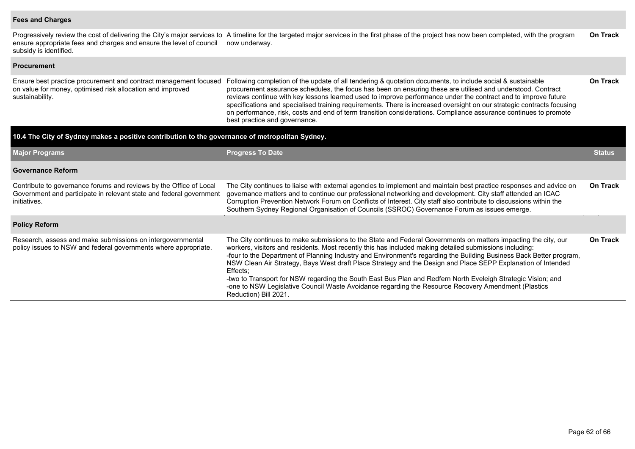#### **Fees and Charges**

Progressively review the cost of delivering the City's major services to ensure appropriate fees and charges and ensure the level of council subsidy is identified. A timeline for the targeted major services in the first phase of the project has now been completed, with the program now underway. **On Track**

| <b>Procurement</b>                                                                                                                                        |                                                                                                                                                                                                                                                                                                                                                                                                                                                                                                                                                                                                                                                                                                                              |                 |
|-----------------------------------------------------------------------------------------------------------------------------------------------------------|------------------------------------------------------------------------------------------------------------------------------------------------------------------------------------------------------------------------------------------------------------------------------------------------------------------------------------------------------------------------------------------------------------------------------------------------------------------------------------------------------------------------------------------------------------------------------------------------------------------------------------------------------------------------------------------------------------------------------|-----------------|
| Ensure best practice procurement and contract management focused<br>on value for money, optimised risk allocation and improved<br>sustainability.         | Following completion of the update of all tendering & quotation documents, to include social & sustainable<br>procurement assurance schedules, the focus has been on ensuring these are utilised and understood. Contract<br>reviews continue with key lessons learned used to improve performance under the contract and to improve future<br>specifications and specialised training requirements. There is increased oversight on our strategic contracts focusing<br>on performance, risk, costs and end of term transition considerations. Compliance assurance continues to promote<br>best practice and governance.                                                                                                   | <b>On Track</b> |
| 10.4 The City of Sydney makes a positive contribution to the governance of metropolitan Sydney.                                                           |                                                                                                                                                                                                                                                                                                                                                                                                                                                                                                                                                                                                                                                                                                                              |                 |
| <b>Major Programs</b>                                                                                                                                     | <b>Progress To Date</b>                                                                                                                                                                                                                                                                                                                                                                                                                                                                                                                                                                                                                                                                                                      | <b>Status</b>   |
| <b>Governance Reform</b>                                                                                                                                  |                                                                                                                                                                                                                                                                                                                                                                                                                                                                                                                                                                                                                                                                                                                              |                 |
| Contribute to governance forums and reviews by the Office of Local<br>Government and participate in relevant state and federal government<br>initiatives. | The City continues to liaise with external agencies to implement and maintain best practice responses and advice on<br>governance matters and to continue our professional networking and development. City staff attended an ICAC<br>Corruption Prevention Network Forum on Conflicts of Interest. City staff also contribute to discussions within the<br>Southern Sydney Regional Organisation of Councils (SSROC) Governance Forum as issues emerge.                                                                                                                                                                                                                                                                     | On Track        |
| <b>Policy Reform</b>                                                                                                                                      |                                                                                                                                                                                                                                                                                                                                                                                                                                                                                                                                                                                                                                                                                                                              |                 |
| Research, assess and make submissions on intergovernmental<br>policy issues to NSW and federal governments where appropriate.                             | The City continues to make submissions to the State and Federal Governments on matters impacting the city, our<br>workers, visitors and residents. Most recently this has included making detailed submissions including:<br>-four to the Department of Planning Industry and Environment's regarding the Building Business Back Better program,<br>NSW Clean Air Strategy, Bays West draft Place Strategy and the Design and Place SEPP Explanation of Intended<br>Effects:<br>-two to Transport for NSW regarding the South East Bus Plan and Redfern North Eveleigh Strategic Vision; and<br>-one to NSW Legislative Council Waste Avoidance regarding the Resource Recovery Amendment (Plastics<br>Reduction) Bill 2021. | On Track        |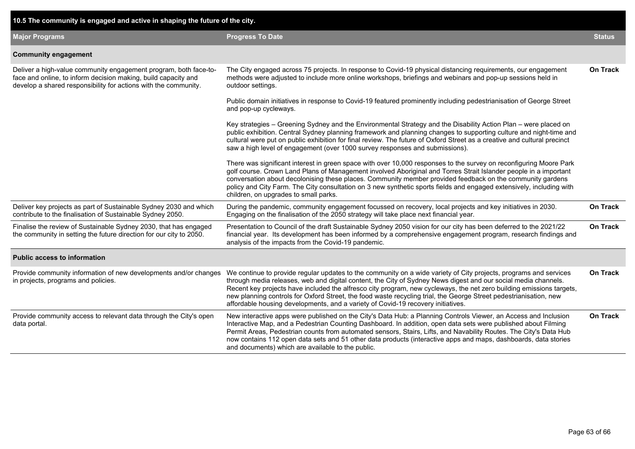| 10.5 The community is engaged and active in shaping the future of the city.                                                                                                                           |                                                                                                                                                                                                                                                                                                                                                                                                                                                                                                                                                                      |                 |  |  |  |  |  |  |
|-------------------------------------------------------------------------------------------------------------------------------------------------------------------------------------------------------|----------------------------------------------------------------------------------------------------------------------------------------------------------------------------------------------------------------------------------------------------------------------------------------------------------------------------------------------------------------------------------------------------------------------------------------------------------------------------------------------------------------------------------------------------------------------|-----------------|--|--|--|--|--|--|
| <b>Major Programs</b>                                                                                                                                                                                 | <b>Progress To Date</b>                                                                                                                                                                                                                                                                                                                                                                                                                                                                                                                                              | <b>Status</b>   |  |  |  |  |  |  |
| <b>Community engagement</b>                                                                                                                                                                           |                                                                                                                                                                                                                                                                                                                                                                                                                                                                                                                                                                      |                 |  |  |  |  |  |  |
| Deliver a high-value community engagement program, both face-to-<br>face and online, to inform decision making, build capacity and<br>develop a shared responsibility for actions with the community. | The City engaged across 75 projects. In response to Covid-19 physical distancing requirements, our engagement<br>methods were adjusted to include more online workshops, briefings and webinars and pop-up sessions held in<br>outdoor settings.                                                                                                                                                                                                                                                                                                                     | <b>On Track</b> |  |  |  |  |  |  |
|                                                                                                                                                                                                       | Public domain initiatives in response to Covid-19 featured prominently including pedestrianisation of George Street<br>and pop-up cycleways.                                                                                                                                                                                                                                                                                                                                                                                                                         |                 |  |  |  |  |  |  |
|                                                                                                                                                                                                       | Key strategies - Greening Sydney and the Environmental Strategy and the Disability Action Plan - were placed on<br>public exhibition. Central Sydney planning framework and planning changes to supporting culture and night-time and<br>cultural were put on public exhibition for final review. The future of Oxford Street as a creative and cultural precinct<br>saw a high level of engagement (over 1000 survey responses and submissions).                                                                                                                    |                 |  |  |  |  |  |  |
|                                                                                                                                                                                                       | There was significant interest in green space with over 10,000 responses to the survey on reconfiguring Moore Park<br>golf course. Crown Land Plans of Management involved Aboriginal and Torres Strait Islander people in a important<br>conversation about decolonising these places. Community member provided feedback on the community gardens<br>policy and City Farm. The City consultation on 3 new synthetic sports fields and engaged extensively, including with<br>children, on upgrades to small parks.                                                 |                 |  |  |  |  |  |  |
| Deliver key projects as part of Sustainable Sydney 2030 and which<br>contribute to the finalisation of Sustainable Sydney 2050.                                                                       | During the pandemic, community engagement focussed on recovery, local projects and key initiatives in 2030.<br>Engaging on the finalisation of the 2050 strategy will take place next financial year.                                                                                                                                                                                                                                                                                                                                                                | <b>On Track</b> |  |  |  |  |  |  |
| Finalise the review of Sustainable Sydney 2030, that has engaged<br>the community in setting the future direction for our city to 2050.                                                               | Presentation to Council of the draft Sustainable Sydney 2050 vision for our city has been deferred to the 2021/22<br>financial year. Its development has been informed by a comprehensive engagement program, research findings and<br>analysis of the impacts from the Covid-19 pandemic.                                                                                                                                                                                                                                                                           | <b>On Track</b> |  |  |  |  |  |  |
| <b>Public access to information</b>                                                                                                                                                                   |                                                                                                                                                                                                                                                                                                                                                                                                                                                                                                                                                                      |                 |  |  |  |  |  |  |
| Provide community information of new developments and/or changes<br>in projects, programs and policies.                                                                                               | We continue to provide regular updates to the community on a wide variety of City projects, programs and services<br>through media releases, web and digital content, the City of Sydney News digest and our social media channels.<br>Recent key projects have included the alfresco city program, new cycleways, the net zero building emissions targets,<br>new planning controls for Oxford Street, the food waste recycling trial, the George Street pedestrianisation, new<br>affordable housing developments, and a variety of Covid-19 recovery initiatives. | <b>On Track</b> |  |  |  |  |  |  |
| Provide community access to relevant data through the City's open<br>data portal.                                                                                                                     | New interactive apps were published on the City's Data Hub: a Planning Controls Viewer, an Access and Inclusion<br>Interactive Map, and a Pedestrian Counting Dashboard. In addition, open data sets were published about Filming<br>Permit Areas, Pedestrian counts from automated sensors, Stairs, Lifts, and Navability Routes. The City's Data Hub<br>now contains 112 open data sets and 51 other data products (interactive apps and maps, dashboards, data stories<br>and documents) which are available to the public.                                       | <b>On Track</b> |  |  |  |  |  |  |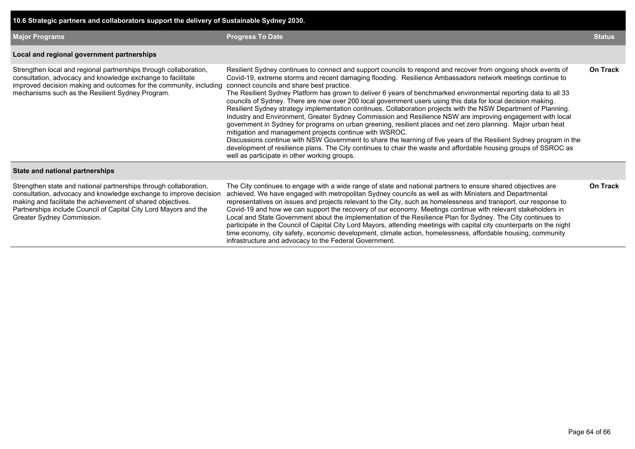| 10.6 Strategic partners and collaborators support the delivery of Sustainable Sydney 2030.                                                                                                                                                                                                              |                                                                                                                                                                                                                                                                                                                                                                                                                                                                                                                                                                                                                                                                                                                                                                                                                                                                                                                                                                                                                                                                                                                                                                                                                       |                 |  |  |  |  |  |
|---------------------------------------------------------------------------------------------------------------------------------------------------------------------------------------------------------------------------------------------------------------------------------------------------------|-----------------------------------------------------------------------------------------------------------------------------------------------------------------------------------------------------------------------------------------------------------------------------------------------------------------------------------------------------------------------------------------------------------------------------------------------------------------------------------------------------------------------------------------------------------------------------------------------------------------------------------------------------------------------------------------------------------------------------------------------------------------------------------------------------------------------------------------------------------------------------------------------------------------------------------------------------------------------------------------------------------------------------------------------------------------------------------------------------------------------------------------------------------------------------------------------------------------------|-----------------|--|--|--|--|--|
| <b>Major Programs</b>                                                                                                                                                                                                                                                                                   | <b>Progress To Date</b>                                                                                                                                                                                                                                                                                                                                                                                                                                                                                                                                                                                                                                                                                                                                                                                                                                                                                                                                                                                                                                                                                                                                                                                               |                 |  |  |  |  |  |
| Local and regional government partnerships                                                                                                                                                                                                                                                              |                                                                                                                                                                                                                                                                                                                                                                                                                                                                                                                                                                                                                                                                                                                                                                                                                                                                                                                                                                                                                                                                                                                                                                                                                       |                 |  |  |  |  |  |
| Strengthen local and regional partnerships through collaboration,<br>consultation, advocacy and knowledge exchange to facilitate<br>improved decision making and outcomes for the community, including<br>mechanisms such as the Resilient Sydney Program.                                              | Resilient Sydney continues to connect and support councils to respond and recover from ongoing shock events of<br>Covid-19, extreme storms and recent damaging flooding. Resilience Ambassadors network meetings continue to<br>connect councils and share best practice.<br>The Resilient Sydney Platform has grown to deliver 6 years of benchmarked environmental reporting data to all 33<br>councils of Sydney. There are now over 200 local government users using this data for local decision making.<br>Resilient Sydney strategy implementation continues. Collaboration projects with the NSW Department of Planning.<br>Industry and Environment, Greater Sydney Commission and Resilience NSW are improving engagement with local<br>government in Sydney for programs on urban greening, resilient places and net zero planning. Major urban heat<br>mitigation and management projects continue with WSROC.<br>Discussions continue with NSW Government to share the learning of five years of the Resilient Sydney program in the<br>development of resilience plans. The City continues to chair the waste and affordable housing groups of SSROC as<br>well as participate in other working groups. | <b>On Track</b> |  |  |  |  |  |
| State and national partnerships                                                                                                                                                                                                                                                                         |                                                                                                                                                                                                                                                                                                                                                                                                                                                                                                                                                                                                                                                                                                                                                                                                                                                                                                                                                                                                                                                                                                                                                                                                                       |                 |  |  |  |  |  |
| Strengthen state and national partnerships through collaboration,<br>consultation, advocacy and knowledge exchange to improve decision<br>making and facilitate the achievement of shared objectives.<br>Partnerships include Council of Capital City Lord Mayors and the<br>Greater Sydney Commission. | The City continues to engage with a wide range of state and national partners to ensure shared objectives are<br>achieved. We have engaged with metropolitan Sydney councils as well as with Ministers and Departmental<br>representatives on issues and projects relevant to the City, such as homelessness and transport, our response to<br>Covid-19 and how we can support the recovery of our economy. Meetings continue with relevant stakeholders in<br>Local and State Government about the implementation of the Resilience Plan for Sydney. The City continues to<br>participate in the Council of Capital City Lord Mayors, attending meetings with capital city counterparts on the night<br>time economy, city safety, economic development, climate action, homelessness, affordable housing, community<br>infrastructure and advocacy to the Federal Government.                                                                                                                                                                                                                                                                                                                                       | <b>On Track</b> |  |  |  |  |  |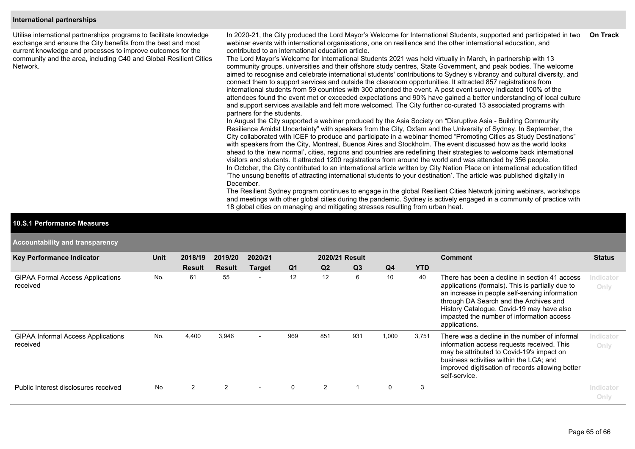#### **International partnerships**

Utilise international partnerships programs to facilitate knowledge exchange and ensure the City benefits from the best and most current knowledge and processes to improve outcomes for the community and the area, including C40 and Global Resilient Cities Network.

In 2020-21, the City produced the Lord Mayor's Welcome for International Students, supported and participated in two webinar events with international organisations, one on resilience and the other international education, and contributed to an international education article. **On Track**

The Lord Mayor's Welcome for International Students 2021 was held virtually in March, in partnership with 13 community groups, universities and their offshore study centres, State Government, and peak bodies. The welcome aimed to recognise and celebrate international students' contributions to Sydney's vibrancy and cultural diversity, and connect them to support services and outside the classroom opportunities. It attracted 857 registrations from international students from 59 countries with 300 attended the event. A post event survey indicated 100% of the attendees found the event met or exceeded expectations and 90% have gained a better understanding of local culture and support services available and felt more welcomed. The City further co-curated 13 associated programs with partners for the students.

In August the City supported a webinar produced by the Asia Society on "Disruptive Asia - Building Community Resilience Amidst Uncertainty" with speakers from the City, Oxfam and the University of Sydney. In September, the City collaborated with ICEF to produce and participate in a webinar themed "Promoting Cities as Study Destinations" with speakers from the City, Montreal, Buenos Aires and Stockholm. The event discussed how as the world looks ahead to the 'new normal', cities, regions and countries are redefining their strategies to welcome back international visitors and students. It attracted 1200 registrations from around the world and was attended by 356 people. In October, the City contributed to an international article written by City Nation Place on international education titled 'The unsung benefits of attracting international students to your destination'. The article was published digitally in December.

The Resilient Sydney program continues to engage in the global Resilient Cities Network joining webinars, workshops and meetings with other global cities during the pandemic. Sydney is actively engaged in a community of practice with 18 global cities on managing and mitigating stresses resulting from urban heat.

#### **10.S.1 Performance Measures**

**Accountability and transparency**

| <b>Key Performance Indicator</b>                      | Unit | 2018/19       | 2019/20       | 2020/21                  |                | 2020/21 Result |                |                 |            | <b>Comment</b>                                                                                                                                                                                                                                                                                           | <b>Status</b>     |
|-------------------------------------------------------|------|---------------|---------------|--------------------------|----------------|----------------|----------------|-----------------|------------|----------------------------------------------------------------------------------------------------------------------------------------------------------------------------------------------------------------------------------------------------------------------------------------------------------|-------------------|
|                                                       |      | <b>Result</b> | <b>Result</b> | <b>Target</b>            | Q <sub>1</sub> | Q <sub>2</sub> | Q <sub>3</sub> | Q <sub>4</sub>  | <b>YTD</b> |                                                                                                                                                                                                                                                                                                          |                   |
| <b>GIPAA Formal Access Applications</b><br>received   | No.  | 61            | 55            | $\overline{\phantom{a}}$ | 12             | 12             | 6              | 10 <sup>°</sup> | 40         | There has been a decline in section 41 access<br>applications (formals). This is partially due to<br>an increase in people self-serving information<br>through DA Search and the Archives and<br>History Catalogue. Covid-19 may have also<br>impacted the number of information access<br>applications. | Indicator<br>Only |
| <b>GIPAA Informal Access Applications</b><br>received | No.  | 4,400         | 3,946         |                          | 969            | 851            | 931            | 1,000           | 3,751      | There was a decline in the number of informal<br>information access requests received. This<br>may be attributed to Covid-19's impact on<br>business activities within the LGA; and<br>improved digitisation of records allowing better<br>self-service.                                                 | Indicator<br>Only |
| Public Interest disclosures received                  | No   | 2             | 2             |                          | 0              | 2              |                | 0               | 3          |                                                                                                                                                                                                                                                                                                          | Indicator<br>Only |